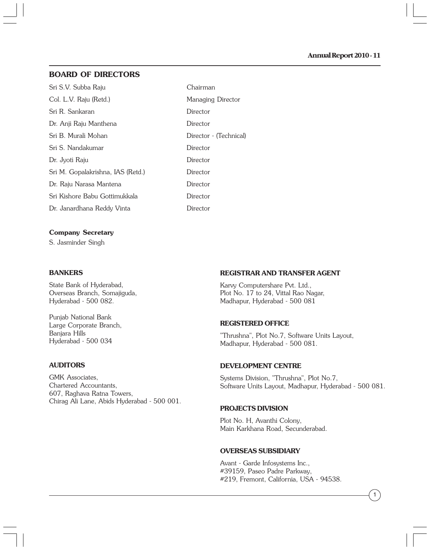# **BOARD OF DIRECTORS**

| Sri S.V. Subba Raju               | Chairman               |
|-----------------------------------|------------------------|
| Col. L.V. Raju (Retd.)            | Managing Director      |
| Sri R. Sankaran                   | Director               |
| Dr. Anji Raju Manthena            | Director               |
| Sri B. Murali Mohan               | Director - (Technical) |
| Sri S. Nandakumar                 | Director               |
| Dr. Jyoti Raju                    | Director               |
| Sri M. Gopalakrishna, IAS (Retd.) | Director               |
| Dr. Raju Narasa Mantena           | Director               |
| Sri Kishore Babu Gottimukkala     | Director               |
| Dr. Janardhana Reddy Vinta        | Director               |
|                                   |                        |

#### **Company Secretary**

S. Jasminder Singh

#### **BANKERS**

State Bank of Hyderabad, Overseas Branch, Somajiguda, Hyderabad - 500 082.

Punjab National Bank Large Corporate Branch, Banjara Hills Hyderabad - 500 034

#### **AUDITORS**

GMK Associates, Chartered Accountants, 607, Raghava Ratna Towers, Chirag Ali Lane, Abids Hyderabad - 500 001.

#### **REGISTRAR AND TRANSFER AGENT**

Karvy Computershare Pvt. Ltd., Plot No. 17 to 24, Vittal Rao Nagar, Madhapur, Hyderabad - 500 081

#### **REGISTERED OFFICE**

"Thrushna", Plot No.7, Software Units Layout, Madhapur, Hyderabad - 500 081.

#### **DEVELOPMENT CENTRE**

Systems Division, "Thrushna", Plot No.7, Software Units Layout, Madhapur, Hyderabad - 500 081.

#### **PROJECTS DIVISION**

Plot No. H, Avanthi Colony, Main Karkhana Road, Secunderabad.

#### **OVERSEAS SUBSIDIARY**

Avant - Garde Infosystems Inc., #39159, Paseo Padre Parkway, #219, Fremont, California, USA - 94538.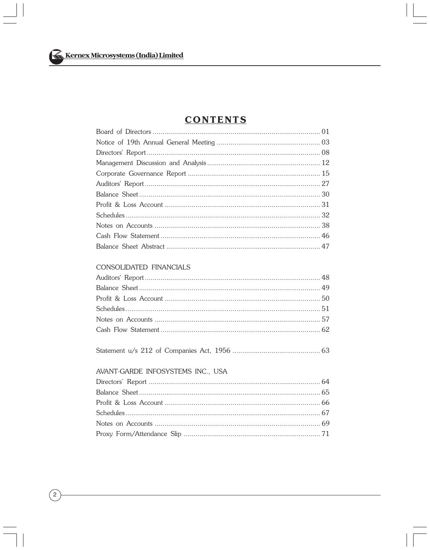# **CONTENTS**

# CONSOLIDATED FINANCIALS

# AVANT-GARDE INFOSYSTEMS INC., USA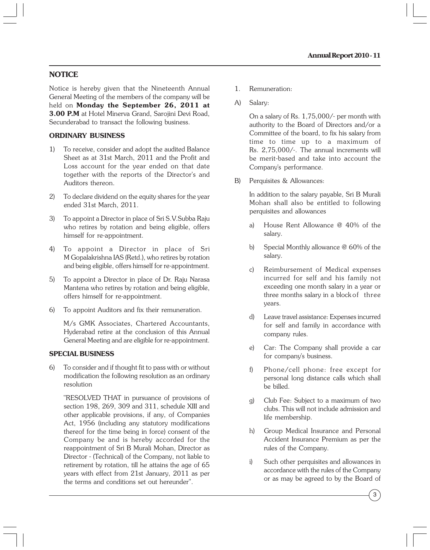# **NOTICE**

Notice is hereby given that the Nineteenth Annual General Meeting of the members of the company will be held on **Monday the September 26, 2011 at 3.00 P.M** at Hotel Minerva Grand, Sarojini Devi Road, Secunderabad to transact the following business.

#### **ORDINARY BUSINESS**

- 1) To receive, consider and adopt the audited Balance Sheet as at 31st March, 2011 and the Profit and Loss account for the year ended on that date together with the reports of the Director's and Auditors thereon.
- 2) To declare dividend on the equity shares for the year ended 31st March, 2011.
- 3) To appoint a Director in place of Sri S.V.Subba Raju who retires by rotation and being eligible, offers himself for re-appointment.
- 4) To appoint a Director in place of Sri M Gopalakrishna IAS (Retd.), who retires by rotation and being eligible, offers himself for re-appointment.
- 5) To appoint a Director in place of Dr. Raju Narasa Mantena who retires by rotation and being eligible, offers himself for re-appointment.
- 6) To appoint Auditors and fix their remuneration.

M/s GMK Associates, Chartered Accountants, Hyderabad retire at the conclusion of this Annual General Meeting and are eligible for re-appointment.

#### **SPECIAL BUSINESS**

6) To consider and if thought fit to pass with or without modification the following resolution as an ordinary resolution

"RESOLVED THAT in pursuance of provisions of section 198, 269, 309 and 311, schedule XIII and other applicable provisions, if any, of Companies Act, 1956 (including any statutory modifications thereof for the time being in force) consent of the Company be and is hereby accorded for the reappointment of Sri B Murali Mohan, Director as Director - (Technical) of the Company, not liable to retirement by rotation, till he attains the age of 65 years with effect from 21st January, 2011 as per the terms and conditions set out hereunder".

- 1. Remuneration:
- A) Salary:

On a salary of Rs. 1,75,000/- per month with authority to the Board of Directors and/or a Committee of the board, to fix his salary from time to time up to a maximum of Rs. 2,75,000/-. The annual increments will be merit-based and take into account the Company's performance.

B) Perquisites & Allowances:

In addition to the salary payable, Sri B Murali Mohan shall also be entitled to following perquisites and allowances

- a) House Rent Allowance @ 40% of the salary.
- b) Special Monthly allowance @ 60% of the salary.
- c) Reimbursement of Medical expenses incurred for self and his family not exceeding one month salary in a year or three months salary in a block of three years.
- d) Leave travel assistance: Expenses incurred for self and family in accordance with company rules.
- e) Car: The Company shall provide a car for company's business.
- f) Phone/cell phone: free except for personal long distance calls which shall be billed.
- g) Club Fee: Subject to a maximum of two clubs. This will not include admission and life membership.
- h) Group Medical Insurance and Personal Accident Insurance Premium as per the rules of the Company.
- i) Such other perquisites and allowances in accordance with the rules of the Company or as may be agreed to by the Board of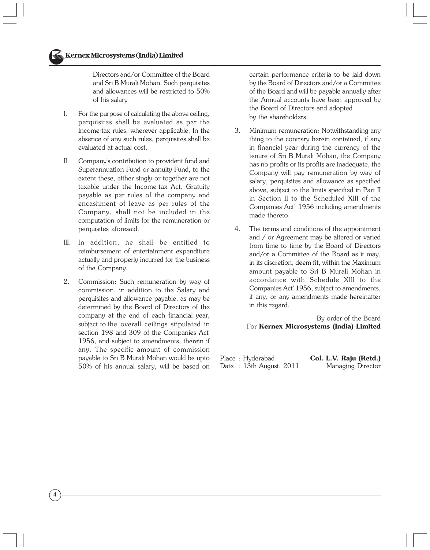Directors and/or Committee of the Board and Sri B Murali Mohan. Such perquisites and allowances will be restricted to 50% of his salary

- I. For the purpose of calculating the above ceiling, perquisites shall be evaluated as per the Income-tax rules, wherever applicable. In the absence of any such rules, perquisites shall be evaluated at actual cost.
- II. Company's contribution to provident fund and Superannuation Fund or annuity Fund, to the extent these, either singly or together are not taxable under the Income-tax Act, Gratuity payable as per rules of the company and encashment of leave as per rules of the Company, shall not be included in the computation of limits for the remuneration or perquisites aforesaid.
- III. In addition, he shall be entitled to reimbursement of entertainment expenditure actually and properly incurred for the business of the Company.
- 2. Commission: Such remuneration by way of commission, in addition to the Salary and perquisites and allowance payable, as may be determined by the Board of Directors of the company at the end of each financial year, subject to the overall ceilings stipulated in section 198 and 309 of the Companies Act' 1956, and subject to amendments, therein if any. The specific amount of commission payable to Sri B Murali Mohan would be upto 50% of his annual salary, will be based on

4

certain performance criteria to be laid down by the Board of Directors and/or a Committee of the Board and will be payable annually after the Annual accounts have been approved by the Board of Directors and adopted by the shareholders.

- 3. Minimum remuneration: Notwithstanding any thing to the contrary herein contained, if any in financial year during the currency of the tenure of Sri B Murali Mohan, the Company has no profits or its profits are inadequate, the Company will pay remuneration by way of salary, perquisites and allowance as specified above, subject to the limits specified in Part II in Section II to the Scheduled XIII of the Companies Act' 1956 including amendments made thereto.
- 4. The terms and conditions of the appointment and / or Agreement may be altered or varied from time to time by the Board of Directors and/or a Committee of the Board as it may, in its discretion, deem fit, within the Maximum amount payable to Sri B Murali Mohan in accordance with Schedule Xlll to the Companies Act' 1956, subject to amendments, if any, or any amendments made hereinafter in this regard.

 By order of the Board For **Kernex Microsystems (India) Limited**

Place : Hyderabad **Col. L.V. Raju (Retd.)** Date: 13th August, 2011 Managing Director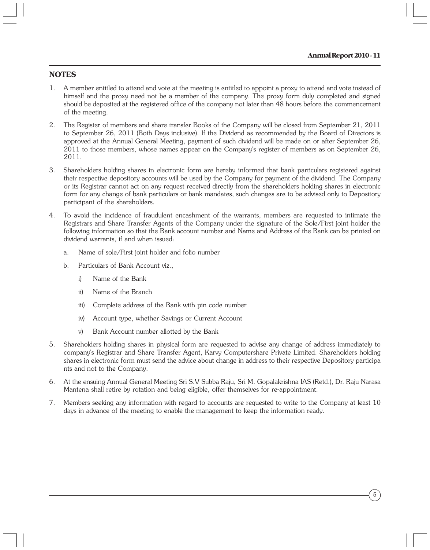# **NOTES**

- 1. A member entitled to attend and vote at the meeting is entitled to appoint a proxy to attend and vote instead of himself and the proxy need not be a member of the company. The proxy form duly completed and signed should be deposited at the registered office of the company not later than 48 hours before the commencement of the meeting.
- 2. The Register of members and share transfer Books of the Company will be closed from September 21, 2011 to September 26, 2011 (Both Days inclusive). If the Dividend as recommended by the Board of Directors is approved at the Annual General Meeting, payment of such dividend will be made on or after September 26, 2011 to those members, whose names appear on the Company's register of members as on September 26, 2011.
- 3. Shareholders holding shares in electronic form are hereby informed that bank particulars registered against their respective depository accounts will be used by the Company for payment of the dividend. The Company or its Registrar cannot act on any request received directly from the shareholders holding shares in electronic form for any change of bank particulars or bank mandates, such changes are to be advised only to Depository participant of the shareholders.
- 4. To avoid the incidence of fraudulent encashment of the warrants, members are requested to intimate the Registrars and Share Transfer Agents of the Company under the signature of the Sole/First joint holder the following information so that the Bank account number and Name and Address of the Bank can be printed on dividend warrants, if and when issued:
	- a. Name of sole/First joint holder and folio number
	- b. Particulars of Bank Account viz.,
		- i) Name of the Bank
		- ii) Name of the Branch
		- iii) Complete address of the Bank with pin code number
		- iv) Account type, whether Savings or Current Account
		- v) Bank Account number allotted by the Bank
- 5. Shareholders holding shares in physical form are requested to advise any change of address immediately to company's Registrar and Share Transfer Agent, Karvy Computershare Private Limited. Shareholders holding shares in electronic form must send the advice about change in address to their respective Depository participa nts and not to the Company.
- 6. At the ensuing Annual General Meeting Sri S.V Subba Raju, Sri M. Gopalakrishna IAS (Retd.), Dr. Raju Narasa Mantena shall retire by rotation and being eligible, offer themselves for re-appointment.
- 7. Members seeking any information with regard to accounts are requested to write to the Company at least 10 days in advance of the meeting to enable the management to keep the information ready.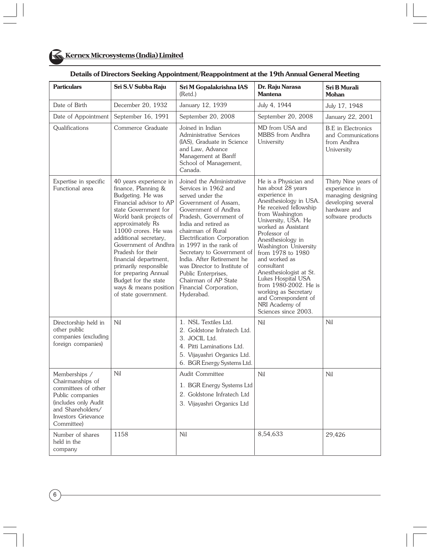| <b>Particulars</b>                                                                                                                                             | Sri S.V Subba Raju                                                                                                                                                                                                                                                                                                                                                                                                   | Sri M Gopalakrishna IAS<br>Dr. Raju Narasa<br><b>Mantena</b><br>(Retd.)                                                                                                                                                                                                                                                                                                                                                                  |                                                                                                                                                                                                                                                                                                                                                                                                                                                                         | <b>Sri B Murali</b><br><b>Mohan</b>                                                                                    |
|----------------------------------------------------------------------------------------------------------------------------------------------------------------|----------------------------------------------------------------------------------------------------------------------------------------------------------------------------------------------------------------------------------------------------------------------------------------------------------------------------------------------------------------------------------------------------------------------|------------------------------------------------------------------------------------------------------------------------------------------------------------------------------------------------------------------------------------------------------------------------------------------------------------------------------------------------------------------------------------------------------------------------------------------|-------------------------------------------------------------------------------------------------------------------------------------------------------------------------------------------------------------------------------------------------------------------------------------------------------------------------------------------------------------------------------------------------------------------------------------------------------------------------|------------------------------------------------------------------------------------------------------------------------|
| Date of Birth                                                                                                                                                  | December 20, 1932                                                                                                                                                                                                                                                                                                                                                                                                    | January 12, 1939                                                                                                                                                                                                                                                                                                                                                                                                                         | July 4, 1944                                                                                                                                                                                                                                                                                                                                                                                                                                                            | July 17, 1948                                                                                                          |
| Date of Appointment                                                                                                                                            | September 16, 1991                                                                                                                                                                                                                                                                                                                                                                                                   | September 20, 2008                                                                                                                                                                                                                                                                                                                                                                                                                       | September 20, 2008                                                                                                                                                                                                                                                                                                                                                                                                                                                      | January 22, 2001                                                                                                       |
| Qualifications                                                                                                                                                 | Commerce Graduate                                                                                                                                                                                                                                                                                                                                                                                                    | Joined in Indian<br>Administrative Services<br>(IAS), Graduate in Science<br>and Law, Advance<br>Management at Banff<br>School of Management,<br>Canada.                                                                                                                                                                                                                                                                                 | MD from USA and<br>MBBS from Andhra<br>University                                                                                                                                                                                                                                                                                                                                                                                                                       | <b>B.E</b> in Electronics<br>and Communications<br>from Andhra<br>University                                           |
| Expertise in specific<br>Functional area                                                                                                                       | 40 years experience in<br>finance, Planning &<br>Budgeting. He was<br>Financial advisor to AP<br>state Government for<br>World bank projects of<br>approximately Rs<br>11000 crores. He was<br>additional secretary,<br>Government of Andhra<br>Pradesh for their<br>financial department,<br>primarily responsible<br>for preparing Annual<br>Budget for the state<br>ways & means position<br>of state government. | Joined the Administrative<br>Services in 1962 and<br>served under the<br>Government of Assam,<br>Government of Andhra<br>Pradesh. Government of<br>India and retired as<br>chairman of Rural<br>Electrification Corporation<br>in 1997 in the rank of<br>Secretary to Government of<br>India. After Retirement he<br>was Director to Institute of<br>Public Enterprises,<br>Chairman of AP State<br>Financial Corporation,<br>Hyderabad. | He is a Physician and<br>has about 28 years<br>experience in<br>Anesthesiology in USA.<br>He received fellowship<br>from Washington<br>University, USA. He<br>worked as Assistant<br>Professor of<br>Anesthesiology in<br>Washington University<br>from 1978 to 1980<br>and worked as<br>consultant<br>Anesthesiologist at St.<br>Lukes Hospital USA<br>from 1980-2002. He is<br>working as Secretary<br>and Correspondent of<br>NRI Academy of<br>Sciences since 2003. | Thirty Nine years of<br>experience in<br>managing designing<br>developing several<br>hardware and<br>software products |
| Directorship held in<br>other public<br>companies (excluding<br>foreign companies)                                                                             | Nil                                                                                                                                                                                                                                                                                                                                                                                                                  | 1. NSL Textiles Ltd.<br>2. Goldstone Infratech Ltd.<br>3. JOCIL Ltd.<br>4. Pitti Laminations Ltd.<br>5. Vijayashri Organics Ltd.<br>6. BGR Energy Systems Ltd.                                                                                                                                                                                                                                                                           | Nil                                                                                                                                                                                                                                                                                                                                                                                                                                                                     | Nil                                                                                                                    |
| Memberships /<br>Chairmanships of<br>committees of other<br>Public companies<br>(includes only Audit<br>and Shareholders/<br>Investors Grievance<br>Committee) | Nil                                                                                                                                                                                                                                                                                                                                                                                                                  | Audit Committee<br>1. BGR Energy Systems Ltd<br>2. Goldstone Infratech Ltd<br>3. Vijayashri Organics Ltd                                                                                                                                                                                                                                                                                                                                 | Nil                                                                                                                                                                                                                                                                                                                                                                                                                                                                     | Nil                                                                                                                    |
| Number of shares<br>held in the<br>company                                                                                                                     | 1158                                                                                                                                                                                                                                                                                                                                                                                                                 | Nil                                                                                                                                                                                                                                                                                                                                                                                                                                      | 8,54,633                                                                                                                                                                                                                                                                                                                                                                                                                                                                | 29,426                                                                                                                 |

#### **Details of Directors Seeking Appointment/Reappointment at the 19th Annual General Meeting**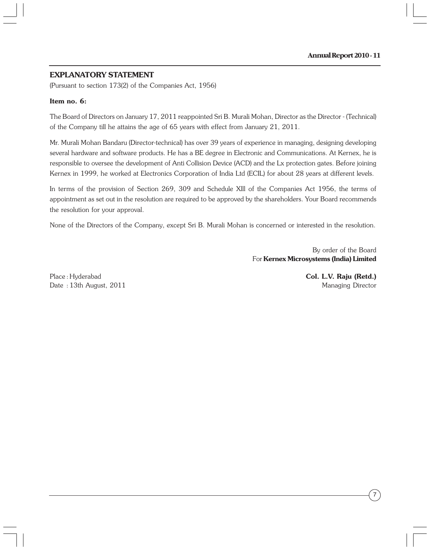# **EXPLANATORY STATEMENT**

(Pursuant to section 173(2) of the Companies Act, 1956)

#### **Item no. 6:**

The Board of Directors on January 17, 2011 reappointed Sri B. Murali Mohan, Director as the Director - (Technical) of the Company till he attains the age of 65 years with effect from January 21, 2011.

Mr. Murali Mohan Bandaru (Director-technical) has over 39 years of experience in managing, designing developing several hardware and software products. He has a BE degree in Electronic and Communications. At Kernex, he is responsible to oversee the development of Anti Collision Device (ACD) and the Lx protection gates. Before joining Kernex in 1999, he worked at Electronics Corporation of India Ltd (ECIL) for about 28 years at different levels.

In terms of the provision of Section 269, 309 and Schedule Xlll of the Companies Act 1956, the terms of appointment as set out in the resolution are required to be approved by the shareholders. Your Board recommends the resolution for your approval.

None of the Directors of the Company, except Sri B. Murali Mohan is concerned or interested in the resolution.

 By order of the Board For **Kernex Microsystems (India) Limited**

Place : Hyderabad **Col. L.V. Raju (Retd.)** Date : 13th August, 2011 **Managing Director** Managing Director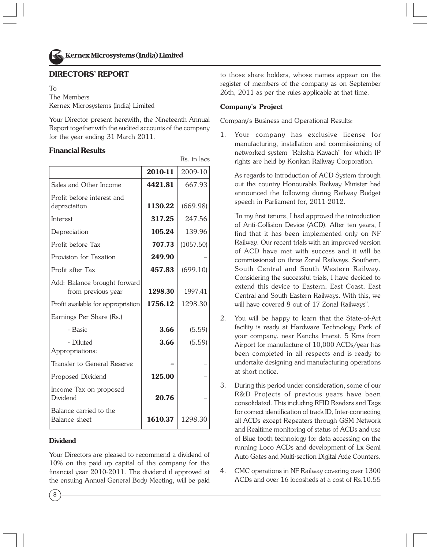

# **DIRECTORS' REPORT**

To

The Members Kernex Microsystems (India) Limited

Your Director present herewith, the Nineteenth Annual Report together with the audited accounts of the company for the year ending 31 March 2011.

#### **Financial Results**

|                                                    | 2010-11 | 2009-10   |
|----------------------------------------------------|---------|-----------|
| Sales and Other Income                             | 4421.81 | 667.93    |
| Profit before interest and<br>depreciation         | 1130.22 | (669.98)  |
| Interest                                           | 317.25  | 247.56    |
| Depreciation                                       | 105.24  | 139.96    |
| Profit before Tax                                  | 707.73  | (1057.50) |
| Provision for Taxation                             | 249.90  |           |
| Profit after Tax                                   | 457.83  | (699.10)  |
| Add: Balance brought forward<br>from previous year | 1298.30 | 1997.41   |
| Profit available for appropriation                 | 1756.12 | 1298.30   |
| Earnings Per Share (Rs.)                           |         |           |
| - Basic                                            | 3.66    | (5.59)    |
| - Diluted<br>Appropriations:                       | 3.66    | (5.59)    |
| Transfer to General Reserve                        |         |           |
| Proposed Dividend                                  | 125.00  |           |
| Income Tax on proposed<br>Dividend                 | 20.76   |           |
| Balance carried to the<br>Balance sheet            | 1610.37 | 1298.30   |

#### **Dividend**

8

Your Directors are pleased to recommend a dividend of 10% on the paid up capital of the company for the financial year 2010-2011. The dividend if approved at the ensuing Annual General Body Meeting, will be paid

to those share holders, whose names appear on the register of members of the company as on September 26th, 2011 as per the rules applicable at that time.

#### **Company's Project**

Rs. in lacs

Company's Business and Operational Results:

1. Your company has exclusive license for manufacturing, installation and commissioning of networked system "Raksha Kavach" for which IP rights are held by Konkan Railway Corporation.

As regards to introduction of ACD System through out the country Honourable Railway Minister had announced the following during Railway Budget speech in Parliament for, 2011-2012.

"In my first tenure, I had approved the introduction of Anti-Collision Device (ACD). After ten years, I find that it has been implemented only on NF Railway. Our recent trials with an improved version of ACD have met with success and it will be commissioned on three Zonal Railways, Southern, South Central and South Western Railway. Considering the successful trials, I have decided to extend this device to Eastern, East Coast, East Central and South Eastern Railways. With this, we will have covered 8 out of 17 Zonal Railways".

- 2. You will be happy to learn that the State-of-Art facility is ready at Hardware Technology Park of your company, near Kancha Imarat, 5 Kms from Airport for manufacture of 10,000 ACDs/year has been completed in all respects and is ready to undertake designing and manufacturing operations at short notice.
- 3. During this period under consideration, some of our R&D Projects of previous years have been consolidated. This including RFID Readers and Tags for correct identification of track ID, Inter-connecting all ACDs except Repeaters through GSM Network and Realtime monitoring of status of ACDs and use of Blue tooth technology for data accessing on the running Loco ACDs and development of Lx Semi Auto Gates and Multi-section Digital Axle Counters.
- 4. CMC operations in NF Railway covering over 1300 ACDs and over 16 locosheds at a cost of Rs.10.55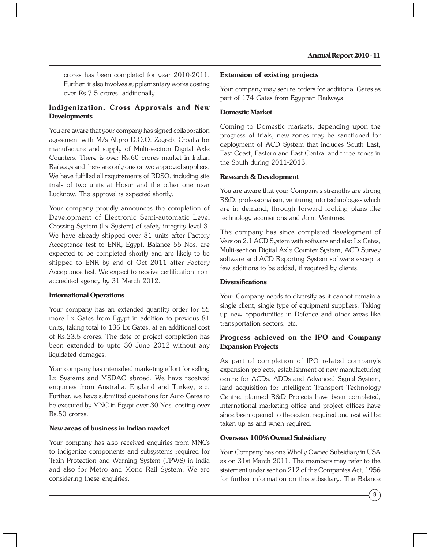crores has been completed for year 2010-2011. Further, it also involves supplementary works costing over Rs.7.5 crores, additionally.

#### **Indigenization, Cross Approvals and New Developments**

You are aware that your company has signed collaboration agreement with M/s Altpro D.O.O. Zagreb, Croatia for manufacture and supply of Multi-section Digital Axle Counters. There is over Rs.60 crores market in Indian Railways and there are only one or two approved suppliers. We have fulfilled all requirements of RDSO, including site trials of two units at Hosur and the other one near Lucknow. The approval is expected shortly.

Your company proudly announces the completion of Development of Electronic Semi-automatic Level Crossing System (Lx System) of safety integrity level 3. We have already shipped over 81 units after Factory Acceptance test to ENR, Egypt. Balance 55 Nos. are expected to be completed shortly and are likely to be shipped to ENR by end of Oct 2011 after Factory Acceptance test. We expect to receive certification from accredited agency by 31 March 2012.

#### **International Operations**

Your company has an extended quantity order for 55 more Lx Gates from Egypt in addition to previous 81 units, taking total to 136 Lx Gates, at an additional cost of Rs.23.5 crores. The date of project completion has been extended to upto 30 June 2012 without any liquidated damages.

Your company has intensified marketing effort for selling Lx Systems and MSDAC abroad. We have received enquiries from Australia, England and Turkey, etc. Further, we have submitted quotations for Auto Gates to be executed by MNC in Egypt over 30 Nos. costing over Rs.50 crores.

#### **New areas of business in Indian market**

Your company has also received enquiries from MNCs to indigenize components and subsystems required for Train Protection and Warning System (TPWS) in India and also for Metro and Mono Rail System. We are considering these enquiries.

#### **Extension of existing projects**

Your company may secure orders for additional Gates as part of 174 Gates from Egyptian Railways.

#### **Domestic Market**

Coming to Domestic markets, depending upon the progress of trials, new zones may be sanctioned for deployment of ACD System that includes South East, East Coast, Eastern and East Central and three zones in the South during 2011-2013.

#### **Research & Development**

You are aware that your Company's strengths are strong R&D, professionalism, venturing into technologies which are in demand, through forward looking plans like technology acquisitions and Joint Ventures.

The company has since completed development of Version 2.1 ACD System with software and also Lx Gates, Multi-section Digital Axle Counter System, ACD Survey software and ACD Reporting System software except a few additions to be added, if required by clients.

#### **Diversifications**

Your Company needs to diversify as it cannot remain a single client, single type of equipment suppliers. Taking up new opportunities in Defence and other areas like transportation sectors, etc.

#### **Progress achieved on the IPO and Company Expansion Projects**

As part of completion of IPO related company's expansion projects, establishment of new manufacturing centre for ACDs, ADDs and Advanced Signal System, land acquisition for Intelligent Transport Technology Centre, planned R&D Projects have been completed, International marketing office and project offices have since been opened to the extent required and rest will be taken up as and when required.

#### **Overseas 100% Owned Subsidiary**

Your Company has one Wholly Owned Subsidiary in USA as on 31st March 2011. The members may refer to the statement under section 212 of the Companies Act, 1956 for further information on this subsidiary. The Balance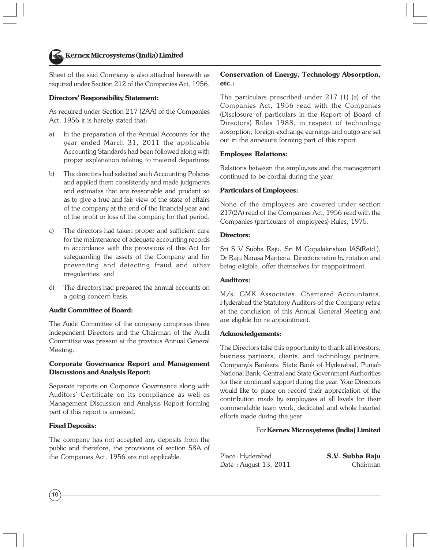Sheet of the said Company is also attached herewith as required under Section 212 of the Companies Act, 1956.

#### **Directors' Responsibility Statement:**

As required under Section 217 (2AA) of the Companies Act, 1956 it is hereby stated that:

- a) In the preparation of the Annual Accounts for the year ended March 31, 2011 the applicable Accounting Standards had been followed along with proper explanation relating to material departures
- b) The directors had selected such Accounting Policies and applied them consistently and made judgments and estimates that are reasonable and prudent so as to give a true and fair view of the state of affairs of the company at the end of the financial year and of the profit or loss of the company for that period.
- c) The directors had taken proper and sufficient care for the maintenance of adequate accounting records in accordance with the provisions of this Act for safeguarding the assets of the Company and for preventing and detecting fraud and other irregularities; and
- d) The directors had prepared the annual accounts on a going concern basis.

#### **Audit Committee of Board:**

The Audit Committee of the company comprises three independent Directors and the Chairman of the Audit Committee was present at the previous Annual General Meeting.

#### **Corporate Governance Report and Management Discussions and Analysis Report:**

Separate reports on Corporate Governance along with Auditors' Certificate on its compliance as well as Management Discussion and Analysis Report forming part of this report is annexed.

#### **Fixed Deposits:**

The company has not accepted any deposits from the public and therefore, the provisions of section 58A of the Companies Act, 1956 are not applicable.

#### **Conservation of Energy, Technology Absorption, etc.:**

The particulars prescribed under 217 (1) (e) of the Companies Act, 1956 read with the Companies (Disclosure of particulars in the Report of Board of Directors) Rules 1988, in respect of technology absorption, foreign exchange earnings and outgo are set out in the annexure forming part of this report.

#### **Employee Relations:**

Relations between the employees and the management continued to be cordial during the year.

#### **Particulars of Employees:**

None of the employees are covered under section 217(2A) read of the Companies Act, 1956 read with the Companies (particulars of employees) Rules, 1975.

#### **Directors:**

Sri S V Subba Raju, Sri M Gopalakrishan IAS(Retd.), Dr Raju Narasa Mantena, Directors retire by rotation and being eligible, offer themselves for reappointment.

#### **Auditors:**

M/s. GMK Associates, Chartered Accountants, Hyderabad the Statutory Auditors of the Company retire at the conclusion of this Annual General Meeting and are eligible for re-appointment.

#### **Acknowledgements:**

The Directors take this opportunity to thank all investors, business partners, clients, and technology partners, Company's Bankers, State Bank of Hyderabad, Punjab National Bank, Central and State Government Authorities for their continued support during the year. Your Directors would like to place on record their appreciation of the contribution made by employees at all levels for their commendable team work, dedicated and whole hearted efforts made during the year.

#### For **Kernex Microsystems (India) Limited**

| Place: Hyderabad      | S.V. Subba Raju |
|-----------------------|-----------------|
| Date: August 13, 2011 | Chairman        |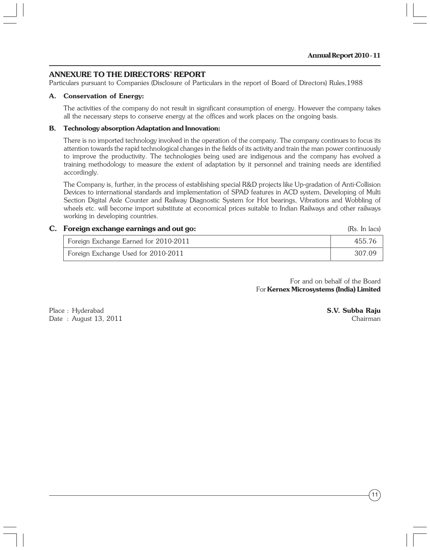#### **ANNEXURE TO THE DIRECTORS' REPORT**

Particulars pursuant to Companies (Disclosure of Particulars in the report of Board of Directors) Rules,1988

#### **A. Conservation of Energy:**

The activities of the company do not result in significant consumption of energy. However the company takes all the necessary steps to conserve energy at the offices and work places on the ongoing basis.

#### **B. Technology absorption Adaptation and Innovation:**

There is no imported technology involved in the operation of the company. The company continues to focus its attention towards the rapid technological changes in the fields of its activity and train the man power continuously to improve the productivity. The technologies being used are indigenous and the company has evolved a training methodology to measure the extent of adaptation by it personnel and training needs are identified accordingly.

The Company is, further, in the process of establishing special R&D projects like Up-gradation of Anti-Collision Devices to international standards and implementation of SPAD features in ACD system, Developing of Multi Section Digital Axle Counter and Railway Diagnostic System for Hot bearings, Vibrations and Wobbling of wheels etc. will become import substitute at economical prices suitable to Indian Railways and other railways working in developing countries.

# **C. Foreign exchange earnings and out go:** (Rs. In lacs) (Rs. In lacs)

| Foreign Exchange Earned for 2010-2011 | 455.76 |
|---------------------------------------|--------|
| Foreign Exchange Used for 2010-2011   | 307.09 |

For and on behalf of the Board For **Kernex Microsystems (India) Limited**

Place : Hyderabad **S.V. Subba Raju** Date : August 13, 2011 Chairman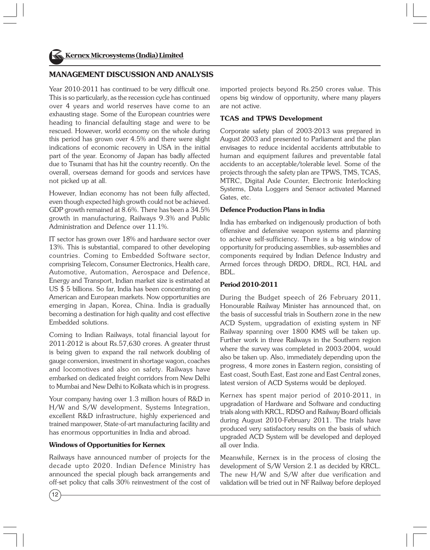#### **MANAGEMENT DISCUSSION AND ANALYSIS**

Year 2010-2011 has continued to be very difficult one. This is so particularly, as the recession cycle has continued over 4 years and world reserves have come to an exhausting stage. Some of the European countries were heading to financial defaulting stage and were to be rescued. However, world economy on the whole during this period has grown over 4.5% and there were slight indications of economic recovery in USA in the initial part of the year. Economy of Japan has badly affected due to Tsunami that has hit the country recently. On the overall, overseas demand for goods and services have not picked up at all.

However, Indian economy has not been fully affected, even though expected high growth could not be achieved. GDP growth remained at 8.6%. There has been a 34.5% growth in manufacturing, Railways 9.3% and Public Administration and Defence over 11.1%.

IT sector has grown over 18% and hardware sector over 13%. This is substantial, compared to other developing countries. Coming to Embedded Software sector, comprising Telecom, Consumer Electronics, Health care, Automotive, Automation, Aerospace and Defence, Energy and Transport, Indian market size is estimated at US \$ 5 billions. So far, India has been concentrating on American and European markets. Now opportunities are emerging in Japan, Korea, China. India is gradually becoming a destination for high quality and cost effective Embedded solutions.

Coming to Indian Railways, total financial layout for 2011-2012 is about Rs.57,630 crores. A greater thrust is being given to expand the rail network doubling of gauge conversion, investment in shortage wagon, coaches and locomotives and also on safety. Railways have embarked on dedicated freight corridors from New Delhi to Mumbai and New Delhi to Kolkata which is in progress.

Your company having over 1.3 million hours of R&D in H/W and S/W development, Systems Integration, excellent R&D infrastructure, highly experienced and trained manpower, State-of-art manufacturing facility and has enormous opportunities in India and abroad.

#### **Windows of Opportunities for Kernex**

Railways have announced number of projects for the decade upto 2020. Indian Defence Ministry has announced the special plough back arrangements and off-set policy that calls 30% reinvestment of the cost of

imported projects beyond Rs.250 crores value. This opens big window of opportunity, where many players are not active.

#### **TCAS and TPWS Development**

Corporate safety plan of 2003-2013 was prepared in August 2003 and presented to Parliament and the plan envisages to reduce incidental accidents attributable to human and equipment failures and preventable fatal accidents to an acceptable/tolerable level. Some of the projects through the safety plan are TPWS, TMS, TCAS, MTRC, Digital Axle Counter, Electronic Interlocking Systems, Data Loggers and Sensor activated Manned Gates, etc.

#### **Defence Production Plans in India**

India has embarked on indigenously production of both offensive and defensive weapon systems and planning to achieve self-sufficiency. There is a big window of opportunity for producing assemblies, sub-assemblies and components required by Indian Defence Industry and Armed forces through DRDO, DRDL, RCI, HAL and BDL.

#### **Period 2010-2011**

During the Budget speech of 26 February 2011, Honourable Railway Minister has announced that, on the basis of successful trials in Southern zone in the new ACD System, upgradation of existing system in NF Railway spanning over 1800 KMS will be taken up. Further work in three Railways in the Southern region where the survey was completed in 2003-2004, would also be taken up. Also, immediately depending upon the progress, 4 more zones in Eastern region, consisting of East coast, South East, East zone and East Central zones, latest version of ACD Systems would be deployed.

Kernex has spent major period of 2010-2011, in upgradation of Hardware and Software and conducting trials along with KRCL, RDSO and Railway Board officials during August 2010-February 2011. The trials have produced very satisfactory results on the basis of which upgraded ACD System will be developed and deployed all over India.

Meanwhile, Kernex is in the process of closing the development of S/W Version 2.1 as decided by KRCL. The new H/W and S/W after due verification and validation will be tried out in NF Railway before deployed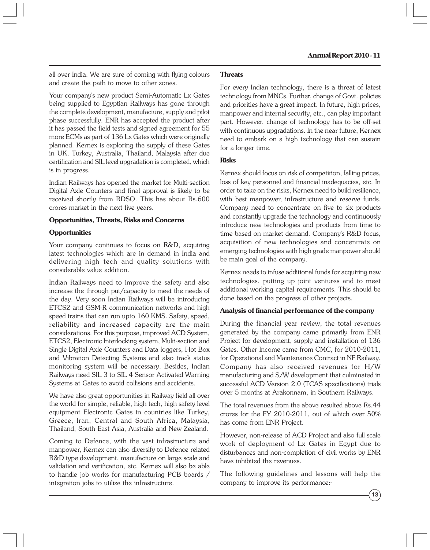all over India. We are sure of coming with flying colours and create the path to move to other zones.

Your company's new product Semi-Automatic Lx Gates being supplied to Egyptian Railways has gone through the complete development, manufacture, supply and pilot phase successfully. ENR has accepted the product after it has passed the field tests and signed agreement for 55 more ECMs as part of 136 Lx Gates which were originally planned. Kernex is exploring the supply of these Gates in UK, Turkey, Australia, Thailand, Malaysia after due certification and SIL level upgradation is completed, which is in progress.

Indian Railways has opened the market for Multi-section Digital Axle Counters and final approval is likely to be received shortly from RDSO. This has about Rs.600 crores market in the next five years.

#### **Opportunities, Threats, Risks and Concerns**

#### **Opportunities**

Your company continues to focus on R&D, acquiring latest technologies which are in demand in India and delivering high tech and quality solutions with considerable value addition.

Indian Railways need to improve the safety and also increase the through put/capacity to meet the needs of the day. Very soon Indian Railways will be introducing ETCS2 and GSM-R communication networks and high speed trains that can run upto 160 KMS. Safety, speed, reliability and increased capacity are the main considerations. For this purpose, improved ACD System, ETCS2, Electronic Interlocking system, Multi-section and Single Digital Axle Counters and Data loggers, Hot Box and Vibration Detecting Systems and also track status monitoring system will be necessary. Besides, Indian Railways need SIL 3 to SIL 4 Sensor Activated Warning Systems at Gates to avoid collisions and accidents.

We have also great opportunities in Railway field all over the world for simple, reliable, high tech, high safety level equipment Electronic Gates in countries like Turkey, Greece, Iran, Central and South Africa, Malaysia, Thailand, South East Asia, Australia and New Zealand.

Coming to Defence, with the vast infrastructure and manpower, Kernex can also diversify to Defence related R&D type development, manufacture on large scale and validation and verification, etc. Kernex will also be able to handle job works for manufacturing PCB boards / integration jobs to utilize the infrastructure.

#### **Threats**

For every Indian technology, there is a threat of latest technology from MNCs. Further, change of Govt. policies and priorities have a great impact. In future, high prices, manpower and internal security, etc., can play important part. However, change of technology has to be off-set with continuous upgradations. In the near future, Kernex need to embark on a high technology that can sustain for a longer time.

#### **Risks**

Kernex should focus on risk of competition, falling prices, loss of key personnel and financial inadequacies, etc. In order to take on the risks, Kernex need to build resilience, with best manpower, infrastructure and reserve funds. Company need to concentrate on five to six products and constantly upgrade the technology and continuously introduce new technologies and products from time to time based on market demand. Company's R&D focus, acquisition of new technologies and concentrate on emerging technologies with high grade manpower should be main goal of the company.

Kernex needs to infuse additional funds for acquiring new technologies, putting up joint ventures and to meet additional working capital requirements. This should be done based on the progress of other projects.

#### **Analysis of financial performance of the company**

During the financial year review, the total revenues generated by the company came primarily from ENR Project for development, supply and installation of 136 Gates. Other Income came from CMC, for 2010-2011, for Operational and Maintenance Contract in NF Railway. Company has also received revenues for H/W manufacturing and S/W development that culminated in successful ACD Version 2.0 (TCAS specifications) trials over 5 months at Arakonnam, in Southern Railways.

The total revenues from the above resulted above Rs.44 crores for the FY 2010-2011, out of which over 50% has come from ENR Project.

However, non-release of ACD Project and also full scale work of deployment of Lx Gates in Egypt due to disturbances and non-completion of civil works by ENR have inhibited the revenues.

The following guidelines and lessons will help the company to improve its performance:-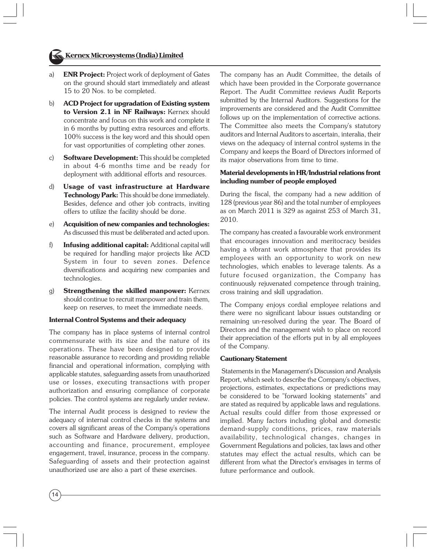- 
- a) **ENR Project:** Project work of deployment of Gates on the ground should start immediately and atleast 15 to 20 Nos. to be completed.
- b) **ACD Project for upgradation of Existing system to Version 2.1 in NF Railways:** Kernex should concentrate and focus on this work and complete it in 6 months by putting extra resources and efforts. 100% success is the key word and this should open for vast opportunities of completing other zones.
- c) **Software Development:** This should be completed in about 4-6 months time and be ready for deployment with additional efforts and resources.
- d) **Usage of vast infrastructure at Hardware Technology Park:** This should be done immediately. Besides, defence and other job contracts, inviting offers to utilize the facility should be done.
- e) **Acquisition of new companies and technologies:** As discussed this must be deliberated and acted upon.
- f) **Infusing additional capital:** Additional capital will be required for handling major projects like ACD System in four to seven zones. Defence diversifications and acquiring new companies and technologies.
- g) **Strengthening the skilled manpower:** Kernex should continue to recruit manpower and train them, keep on reserves, to meet the immediate needs.

#### **Internal Control Systems and their adequacy**

The company has in place systems of internal control commensurate with its size and the nature of its operations. These have been designed to provide reasonable assurance to recording and providing reliable financial and operational information, complying with applicable statutes, safeguarding assets from unauthorized use or losses, executing transactions with proper authorization and ensuring compliance of corporate policies. The control systems are regularly under review.

The internal Audit process is designed to review the adequacy of internal control checks in the systems and covers all significant areas of the Company's operations such as Software and Hardware delivery, production, accounting and finance, procurement, employee engagement, travel, insurance, process in the company. Safeguarding of assets and their protection against unauthorized use are also a part of these exercises.

The company has an Audit Committee, the details of which have been provided in the Corporate governance Report. The Audit Committee reviews Audit Reports submitted by the Internal Auditors. Suggestions for the improvements are considered and the Audit Committee follows up on the implementation of corrective actions. The Committee also meets the Company's statutory auditors and Internal Auditors to ascertain, interalia, their views on the adequacy of internal control systems in the Company and keeps the Board of Directors informed of its major observations from time to time.

#### **Material developments in HR/Industrial relations front including number of people employed**

During the fiscal, the company had a new addition of 128 (previous year 86) and the total number of employees as on March 2011 is 329 as against 253 of March 31, 2010.

The company has created a favourable work environment that encourages innovation and meritocracy besides having a vibrant work atmosphere that provides its employees with an opportunity to work on new technologies, which enables to leverage talents. As a future focused organization, the Company has continuously rejuvenated competence through training, cross training and skill upgradation.

The Company enjoys cordial employee relations and there were no significant labour issues outstanding or remaining un-resolved during the year. The Board of Directors and the management wish to place on record their appreciation of the efforts put in by all employees of the Company.

#### **Cautionary Statement**

 Statements in the Management's Discussion and Analysis Report, which seek to describe the Company's objectives, projections, estimates, expectations or predictions may be considered to be "forward looking statements" and are stated as required by applicable laws and regulations. Actual results could differ from those expressed or implied. Many factors including global and domestic demand-supply conditions, prices, raw materials availability, technological changes, changes in Government Regulations and policies, tax laws and other statutes may effect the actual results, which can be different from what the Director's envisages in terms of future performance and outlook.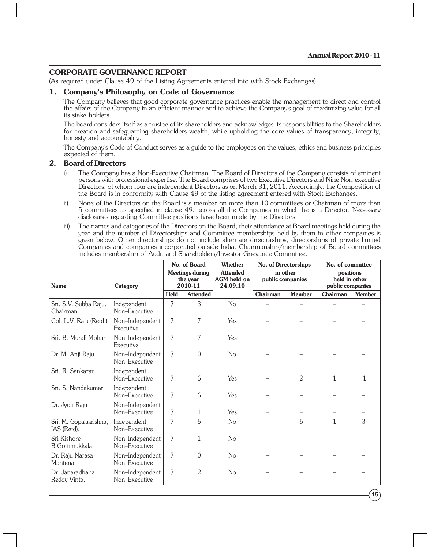#### **CORPORATE GOVERNANCE REPORT**

(As required under Clause 49 of the Listing Agreements entered into with Stock Exchanges)

#### **1. Company's Philosophy on Code of Governance**

The Company believes that good corporate governance practices enable the management to direct and control the affairs of the Company in an efficient manner and to achieve the Company's goal of maximizing value for all its stake holders.

The board considers itself as a trustee of its shareholders and acknowledges its responsibilities to the Shareholders for creation and safeguarding shareholders wealth, while upholding the core values of transparency, integrity, honesty and accountability.

The Company's Code of Conduct serves as a guide to the employees on the values, ethics and business principles expected of them.

#### **2. Board of Directors**

- i) The Company has a Non-Executive Chairman. The Board of Directors of the Company consists of eminent persons with professional expertise. The Board comprises of two Executive Directors and Nine Non-executive Directors, of whom four are independent Directors as on March 31, 2011. Accordingly, the Composition of the Board is in conformity with Clause 49 of the listing agreement entered with Stock Exchanges.
- ii) None of the Directors on the Board is a member on more than 10 committees or Chairman of more than 5 committees as specified in clause 49, across all the Companies in which he is a Director. Necessary disclosures regarding Committee positions have been made by the Directors.
- iii) The names and categories of the Directors on the Board, their attendance at Board meetings held during the year and the number of Directorships and Committee memberships held by them in other companies is given below. Other directorships do not include alternate directorships, directorships of private limited Companies and companies incorporated outside India. Chairmanship/membership of Board committees includes membership of Audit and Shareholders/Investor Grievance Committee.

| <b>Name</b>                           | Category                         |      | No. of Board<br>Whether<br>No. of Directorships<br><b>Attended</b><br>in other<br><b>Meetings during</b><br>AGM held on<br>public companies<br>the year<br>2010-11<br>24.09.10 |                |          |                | No. of committee<br>positions<br>held in other<br>public companies |               |  |
|---------------------------------------|----------------------------------|------|--------------------------------------------------------------------------------------------------------------------------------------------------------------------------------|----------------|----------|----------------|--------------------------------------------------------------------|---------------|--|
|                                       |                                  | Held | <b>Attended</b>                                                                                                                                                                |                | Chairman | <b>Member</b>  | Chairman                                                           | <b>Member</b> |  |
| Sri. S.V. Subba Raju,<br>Chairman     | Independent<br>Non-Executive     | 7    | 3                                                                                                                                                                              | N <sub>o</sub> |          |                |                                                                    |               |  |
| Col. L.V. Raju (Retd.)                | Non-Independent<br>Executive     | 7    | 7                                                                                                                                                                              | Yes            |          |                |                                                                    |               |  |
| Sri. B. Murali Mohan                  | Non-Independent<br>Executive     | 7    | 7                                                                                                                                                                              | Yes            |          |                |                                                                    |               |  |
| Dr. M. Anji Raju                      | Non-Independent<br>Non-Executive | 7    | $\theta$                                                                                                                                                                       | N <sub>o</sub> |          |                |                                                                    |               |  |
| Sri. R. Sankaran                      | Independent<br>Non-Executive     | 7    | 6                                                                                                                                                                              | Yes            |          | $\overline{2}$ | 1                                                                  |               |  |
| Sri. S. Nandakumar                    | Independent<br>Non-Executive     | 7    | 6                                                                                                                                                                              | Yes            |          |                |                                                                    |               |  |
| Dr. Jyoti Raju                        | Non-Independent<br>Non-Executive | 7    | 1                                                                                                                                                                              | Yes            |          |                |                                                                    |               |  |
| Sri. M. Gopalakrishna,<br>IAS (Retd), | Independent<br>Non-Executive     | 7    | 6                                                                                                                                                                              | N <sub>o</sub> |          | 6              | 1                                                                  | 3             |  |
| Sri Kishore<br><b>B</b> Gottimukkala  | Non-Independent<br>Non-Executive | 7    | 1                                                                                                                                                                              | No             |          |                |                                                                    |               |  |
| Dr. Raju Narasa<br>Mantena            | Non-Independent<br>Non-Executive | 7    | 0                                                                                                                                                                              | No             |          |                |                                                                    |               |  |
| Dr. Janaradhana<br>Reddy Vinta.       | Non-Independent<br>Non-Executive | 7    | 2                                                                                                                                                                              | N <sub>o</sub> |          |                |                                                                    |               |  |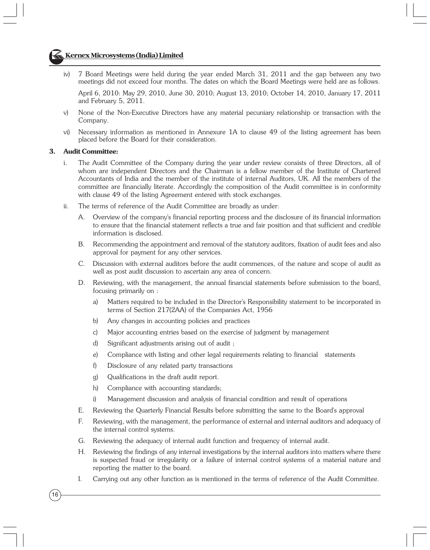# **Kernex Microsystems (India) Limited**

iv) 7 Board Meetings were held during the year ended March 31, 2011 and the gap between any two meetings did not exceed four months. The dates on which the Board Meetings were held are as follows.

April 6, 2010: May 29, 2010, June 30, 2010; August 13, 2010; October 14, 2010, January 17, 2011 and February 5, 2011.

- v) None of the Non-Executive Directors have any material pecuniary relationship or transaction with the Company.
- vi) Necessary information as mentioned in Annexure 1A to clause 49 of the listing agreement has been placed before the Board for their consideration.

#### **3. Audit Committee:**

- i. The Audit Committee of the Company during the year under review consists of three Directors, all of whom are independent Directors and the Chairman is a fellow member of the Institute of Chartered Accountants of India and the member of the institute of internal Auditors, UK. All the members of the committee are financially literate. Accordingly the composition of the Audit committee is in conformity with clause 49 of the listing Agreement entered with stock exchanges.
- ii. The terms of reference of the Audit Committee are broadly as under:
	- A. Overview of the company's financial reporting process and the disclosure of its financial information to ensure that the financial statement reflects a true and fair position and that sufficient and credible information is disclosed.
	- B. Recommending the appointment and removal of the statutory auditors, fixation of audit fees and also approval for payment for any other services.
	- C. Discussion with external auditors before the audit commences, of the nature and scope of audit as well as post audit discussion to ascertain any area of concern.
	- D. Reviewing, with the management, the annual financial statements before submission to the board, focusing primarily on :
		- a) Matters required to be included in the Director's Responsibility statement to be incorporated in terms of Section 217(2AA) of the Companies Act, 1956
		- b) Any changes in accounting policies and practices
		- c) Major accounting entries based on the exercise of judgment by management
		- d) Significant adjustments arising out of audit ;
		- e) Compliance with listing and other legal requirements relating to financial statements
		- f) Disclosure of any related party transactions
		- g) Qualifications in the draft audit report.
		- h) Compliance with accounting standards;
		- i) Management discussion and analysis of financial condition and result of operations
	- E. Reviewing the Quarterly Financial Results before submitting the same to the Board's approval
	- F. Reviewing, with the management, the performance of external and internal auditors and adequacy of the internal control systems.
	- G. Reviewing the adequacy of internal audit function and frequency of internal audit.
	- H. Reviewing the findings of any internal investigations by the internal auditors into matters where there is suspected fraud or irregularity or a failure of internal control systems of a material nature and reporting the matter to the board.
	- I. Carrying out any other function as is mentioned in the terms of reference of the Audit Committee.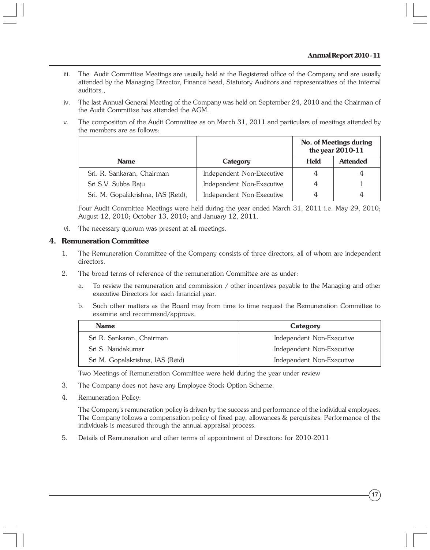- iii. The Audit Committee Meetings are usually held at the Registered office of the Company and are usually attended by the Managing Director, Finance head, Statutory Auditors and representatives of the internal auditors.,
- iv. The last Annual General Meeting of the Company was held on September 24, 2010 and the Chairman of the Audit Committee has attended the AGM.
- v. The composition of the Audit Committee as on March 31, 2011 and particulars of meetings attended by the members are as follows:

|                                    |                           | No. of Meetings during<br>the year 2010-11 |                 |
|------------------------------------|---------------------------|--------------------------------------------|-----------------|
| <b>Name</b>                        | Category                  | <b>Held</b>                                | <b>Attended</b> |
| Sri. R. Sankaran, Chairman         | Independent Non-Executive | 4                                          | 4               |
| Sri S.V. Subba Raju                | Independent Non-Executive | 4                                          |                 |
| Sri. M. Gopalakrishna, IAS (Retd), | Independent Non-Executive | 4                                          |                 |

Four Audit Committee Meetings were held during the year ended March 31, 2011 i.e. May 29, 2010; August 12, 2010; October 13, 2010; and January 12, 2011.

vi. The necessary quorum was present at all meetings.

#### **4. Remuneration Committee**

- 1. The Remuneration Committee of the Company consists of three directors, all of whom are independent directors.
- 2. The broad terms of reference of the remuneration Committee are as under:
	- a. To review the remuneration and commission / other incentives payable to the Managing and other executive Directors for each financial year.
	- b. Such other matters as the Board may from time to time request the Remuneration Committee to examine and recommend/approve.

| <b>Name</b>                      | Category                  |
|----------------------------------|---------------------------|
| Sri R. Sankaran, Chairman        | Independent Non-Executive |
| Sri S. Nandakumar                | Independent Non-Executive |
| Sri M. Gopalakrishna, IAS (Retd) | Independent Non-Executive |

Two Meetings of Remuneration Committee were held during the year under review

- 3. The Company does not have any Employee Stock Option Scheme.
- 4. Remuneration Policy:

The Company's remuneration policy is driven by the success and performance of the individual employees. The Company follows a compensation policy of fixed pay, allowances & perquisites. Performance of the individuals is measured through the annual appraisal process.

5. Details of Remuneration and other terms of appointment of Directors: for 2010-2011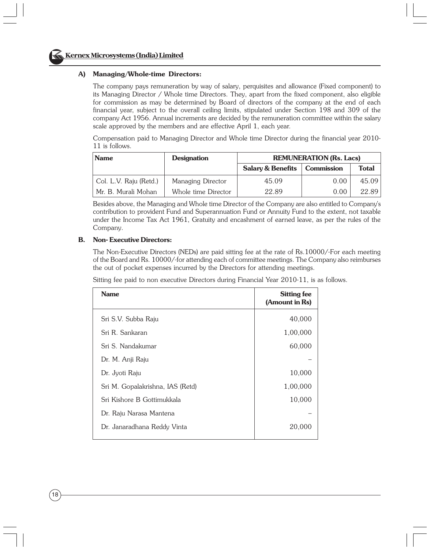#### **A) Managing/Whole-time Directors:**

The company pays remuneration by way of salary, perquisites and allowance (Fixed component) to its Managing Director / Whole time Directors. They, apart from the fixed component, also eligible for commission as may be determined by Board of directors of the company at the end of each financial year, subject to the overall ceiling limits, stipulated under Section 198 and 309 of the company Act 1956. Annual increments are decided by the remuneration committee within the salary scale approved by the members and are effective April 1, each year.

Compensation paid to Managing Director and Whole time Director during the financial year 2010- 11 is follows.

| <b>Name</b>            | <b>Designation</b>  | <b>REMUNERATION (Rs. Lacs)</b> |                   |              |
|------------------------|---------------------|--------------------------------|-------------------|--------------|
|                        |                     | <b>Salary &amp; Benefits</b>   | <b>Commission</b> | <b>Total</b> |
| Col. L.V. Raju (Retd.) | Managing Director   | 45.09                          | 0.00              | 45.09        |
| Mr. B. Murali Mohan    | Whole time Director | 22.89                          | 0.00              | 22.89        |

Besides above, the Managing and Whole time Director of the Company are also entitled to Company's contribution to provident Fund and Superannuation Fund or Annuity Fund to the extent, not taxable under the Income Tax Act 1961, Gratuity and encashment of earned leave, as per the rules of the Company.

#### **B. Non- Executive Directors:**

The Non-Executive Directors (NEDs) are paid sitting fee at the rate of Rs.10000/-For each meeting of the Board and Rs. 10000/-for attending each of committee meetings. The Company also reimburses the out of pocket expenses incurred by the Directors for attending meetings.

Sitting fee paid to non executive Directors during Financial Year 2010-11, is as follows.

| <b>Name</b>                      | <b>Sitting fee</b><br>(Amount in Rs) |
|----------------------------------|--------------------------------------|
| Sri S.V. Subba Raju              | 40,000                               |
| Sri R. Sankaran                  | 1,00,000                             |
| Sri S. Nandakumar                | 60,000                               |
| Dr. M. Anji Raju                 |                                      |
| Dr. Jyoti Raju                   | 10,000                               |
| Sri M. Gopalakrishna, IAS (Retd) | 1,00,000                             |
| Sri Kishore B Gottimukkala       | 10,000                               |
| Dr. Raju Narasa Mantena          |                                      |
| Dr. Janaradhana Reddy Vinta      | 20,000                               |
|                                  |                                      |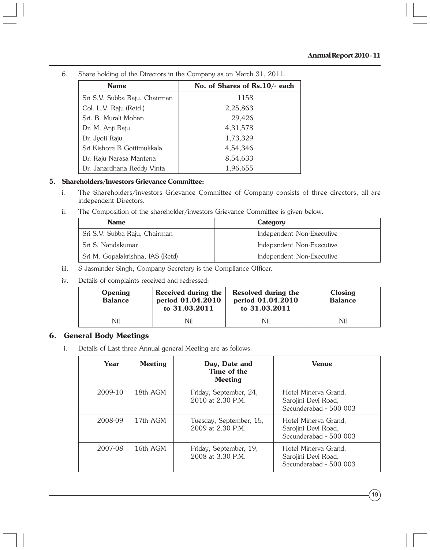| <b>Name</b>                   | No. of Shares of Rs.10/- each |
|-------------------------------|-------------------------------|
| Sri S.V. Subba Raju, Chairman | 1158                          |
| Col. L.V. Raju (Retd.)        | 2,25,863                      |
| Sri. B. Murali Mohan          | 29,426                        |
| Dr. M. Anji Raju              | 4,31,578                      |
| Dr. Jyoti Raju                | 1,73,329                      |
| Sri Kishore B Gottimukkala    | 4,54,346                      |
| Dr. Raju Narasa Mantena       | 8,54,633                      |
| Dr. Janardhana Reddy Vinta    | 1,96,655                      |

6. Share holding of the Directors in the Company as on March 31, 2011.

#### **5. Shareholders/Investors Grievance Committee:**

- i. The Shareholders/investors Grievance Committee of Company consists of three directors, all are independent Directors.
- ii. The Composition of the shareholder/investors Grievance Committee is given below.

| <b>Name</b>                      | Category                  |
|----------------------------------|---------------------------|
| Sri S.V. Subba Raju, Chairman    | Independent Non-Executive |
| Sri S. Nandakumar                | Independent Non-Executive |
| Sri M. Gopalakrishna, IAS (Retd) | Independent Non-Executive |

- iii. S Jasminder Singh, Company Secretary is the Compliance Officer.
- iv. Details of complaints received and redressed:

| Opening<br><b>Balance</b> | Received during the<br>period 01.04.2010<br>to 31.03.2011 | Resolved during the<br>period 01.04.2010<br>to 31.03.2011 | Closing<br><b>Balance</b> |
|---------------------------|-----------------------------------------------------------|-----------------------------------------------------------|---------------------------|
| Nil                       | Nil                                                       | Nil                                                       | Nil                       |

# **6. General Body Meetings**

i. Details of Last three Annual general Meeting are as follows.

| Year    | <b>Meeting</b> | Day, Date and<br>Time of the<br>Meeting          | <b>Venue</b>                                                          |
|---------|----------------|--------------------------------------------------|-----------------------------------------------------------------------|
| 2009-10 | 18th AGM       | Friday, September, 24,<br>$2010$ at $2.30$ P.M.  | Hotel Minerva Grand,<br>Sarojini Devi Road,<br>Secunderabad - 500 003 |
| 2008-09 | 17th AGM       | Tuesday, September, 15,<br>$2009$ at $2.30$ P.M. | Hotel Minerva Grand,<br>Sarojini Devi Road,<br>Secunderabad - 500 003 |
| 2007-08 | 16th AGM       | Friday, September, 19,<br>2008 at 3.30 P.M.      | Hotel Minerva Grand,<br>Sarojini Devi Road,<br>Secunderabad - 500 003 |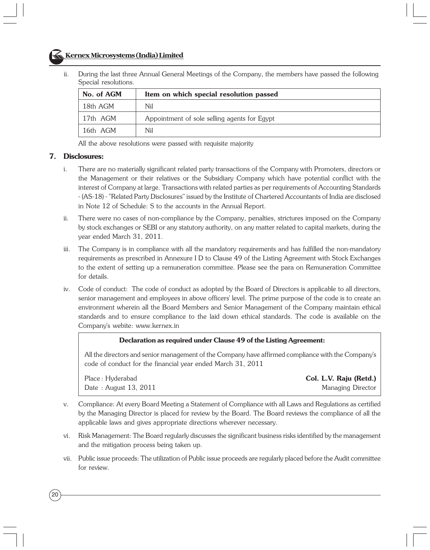# **Kernex Microsystems (India) Limited**

ii. During the last three Annual General Meetings of the Company, the members have passed the following Special resolutions.

| No. of AGM | Item on which special resolution passed      |
|------------|----------------------------------------------|
| 18th AGM   | Nil                                          |
| 17th AGM   | Appointment of sole selling agents for Egypt |
| 16th AGM   | Nil                                          |

All the above resolutions were passed with requisite majority

#### **7. Disclosures:**

- i. There are no materially significant related party transactions of the Company with Promoters, directors or the Management or their relatives or the Subsidiary Company which have potential conflict with the interest of Company at large. Transactions with related parties as per requirements of Accounting Standards - (AS-18) - "Related Party Disclosures" issued by the Institute of Chartered Accountants of India are disclosed in Note 12 of Schedule: S to the accounts in the Annual Report.
- ii. There were no cases of non-compliance by the Company, penalties, strictures imposed on the Company by stock exchanges or SEBI or any statutory authority, on any matter related to capital markets, during the year ended March 31, 2011.
- iii. The Company is in compliance with all the mandatory requirements and has fulfilled the non-mandatory requirements as prescribed in Annexure I D to Clause 49 of the Listing Agreement with Stock Exchanges to the extent of setting up a remuneration committee. Please see the para on Remuneration Committee for details.
- iv. Code of conduct: The code of conduct as adopted by the Board of Directors is applicable to all directors, senior management and employees in above officers' level. The prime purpose of the code is to create an environment wherein all the Board Members and Senior Management of the Company maintain ethical standards and to ensure compliance to the laid down ethical standards. The code is available on the Company's webite: www.kernex.in

#### **Declaration as required under Clause 49 of the Listing Agreement:**

All the directors and senior management of the Company have affirmed compliance with the Company's code of conduct for the financial year ended March 31, 2011

Place : Hyderabad **Col. L.V. Raju (Retd.)** Date : August 13, 2011 Managing Director

- v. Compliance: At every Board Meeting a Statement of Compliance with all Laws and Regulations as certified by the Managing Director is placed for review by the Board. The Board reviews the compliance of all the applicable laws and gives appropriate directions wherever necessary.
- vi. Risk Management: The Board regularly discusses the significant business risks identified by the management and the mitigation process being taken up.
- vii. Public issue proceeds: The utilization of Public issue proceeds are regularly placed before the Audit committee for review.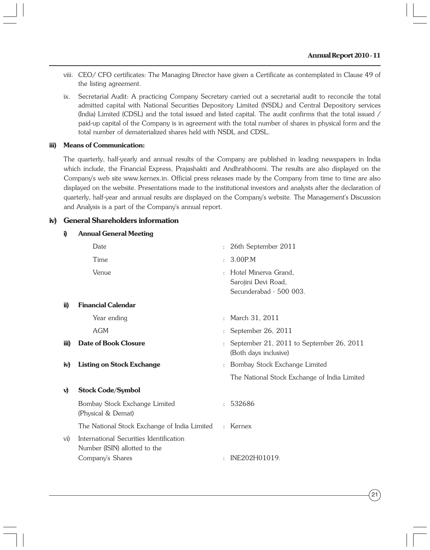- viii. CEO/ CFO certificates: The Managing Director have given a Certificate as contemplated in Clause 49 of the listing agreement.
- ix. Secretarial Audit: A practicing Company Secretary carried out a secretarial audit to reconcile the total admitted capital with National Securities Depository Limited (NSDL) and Central Depository services (India) Limited (CDSL) and the total issued and listed capital. The audit confirms that the total issued / paid-up capital of the Company is in agreement with the total number of shares in physical form and the total number of dematerialized shares held with NSDL and CDSL.

#### **iii) Means of Communication:**

The quarterly, half-yearly and annual results of the Company are published in leading newspapers in India which include, the Financial Express, Prajashakti and Andhrabhoomi. The results are also displayed on the Company's web site www.kernex.in. Official press releases made by the Company from time to time are also displayed on the website. Presentations made to the institutional investors and analysts after the declaration of quarterly, half-year and annual results are displayed on the Company's website. The Management's Discussion and Analysis is a part of the Company's annual report.

#### **iv) General Shareholders information**

| i)           | <b>Annual General Meeting</b>                                                                |                |                                                                        |
|--------------|----------------------------------------------------------------------------------------------|----------------|------------------------------------------------------------------------|
|              | Date                                                                                         |                | : 26th September 2011                                                  |
|              | Time                                                                                         | ÷              | 3.00P.M                                                                |
|              | Venue                                                                                        | $\ddot{\cdot}$ | Hotel Minerva Grand,<br>Sarojini Devi Road,<br>Secunderabad - 500 003. |
| ii)          | <b>Financial Calendar</b>                                                                    |                |                                                                        |
|              | Year ending                                                                                  | $\ddot{\cdot}$ | March 31, 2011                                                         |
|              | <b>AGM</b>                                                                                   |                | September 26, 2011                                                     |
| iii)         | Date of Book Closure                                                                         |                | September 21, 2011 to September 26, 2011<br>(Both days inclusive)      |
| iv)          | <b>Listing on Stock Exchange</b>                                                             |                | : Bombay Stock Exchange Limited                                        |
|              |                                                                                              |                | The National Stock Exchange of India Limited                           |
| $\mathbf{v}$ | <b>Stock Code/Symbol</b>                                                                     |                |                                                                        |
|              | Bombay Stock Exchange Limited<br>(Physical & Demat)                                          | $\mathbf{r}$   | 532686                                                                 |
|              | The National Stock Exchange of India Limited : Kernex                                        |                |                                                                        |
| vi)          | International Securities Identification<br>Number (ISIN) allotted to the<br>Company's Shares |                | INE202H01019.                                                          |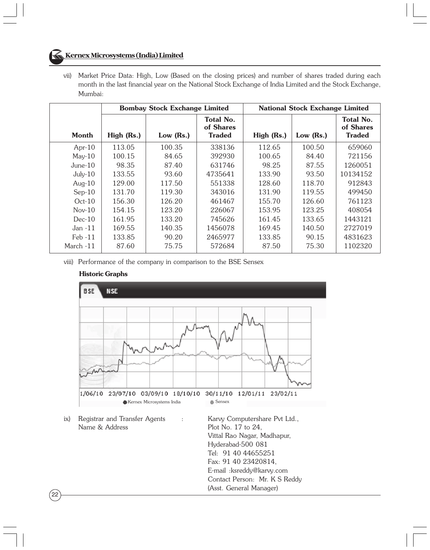# **Kernex Microsystems (India) Limited**

vii) Market Price Data: High, Low (Based on the closing prices) and number of shares traded during each month in the last financial year on the National Stock Exchange of India Limited and the Stock Exchange, Mumbai:

|            | <b>Bombay Stock Exchange Limited</b> |           | <b>National Stock Exchange Limited</b>         |            |           |                                                |
|------------|--------------------------------------|-----------|------------------------------------------------|------------|-----------|------------------------------------------------|
| Month      | High (Rs.)                           | Low (Rs.) | <b>Total No.</b><br>of Shares<br><b>Traded</b> | High (Rs.) | Low (Rs.) | <b>Total No.</b><br>of Shares<br><b>Traded</b> |
| Apr- $10$  | 113.05                               | 100.35    | 338136                                         | 112.65     | 100.50    | 659060                                         |
| $May-10$   | 100.15                               | 84.65     | 392930                                         | 100.65     | 84.40     | 721156                                         |
| $June-10$  | 98.35                                | 87.40     | 631746                                         | 98.25      | 87.55     | 1260051                                        |
| $July-10$  | 133.55                               | 93.60     | 4735641                                        | 133.90     | 93.50     | 10134152                                       |
| Aug- $10$  | 129.00                               | 117.50    | 551338                                         | 128.60     | 118.70    | 912843                                         |
| $Sep-10$   | 131.70                               | 119.30    | 343016                                         | 131.90     | 119.55    | 499450                                         |
| $Oct-10$   | 156.30                               | 126.20    | 461467                                         | 155.70     | 126.60    | 761123                                         |
| $Nov-10$   | 154.15                               | 123.20    | 226067                                         | 153.95     | 123.25    | 408054                                         |
| $Dec-10$   | 161.95                               | 133.20    | 745626                                         | 161.45     | 133.65    | 1443121                                        |
| Jan $-11$  | 169.55                               | 140.35    | 1456078                                        | 169.45     | 140.50    | 2727019                                        |
| $Feb - 11$ | 133.85                               | 90.20     | 2465977                                        | 133.85     | 90.15     | 4831623                                        |
| March -11  | 87.60                                | 75.75     | 572684                                         | 87.50      | 75.30     | 1102320                                        |

viii) Performance of the company in comparison to the BSE Sensex



#### **Historic Graphs**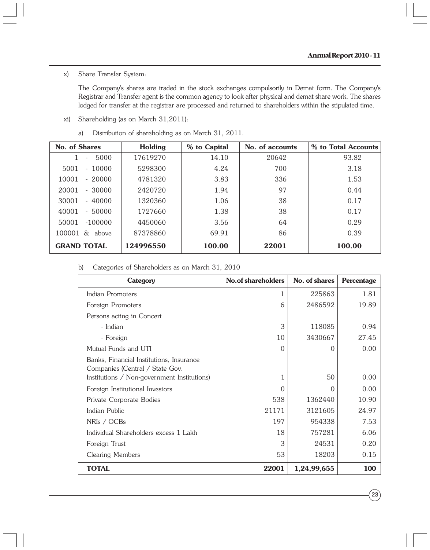#### x) Share Transfer System:

The Company's shares are traded in the stock exchanges compulsorily in Demat form. The Company's Registrar and Transfer agent is the common agency to look after physical and demat share work. The shares lodged for transfer at the registrar are processed and returned to shareholders within the stipulated time.

- xi) Shareholding (as on March 31,2011):
	- a) Distribution of shareholding as on March 31, 2011.

| No. of Shares                             | Holding   | % to Capital | No. of accounts | % to Total Accounts |
|-------------------------------------------|-----------|--------------|-----------------|---------------------|
| 5000<br>٠                                 | 17619270  | 14.10        | 20642           | 93.82               |
| 10000<br>5001<br>$\overline{\phantom{a}}$ | 5298300   | 4.24         | 700             | 3.18                |
| 10001<br>$-20000$                         | 4781320   | 3.83         | 336             | 1.53                |
| 20001<br>$-30000$                         | 2420720   | 1.94         | 97              | 0.44                |
| 30001<br>$-40000$                         | 1320360   | 1.06         | 38              | 0.17                |
| 40001<br>$-50000$                         | 1727660   | 1.38         | 38              | 0.17                |
| 50001<br>$-100000$                        | 4450060   | 3.56         | 64              | 0.29                |
| 100001<br>& above                         | 87378860  | 69.91        | 86              | 0.39                |
| <b>GRAND TOTAL</b>                        | 124996550 | 100.00       | 22001           | 100.00              |

b) Categories of Shareholders as on March 31, 2010

| Category                                                                                                                   | No.of shareholders | No. of shares | Percentage |
|----------------------------------------------------------------------------------------------------------------------------|--------------------|---------------|------------|
| Indian Promoters                                                                                                           | 1                  | 225863        | 1.81       |
| Foreign Promoters                                                                                                          | 6                  | 2486592       | 19.89      |
| Persons acting in Concert                                                                                                  |                    |               |            |
| - Indian                                                                                                                   | 3                  | 118085        | 0.94       |
| - Foreign                                                                                                                  | 10                 | 3430667       | 27.45      |
| Mutual Funds and UTI                                                                                                       | $\Omega$           | $\Omega$      | 0.00       |
| Banks, Financial Institutions, Insurance<br>Companies (Central / State Gov.<br>Institutions / Non-government Institutions) | 1                  | 50            | 0.00       |
| Foreign Institutional Investors                                                                                            | 0                  | 0             | 0.00       |
| Private Corporate Bodies                                                                                                   | 538                | 1362440       | 10.90      |
| Indian Public                                                                                                              | 21171              | 3121605       | 24.97      |
| NRIs / OCBs                                                                                                                | 197                | 954338        | 7.53       |
| Individual Shareholders excess 1 Lakh                                                                                      | 18                 | 757281        | 6.06       |
| Foreign Trust                                                                                                              | 3                  | 24531         | 0.20       |
| <b>Clearing Members</b>                                                                                                    | 53                 | 18203         | 0.15       |
| <b>TOTAL</b>                                                                                                               | 22001              | 1,24,99,655   | 100        |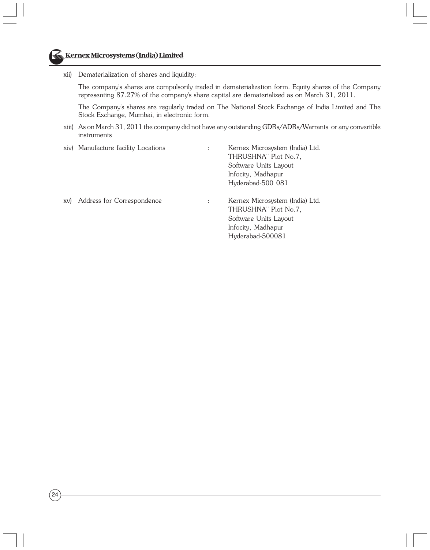

xii) Dematerialization of shares and liquidity:

The company's shares are compulsorily traded in dematerialization form. Equity shares of the Company representing 87.27% of the company's share capital are dematerialized as on March 31, 2011.

The Company's shares are regularly traded on The National Stock Exchange of India Limited and The Stock Exchange, Mumbai, in electronic form.

xiii) As on March 31, 2011 the company did not have any outstanding GDRs/ADRs/Warrants or any convertible instruments

|     | xiv) Manufacture facility Locations | $\ddot{\phantom{a}}$ | Kernex Microsystem (India) Ltd.<br>THRUSHNA" Plot No.7,<br>Software Units Layout<br>Infocity, Madhapur<br>Hyderabad-500 081 |
|-----|-------------------------------------|----------------------|-----------------------------------------------------------------------------------------------------------------------------|
| XV) | Address for Correspondence          | ÷                    | Kernex Microsystem (India) Ltd.<br>THRUSHNA" Plot No.7,<br>Software Units Layout<br>Infocity, Madhapur<br>Hyderabad-500081  |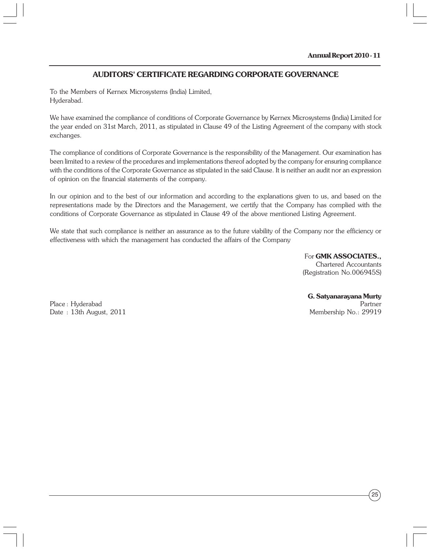# **AUDITORS' CERTIFICATE REGARDING CORPORATE GOVERNANCE**

To the Members of Kernex Microsystems (India) Limited, Hyderabad.

We have examined the compliance of conditions of Corporate Governance by Kernex Microsystems (India) Limited for the year ended on 31st March, 2011, as stipulated in Clause 49 of the Listing Agreement of the company with stock exchanges.

The compliance of conditions of Corporate Governance is the responsibility of the Management. Our examination has been limited to a review of the procedures and implementations thereof adopted by the company for ensuring compliance with the conditions of the Corporate Governance as stipulated in the said Clause. It is neither an audit nor an expression of opinion on the financial statements of the company.

In our opinion and to the best of our information and according to the explanations given to us, and based on the representations made by the Directors and the Management, we certify that the Company has complied with the conditions of Corporate Governance as stipulated in Clause 49 of the above mentioned Listing Agreement.

We state that such compliance is neither an assurance as to the future viability of the Company nor the efficiency or effectiveness with which the management has conducted the affairs of the Company

> For **GMK ASSOCIATES.,** Chartered Accountants (Registration No.006945S)

Place : Hyderabad Partner Date: 13th August, 2011

**G. Satyanarayana Murty**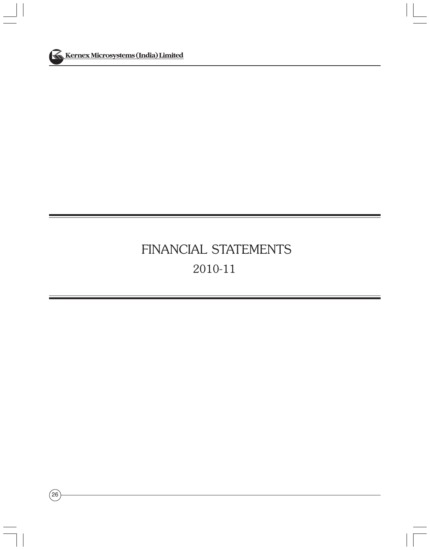

# FINANCIAL STATEMENTS 2010-11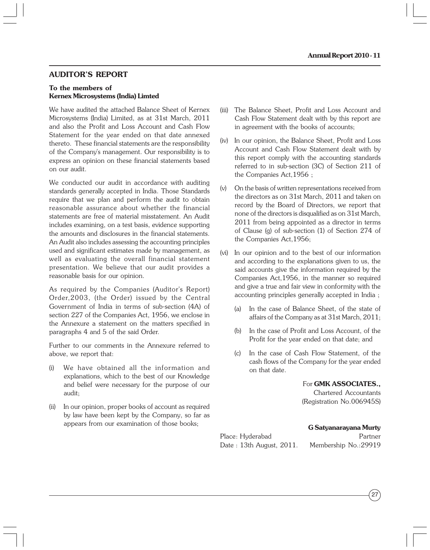#### **AUDITOR'S REPORT**

#### **To the members of Kernex Microsystems (India) Limted**

We have audited the attached Balance Sheet of Kernex Microsystems (India) Limited, as at 31st March, 2011 and also the Profit and Loss Account and Cash Flow Statement for the year ended on that date annexed thereto. These financial statements are the responsibility of the Company's management. Our responsibility is to express an opinion on these financial statements based on our audit.

We conducted our audit in accordance with auditing standards generally accepted in India. Those Standards require that we plan and perform the audit to obtain reasonable assurance about whether the financial statements are free of material misstatement. An Audit includes examining, on a test basis, evidence supporting the amounts and disclosures in the financial statements. An Audit also includes assessing the accounting principles used and significant estimates made by management, as well as evaluating the overall financial statement presentation. We believe that our audit provides a reasonable basis for our opinion.

As required by the Companies (Auditor's Report) Order,2003, (the Order) issued by the Central Government of India in terms of sub-section (4A) of section 227 of the Companies Act, 1956, we enclose in the Annexure a statement on the matters specified in paragraphs 4 and 5 of the said Order.

Further to our comments in the Annexure referred to above, we report that:

- (i) We have obtained all the information and explanations, which to the best of our Knowledge and belief were necessary for the purpose of our audit;
- (ii) In our opinion, proper books of account as required by law have been kept by the Company, so far as appears from our examination of those books;
- (iii) The Balance Sheet, Profit and Loss Account and Cash Flow Statement dealt with by this report are in agreement with the books of accounts;
- (iv) In our opinion, the Balance Sheet, Profit and Loss Account and Cash Flow Statement dealt with by this report comply with the accounting standards referred to in sub-section (3C) of Section 211 of the Companies Act,1956 ;
- (v) On the basis of written representations received from the directors as on 31st March, 2011 and taken on record by the Board of Directors, we report that none of the directors is disqualified as on 31st March, 2011 from being appointed as a director in terms of Clause (g) of sub-section (1) of Section 274 of the Companies Act,1956;
- (vi) In our opinion and to the best of our information and according to the explanations given to us, the said accounts give the information required by the Companies Act,1956, in the manner so required and give a true and fair view in conformity with the accounting principles generally accepted in India ;
	- (a) In the case of Balance Sheet, of the state of affairs of the Company as at 31st March, 2011;
	- (b) In the case of Profit and Loss Account, of the Profit for the year ended on that date; and
	- (c) In the case of Cash Flow Statement, of the cash flows of the Company for the year ended on that date.

#### For **GMK ASSOCIATES.,**

Chartered Accountants (Registration No.006945S)

#### **G Satyanarayana Murty**

Date : 13th August, 2011. Membership No.:29919

Place: Hyderabad Partner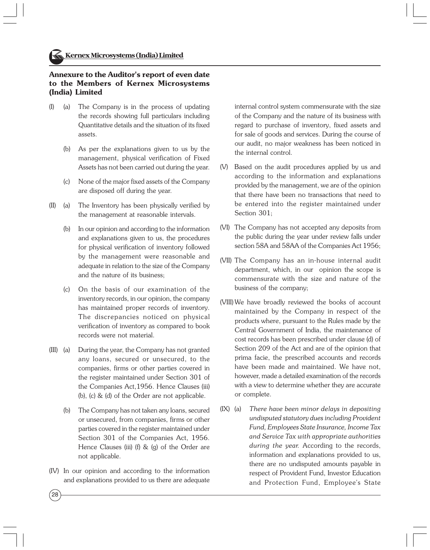#### **Annexure to the Auditor's report of even date to the Members of Kernex Microsystems (India) Limited**

- (I) (a) The Company is in the process of updating the records showing full particulars including Quantitative details and the situation of its fixed assets.
	- (b) As per the explanations given to us by the management, physical verification of Fixed Assets has not been carried out during the year.
	- (c) None of the major fixed assets of the Company are disposed off during the year.
- (II) (a) The Inventory has been physically verified by the management at reasonable intervals.
	- (b) In our opinion and according to the information and explanations given to us, the procedures for physical verification of inventory followed by the management were reasonable and adequate in relation to the size of the Company and the nature of its business;
	- (c) On the basis of our examination of the inventory records, in our opinion, the company has maintained proper records of inventory. The discrepancies noticed on physical verification of inventory as compared to book records were not material.
- (III) (a) During the year, the Company has not granted any loans, secured or unsecured, to the companies, firms or other parties covered in the register maintained under Section 301 of the Companies Act,1956. Hence Clauses (iii) (b), (c) & (d) of the Order are not applicable.
	- (b) The Company has not taken any loans, secured or unsecured, from companies, firms or other parties covered in the register maintained under Section 301 of the Companies Act, 1956. Hence Clauses (iii) (f) & (g) of the Order are not applicable.
- (IV) In our opinion and according to the information and explanations provided to us there are adequate

 $^{'}28$ 

internal control system commensurate with the size of the Company and the nature of its business with regard to purchase of inventory, fixed assets and for sale of goods and services. During the course of our audit, no major weakness has been noticed in the internal control.

- (V) Based on the audit procedures applied by us and according to the information and explanations provided by the management, we are of the opinion that there have been no transactions that need to be entered into the register maintained under Section 301;
- (VI) The Company has not accepted any deposits from the public during the year under review falls under section 58A and 58AA of the Companies Act 1956;
- (VII) The Company has an in-house internal audit department, which, in our opinion the scope is commensurate with the size and nature of the business of the company;
- (VIII) We have broadly reviewed the books of account maintained by the Company in respect of the products where, pursuant to the Rules made by the Central Government of India, the maintenance of cost records has been prescribed under clause (d) of Section 209 of the Act and are of the opinion that prima facie, the prescribed accounts and records have been made and maintained. We have not, however, made a detailed examination of the records with a view to determine whether they are accurate or complete.
- (IX) (a) *There have been minor delays in depositing undisputed statutory dues including Provident Fund, Employees State Insurance, Income Tax and Service Tax with appropriate authorities during the year.* According to the records, information and explanations provided to us, there are no undisputed amounts payable in respect of Provident Fund, Investor Education and Protection Fund, Employee's State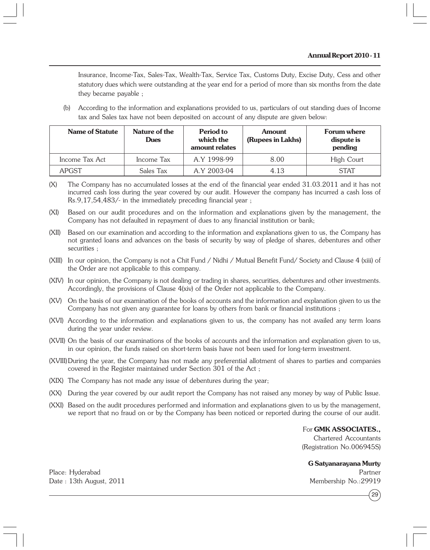Insurance, Income-Tax, Sales-Tax, Wealth-Tax, Service Tax, Customs Duty, Excise Duty, Cess and other statutory dues which were outstanding at the year end for a period of more than six months from the date they became payable ;

(b) According to the information and explanations provided to us, particulars of out standing dues of Income tax and Sales tax have not been deposited on account of any dispute are given below:

| Name of Statute | Nature of the<br><b>Dues</b> | Period to<br>which the<br>amount relates | Amount<br>(Rupees in Lakhs) | Forum where<br>dispute is<br>pending |
|-----------------|------------------------------|------------------------------------------|-----------------------------|--------------------------------------|
| Income Tax Act  | Income Tax                   | A.Y 1998-99                              | 8.00                        | High Court                           |
| <b>APGST</b>    | Sales Tax                    | A.Y 2003-04                              | 4.13                        | <b>STAT</b>                          |

- (X) The Company has no accumulated losses at the end of the financial year ended 31.03.2011 and it has not incurred cash loss during the year covered by our audit. However the company has incurred a cash loss of Rs.9,17,54,483/- in the immediately preceding financial year ;
- (XI) Based on our audit procedures and on the information and explanations given by the management, the Company has not defaulted in repayment of dues to any financial institution or bank;
- (XII) Based on our examination and according to the information and explanations given to us, the Company has not granted loans and advances on the basis of security by way of pledge of shares, debentures and other securities ;
- (XIII) In our opinion, the Company is not a Chit Fund / Nidhi / Mutual Benefit Fund/ Society and Clause 4 (xiii) of the Order are not applicable to this company.
- (XIV) In our opinion, the Company is not dealing or trading in shares, securities, debentures and other investments. Accordingly, the provisions of Clause 4(xiv) of the Order not applicable to the Company.
- (XV) On the basis of our examination of the books of accounts and the information and explanation given to us the Company has not given any guarantee for loans by others from bank or financial institutions ;
- (XVI) According to the information and explanations given to us, the company has not availed any term loans during the year under review.
- (XVII) On the basis of our examinations of the books of accounts and the information and explanation given to us, in our opinion, the funds raised on short-term basis have not been used for long-term investment.
- (XVIII)During the year, the Company has not made any preferential allotment of shares to parties and companies covered in the Register maintained under Section 301 of the Act ;
- (XIX) The Company has not made any issue of debentures during the year;
- (XX) During the year covered by our audit report the Company has not raised any money by way of Public Issue.
- (XXI) Based on the audit procedures performed and information and explanations given to us by the management, we report that no fraud on or by the Company has been noticed or reported during the course of our audit.

For **GMK ASSOCIATES.,**

Chartered Accountants (Registration No.006945S)

**G Satyanarayana Murty**

Place: Hyderabad Partner Date : 13th August, 2011 Membership No.:29919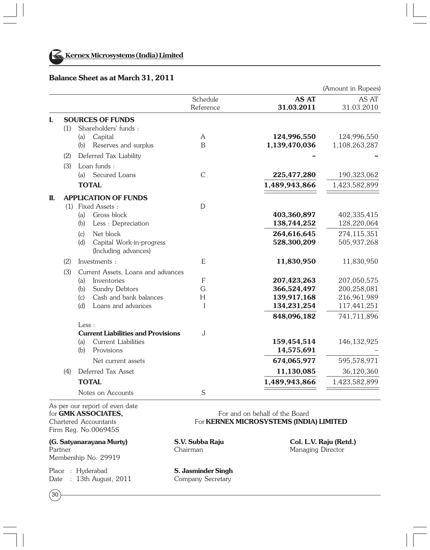

#### **Balance Sheet as at March 31, 2011**

(Amount in Rupees) **AS AT** AS AT AS AT AS AT AS AT AS AT AS AT AS AT AS AT AS AT AS AT ALCORD AT A ALCORD AT A 1.03.2010 Reference **31.03.2011** 31.03.2010 **I. SOURCES OF FUNDS** (1) Shareholders' funds : (a) Capital A **124,996,550** 124,996,550 (b) Reserves and surplus B **1,139,470,036** 1,108,263,287 (2) Deferred Tax Liability **– –** (3) Loan funds : (a) Secured Loans C **225,477,280** 190,323,062 **TOTAL** 1,489,943,866 1,423,582,899 **II. APPLICATION OF FUNDS** (1) Fixed Assets : D (a) Gross block **403,360,897** 402,335,415 (b) Less : Depreciation **138,744,252** 128,220,064 (c) Net block **264,616,645** 274,115,351 (d) Capital Work-in-progress **528,300,209** 505,937,268 (Including advances) (2) Investments : E **11,830,950** 11,830,950 (3) Current Assets, Loans and advances (a) Inventories F **207,423,263** 207,050,575 (b) Sundry Debtors G **366,524,497** 200,258,081 (c) Cash and bank balances H **139,917,168** 216,961,989 (d) Loans and advances I **134,231,254** 117,441,251  **848,096,182** 741,711,896  $I_{\text{PSS}}$ . **Current Liabilities and Provisions** J (a) Current Liabilities **159,454,514** 146,132,925 (b) Provisions **14,575,691** – Net current assets **674,065,977** 595,578,971 (4) Deferred Tax Asset **11,130,085** 36,120,360 **TOTAL** 1,489,943,866 1,423,582,899 Notes on Accounts S As per our report of even date

Firm Reg. No.006945S

**(G. Satyanarayana Murty) S.V. Subba Raju Col. L.V. Raju (Retd.)** Partner Chairman Managing Director Membership No. 29919

Place : Hyderabad **S. Jasminder Singh** Date : 13th August, 2011 Company Secretary

 $30<sup>°</sup>$ 

for **GMK ASSOCIATES**. Chartered Accountants For **KERNEX MICROSYSTEMS (INDIA) LIMITED**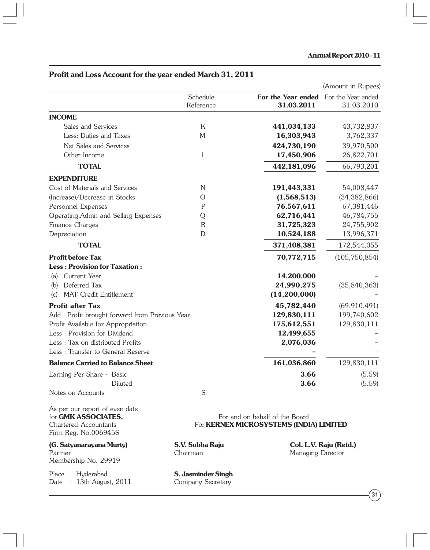|                                                 |                       |                                                     | (Amount in Rupees) |
|-------------------------------------------------|-----------------------|-----------------------------------------------------|--------------------|
|                                                 | Schedule<br>Reference | For the Year ended For the Year ended<br>31.03.2011 | 31.03.2010         |
| <b>INCOME</b>                                   |                       |                                                     |                    |
| Sales and Services                              | K                     | 441,034,133                                         | 43,732,837         |
| Less: Duties and Taxes                          | M                     | 16,303,943                                          | 3,762,337          |
| Net Sales and Services                          |                       | 424,730,190                                         | 39,970,500         |
| Other Income                                    | L                     | 17,450,906                                          | 26,822,701         |
| <b>TOTAL</b>                                    |                       | 442,181,096                                         | 66,793,201         |
| <b>EXPENDITURE</b>                              |                       |                                                     |                    |
| Cost of Materials and Services                  | N                     | 191,443,331                                         | 54,008,447         |
| (Increase)/Decrease in Stocks                   | O                     | (1,568,513)                                         | (34, 382, 866)     |
| Personnel Expenses                              | P                     | 76,567,611                                          | 67,381,446         |
| Operating, Admn and Selling Expenses            | Q                     | 62,716,441                                          | 46,784,755         |
| Finance Charges                                 | $\mathsf{R}$          | 31,725,323                                          | 24,755,902         |
| Depreciation                                    | D                     | 10,524,188                                          | 13,996,371         |
| <b>TOTAL</b>                                    |                       | 371,408,381                                         | 172,544,055        |
| <b>Profit before Tax</b>                        |                       | 70,772,715                                          | (105, 750, 854)    |
| <b>Less: Provision for Taxation:</b>            |                       |                                                     |                    |
| Current Year<br>(a)                             |                       | 14,200,000                                          |                    |
| Deferred Tax<br>(b)                             |                       | 24,990,275                                          | (35, 840, 363)     |
| <b>MAT Credit Entitlement</b><br>(c)            |                       | (14,200,000)                                        |                    |
| <b>Profit after Tax</b>                         |                       | 45,782,440                                          | (69, 910, 491)     |
| Add : Profit brought forward from Previous Year |                       | 129,830,111                                         | 199,740,602        |
| Profit Available for Appropriation              |                       | 175,612,551                                         | 129,830,111        |
| Less : Provision for Dividend                   |                       | 12,499,655                                          |                    |
| Less: Tax on distributed Profits                |                       | 2,076,036                                           |                    |
| Less: Transfer to General Reserve               |                       |                                                     |                    |
| <b>Balance Carried to Balance Sheet</b>         |                       | 161,036,860                                         | 129,830,111        |
| Earning Per Share - Basic                       |                       | 3.66                                                | (5.59)             |
| Diluted                                         |                       | 3.66                                                | (5.59)             |
| Notes on Accounts                               | S                     |                                                     |                    |

# **Profit and Loss Account for the year ended March 31, 2011**

As per our report of even date<br>for **GMK ASSOCIATES**, Firm Reg. No.006945S

**(G. Satyanarayana Murty) S.V. Subba Raju Col. L.V. Raju (Retd.)** Membership No. 29919

Place : Hyderabad **S. Jasminder Singh**<br>
Date : 13th August, 2011 Company Secretary Date : 13th August, 2011

For and on behalf of the Board Chartered Accountants For **KERNEX MICROSYSTEMS (INDIA) LIMITED**

**Chairman** Managing Director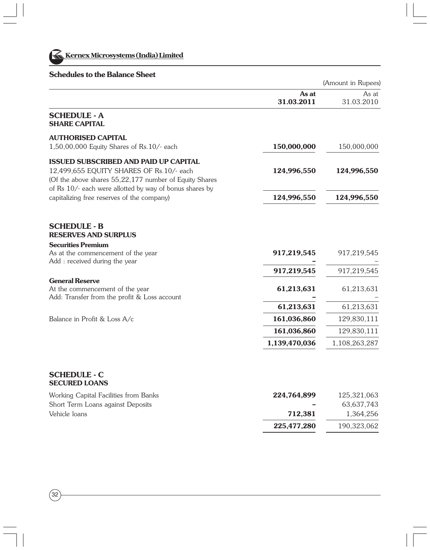

**Kernex Microsystems (India) Limited** 

# **Schedules to the Balance Sheet**

|                                                                                                                                                    |                     | (Amount in Rupees)  |
|----------------------------------------------------------------------------------------------------------------------------------------------------|---------------------|---------------------|
|                                                                                                                                                    | As at<br>31.03.2011 | As at<br>31.03.2010 |
| <b>SCHEDULE - A</b><br><b>SHARE CAPITAL</b>                                                                                                        |                     |                     |
| <b>AUTHORISED CAPITAL</b><br>1,50,00,000 Equity Shares of Rs.10/- each                                                                             | 150,000,000         | 150,000,000         |
| <b>ISSUED SUBSCRIBED AND PAID UP CAPITAL</b><br>12,499,655 EQUITY SHARES OF Rs.10/- each<br>(Of the above shares 55,22,177 number of Equity Shares | 124,996,550         | 124,996,550         |
| of Rs 10/- each were allotted by way of bonus shares by<br>capitalizing free reserves of the company)                                              | 124,996,550         | 124,996,550         |
| <b>SCHEDULE - B</b><br><b>RESERVES AND SURPLUS</b><br><b>Securities Premium</b><br>As at the commencement of the year                              | 917,219,545         | 917,219,545         |
| Add : received during the year                                                                                                                     | 917,219,545         | 917,219,545         |
| <b>General Reserve</b><br>At the commencement of the year<br>Add: Transfer from the profit & Loss account                                          | 61,213,631          | 61,213,631          |
|                                                                                                                                                    | 61,213,631          | 61,213,631          |
| Balance in Profit & Loss A/c                                                                                                                       | 161,036,860         | 129,830,111         |
|                                                                                                                                                    | 161,036,860         | 129,830,111         |
|                                                                                                                                                    | 1,139,470,036       | 1,108,263,287       |
| <b>SCHEDULE - C</b><br><b>SECURED LOANS</b>                                                                                                        |                     |                     |
| Working Canital Facilities from Banks                                                                                                              | 224 764 899         | 125 321 063         |

| Working Capital Facilities from Banks | 224.764.899              | 125.321.063 |
|---------------------------------------|--------------------------|-------------|
| Short Term Loans against Deposits     | $\overline{\phantom{a}}$ | 63.637.743  |
| Vehicle loans                         | 712.381                  | 1.364.256   |
|                                       | 225.477.280              | 190,323,062 |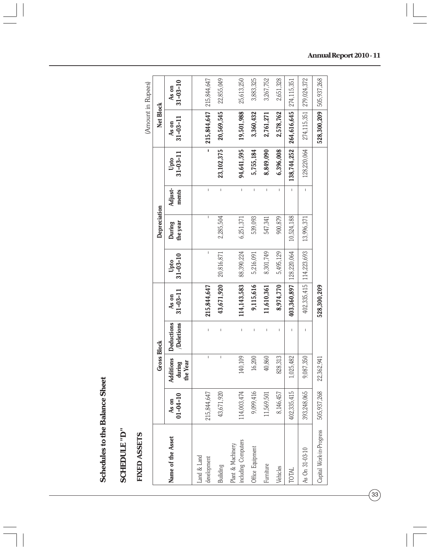| ĭ             |
|---------------|
|               |
| $\vdots$<br>₹ |
|               |
|               |

# SCHEDULE "D"<br>FIXED ASSETS **SCHEDULE "D"**

# **FIXED ASSETS**

|                                          |                                |                                                                                                                                                                                                                                                                                                                                                                                  |                                |                         |                        |                    |                  |                        |                             | (Amount in Rupees)      |
|------------------------------------------|--------------------------------|----------------------------------------------------------------------------------------------------------------------------------------------------------------------------------------------------------------------------------------------------------------------------------------------------------------------------------------------------------------------------------|--------------------------------|-------------------------|------------------------|--------------------|------------------|------------------------|-----------------------------|-------------------------|
|                                          |                                | <b>Gross Block</b>                                                                                                                                                                                                                                                                                                                                                               |                                |                         |                        | Depreciation       |                  |                        | Net Block                   |                         |
| Name of the Asset                        | As on<br>$01-04-10$            | Additions<br>the Year<br>during                                                                                                                                                                                                                                                                                                                                                  | <b>Deductions</b><br>Deletions | $31 - 03 - 11$<br>As on | $31 - 03 - 10$<br>Upto | the year<br>During | Adjust-<br>ments | $31 - 03 - 11$<br>Upto | $31 - 03 - 11$<br>As on     | $31 - 03 - 10$<br>As on |
| Land & Land<br>development               | 215,844,647                    | $\mathsf I$                                                                                                                                                                                                                                                                                                                                                                      |                                | 215,844,647             | I                      |                    | I.               | $\mathbf{I}$           | $215,844,647$ 215, 844, 647 |                         |
| Builiding                                | 43,671,920                     | $\begin{array}{c} \rule{0pt}{2.5ex} \rule{0pt}{2.5ex} \rule{0pt}{2.5ex} \rule{0pt}{2.5ex} \rule{0pt}{2.5ex} \rule{0pt}{2.5ex} \rule{0pt}{2.5ex} \rule{0pt}{2.5ex} \rule{0pt}{2.5ex} \rule{0pt}{2.5ex} \rule{0pt}{2.5ex} \rule{0pt}{2.5ex} \rule{0pt}{2.5ex} \rule{0pt}{2.5ex} \rule{0pt}{2.5ex} \rule{0pt}{2.5ex} \rule{0pt}{2.5ex} \rule{0pt}{2.5ex} \rule{0pt}{2.5ex} \rule{0$ |                                | 43,671,920              | 20,816,871             | 2,285,504          | $\bar{1}$        | 23,102,375             | 20,569,545                  | 22,855,049              |
| including Computers<br>Plant & Machinery | 114,003,474                    | 140,109                                                                                                                                                                                                                                                                                                                                                                          |                                | 114,143,583             | 88,390,224             | 6,251,371          | $\overline{1}$   | 94,641,595             | 19,501,988                  | 25,613,250              |
| Office Equipment                         | 9,099,416                      | 16,200                                                                                                                                                                                                                                                                                                                                                                           |                                | 9,115,616               | 5,216,091              | 539,093            | L                | 5,755,184              | 3,360,432                   | 3,883,325               |
| Furniture                                | 11,569,501                     | 40,860                                                                                                                                                                                                                                                                                                                                                                           |                                | 11,610,361              | 8,301,749              | 547,341            | $\mathbf{I}$     | 8,849,090              | 2,761,271                   | 3,267,752               |
| Vehicles                                 | 146,457<br>$\overline{\infty}$ | 828,313                                                                                                                                                                                                                                                                                                                                                                          |                                | 8,974,770               | 5,495,129              | 900,879            | Ï                | 6,396,008              | 2,578,762                   | 2,651,328               |
| TOTAL                                    | 402,335,415                    | 1,025,482                                                                                                                                                                                                                                                                                                                                                                        |                                | 403,360,897             | 128,220,064            | 10,524,188         |                  | 138,744,252            | 264,616,645                 | 274,115,351             |
| As On 31-03-10                           | 393,248,065                    | 9,087,350                                                                                                                                                                                                                                                                                                                                                                        |                                | 402,335,415             | 114,223,693            | 13,996,371         | I.               | 128,220,064            | 274,115,351                 | 279,024,372             |
| Capital Work-in-Progress                 | 505,937,268                    | 22,362,941                                                                                                                                                                                                                                                                                                                                                                       |                                | 528,300,209             |                        |                    |                  |                        | 528,300,209                 | 505,937,268             |

 $\dot{\alpha}$  $\ddot{\ddot{i}}$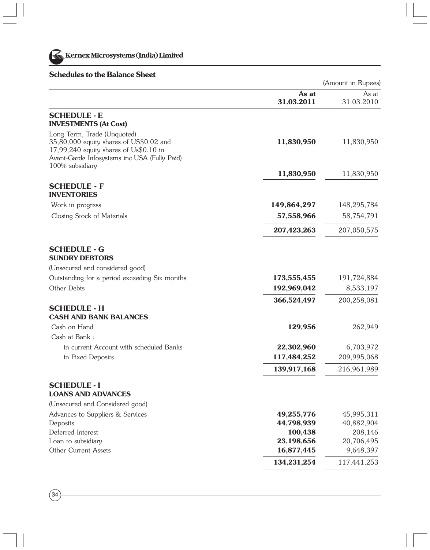

 $(34)$ 

# **Schedules to the Balance Sheet**

|                                                                                                                                                                                     |                          | (Amount in Rupees)      |
|-------------------------------------------------------------------------------------------------------------------------------------------------------------------------------------|--------------------------|-------------------------|
|                                                                                                                                                                                     | As at<br>31.03.2011      | As at<br>31.03.2010     |
| <b>SCHEDULE - E</b><br><b>INVESTMENTS (At Cost)</b>                                                                                                                                 |                          |                         |
| Long Term, Trade (Unquoted)<br>35,80,000 equity shares of US\$0.02 and<br>17,99,240 equity shares of Us\$0.10 in<br>Avant-Garde Infosystems inc.USA (Fully Paid)<br>100% subsidiary | 11,830,950               | 11,830,950              |
|                                                                                                                                                                                     | 11,830,950               | 11,830,950              |
| <b>SCHEDULE - F</b><br><b>INVENTORIES</b>                                                                                                                                           |                          |                         |
| Work in progress                                                                                                                                                                    | 149,864,297              | 148,295,784             |
| Closing Stock of Materials                                                                                                                                                          | 57,558,966               | 58,754,791              |
|                                                                                                                                                                                     | 207,423,263              | 207,050,575             |
| <b>SCHEDULE - G</b><br><b>SUNDRY DEBTORS</b>                                                                                                                                        |                          |                         |
| (Unsecured and considered good)                                                                                                                                                     |                          |                         |
| Outstanding for a period exceeding Six months                                                                                                                                       | 173,555,455              | 191,724,884             |
| Other Debts                                                                                                                                                                         | 192,969,042              | 8,533,197               |
|                                                                                                                                                                                     | 366,524,497              | 200,258,081             |
| <b>SCHEDULE - H</b><br><b>CASH AND BANK BALANCES</b>                                                                                                                                |                          |                         |
| Cash on Hand                                                                                                                                                                        | 129,956                  | 262,949                 |
| Cash at Bank:                                                                                                                                                                       |                          |                         |
| in current Account with scheduled Banks                                                                                                                                             | 22,302,960               | 6,703,972               |
| in Fixed Deposits                                                                                                                                                                   | 117,484,252              | 209,995,068             |
|                                                                                                                                                                                     | 139,917,168              | 216,961,989             |
| <b>SCHEDULE - I</b><br><b>LOANS AND ADVANCES</b>                                                                                                                                    |                          |                         |
| (Unsecured and Considered good)                                                                                                                                                     |                          |                         |
| Advances to Suppliers & Services                                                                                                                                                    | 49,255,776               | 45,995,311              |
| Deposits                                                                                                                                                                            | 44,798,939               | 40,882,904              |
| Deferred Interest                                                                                                                                                                   | 100,438                  | 208,146                 |
| Loan to subsidiary<br><b>Other Current Assets</b>                                                                                                                                   | 23,198,656<br>16,877,445 | 20,706,495<br>9,648,397 |
|                                                                                                                                                                                     | 134,231,254              | 117,441,253             |
|                                                                                                                                                                                     |                          |                         |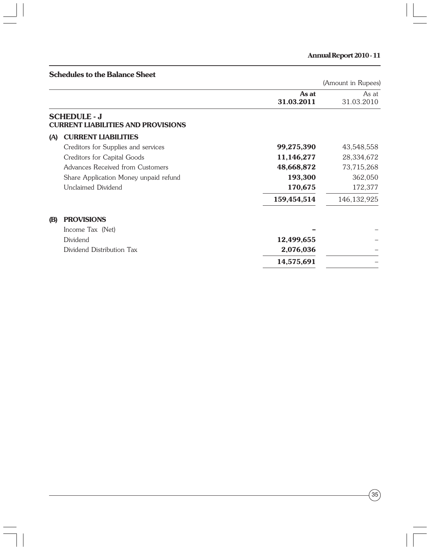|            | <b>Schedules to the Balance Sheet</b>                            |                     |                     |
|------------|------------------------------------------------------------------|---------------------|---------------------|
|            |                                                                  |                     | (Amount in Rupees)  |
|            |                                                                  | As at<br>31.03.2011 | As at<br>31.03.2010 |
|            | <b>SCHEDULE - J</b><br><b>CURRENT LIABILITIES AND PROVISIONS</b> |                     |                     |
| (A)        | <b>CURRENT LIABILITIES</b>                                       |                     |                     |
|            | Creditors for Supplies and services                              | 99,275,390          | 43,548,558          |
|            | Creditors for Capital Goods                                      | 11,146,277          | 28,334,672          |
|            | Advances Received from Customers                                 | 48,668,872          | 73,715,268          |
|            | Share Application Money unpaid refund                            | 193,300             | 362,050             |
|            | Unclaimed Dividend                                               | 170,675             | 172,377             |
|            |                                                                  | 159,454,514         | 146, 132, 925       |
| <b>(B)</b> | <b>PROVISIONS</b>                                                |                     |                     |
|            | Income Tax (Net)                                                 |                     |                     |
|            | Dividend                                                         | 12,499,655          |                     |
|            | Dividend Distribution Tax                                        | 2,076,036           |                     |
|            |                                                                  | 14,575,691          |                     |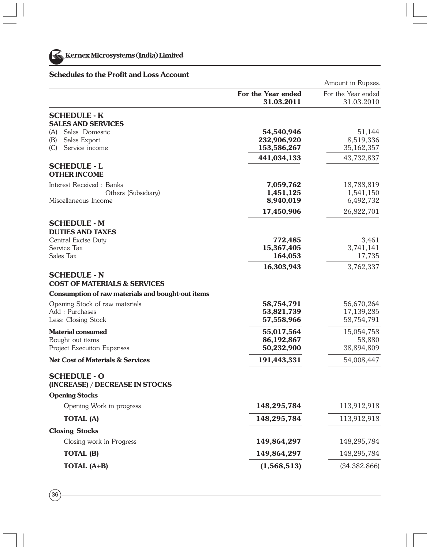

# **Schedules to the Profit and Loss Account**

|                                                                |                                  | Amount in Rupees.                |
|----------------------------------------------------------------|----------------------------------|----------------------------------|
|                                                                | For the Year ended<br>31.03.2011 | For the Year ended<br>31.03.2010 |
| <b>SCHEDULE - K</b>                                            |                                  |                                  |
| <b>SALES AND SERVICES</b>                                      |                                  |                                  |
| (A) Sales Domestic                                             | 54,540,946                       | 51,144                           |
| Sales Export<br>(B)                                            | 232,906,920                      | 8,519,336                        |
| Service income<br>(C)                                          | 153,586,267                      | 35, 162, 357                     |
| <b>SCHEDULE - L</b>                                            | 441,034,133                      | 43,732,837                       |
| <b>OTHER INCOME</b>                                            |                                  |                                  |
| Interest Received: Banks                                       | 7,059,762                        | 18,788,819                       |
| Others (Subsidiary)                                            | 1,451,125                        | 1,541,150                        |
| Miscellaneous Income                                           | 8,940,019                        | 6,492,732                        |
|                                                                | 17,450,906                       | 26,822,701                       |
| <b>SCHEDULE - M</b>                                            |                                  |                                  |
| <b>DUTIES AND TAXES</b>                                        |                                  |                                  |
| Central Excise Duty                                            | 772,485                          | 3,461                            |
| Service Tax                                                    | 15,367,405                       | 3,741,141                        |
| Sales Tax                                                      | 164,053                          | 17,735                           |
|                                                                | 16,303,943                       | 3,762,337                        |
| <b>SCHEDULE - N</b><br><b>COST OF MATERIALS &amp; SERVICES</b> |                                  |                                  |
| Consumption of raw materials and bought-out items              |                                  |                                  |
| Opening Stock of raw materials                                 | 58,754,791                       | 56,670,264                       |
| Add: Purchases                                                 | 53,821,739                       | 17,139,285                       |
| Less: Closing Stock                                            | 57,558,966                       | 58,754,791                       |
| <b>Material consumed</b>                                       | 55,017,564                       | 15,054,758                       |
| Bought out items                                               | 86,192,867                       | 58,880                           |
| Project Execution Expenses                                     | 50,232,900                       | 38,894,809                       |
| <b>Net Cost of Materials &amp; Services</b>                    | 191,443,331                      | 54,008,447                       |
| <b>SCHEDULE - O</b><br>(INCREASE) / DECREASE IN STOCKS         |                                  |                                  |
| <b>Opening Stocks</b>                                          |                                  |                                  |
| Opening Work in progress                                       | 148,295,784                      | 113,912,918                      |
| <b>TOTAL (A)</b>                                               | 148,295,784                      | 113,912,918                      |
| <b>Closing Stocks</b>                                          |                                  |                                  |
| Closing work in Progress                                       | 149,864,297                      | 148,295,784                      |
| TOTAL (B)                                                      | 149,864,297                      | 148,295,784                      |
| TOTAL (A+B)                                                    | (1,568,513)                      | (34, 382, 866)                   |
|                                                                |                                  |                                  |

 $(36)$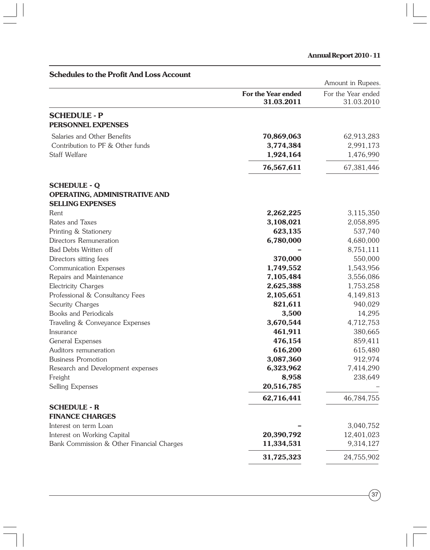| <b>Schedules to the Profit And Loss Account</b>                          |                                  | Amount in Rupees.                |
|--------------------------------------------------------------------------|----------------------------------|----------------------------------|
|                                                                          | For the Year ended<br>31.03.2011 | For the Year ended<br>31.03.2010 |
| <b>SCHEDULE - P</b>                                                      |                                  |                                  |
| PERSONNEL EXPENSES                                                       |                                  |                                  |
| Salaries and Other Benefits                                              | 70,869,063                       | 62,913,283                       |
| Contribution to PF & Other funds                                         | 3,774,384                        | 2,991,173                        |
| Staff Welfare                                                            | 1,924,164                        | 1,476,990                        |
|                                                                          | 76,567,611                       | 67,381,446                       |
| <b>SCHEDULE - Q</b>                                                      |                                  |                                  |
| OPERATING, ADMINISTRATIVE AND<br><b>SELLING EXPENSES</b>                 |                                  |                                  |
| Rent                                                                     | 2,262,225                        | 3,115,350                        |
| Rates and Taxes                                                          | 3,108,021                        | 2,058,895                        |
| Printing & Stationery                                                    | 623,135                          | 537,740                          |
| Directors Remuneration                                                   | 6,780,000                        | 4,680,000                        |
| Bad Debts Written off                                                    |                                  | 8,751,111                        |
| Directors sitting fees                                                   | 370,000                          | 550,000                          |
| Communication Expenses                                                   | 1,749,552                        | 1,543,956                        |
| Repairs and Maintenance                                                  | 7,105,484                        | 3,556,086                        |
| Electricity Charges                                                      | 2,625,388                        | 1,753,258                        |
| Professional & Consultancy Fees                                          | 2,105,651                        | 4,149,813                        |
| Security Charges                                                         | 821,611                          | 940,029                          |
| Books and Periodicals                                                    | 3,500                            | 14,295                           |
| Traveling & Conveyance Expenses                                          | 3,670,544                        | 4,712,753                        |
| Insurance                                                                | 461,911                          | 380,665                          |
| General Expenses                                                         | 476,154                          | 859,411                          |
| Auditors remuneration                                                    | 616,200                          | 615,480                          |
| <b>Business Promotion</b>                                                | 3,087,360                        | 912,974                          |
| Research and Development expenses                                        | 6,323,962                        | 7,414,290                        |
| Freight                                                                  | 8,958                            | 238,649                          |
| Selling Expenses                                                         | 20,516,785                       |                                  |
|                                                                          | 62,716,441                       | 46,784,755                       |
| <b>SCHEDULE - R</b>                                                      |                                  |                                  |
| <b>FINANCE CHARGES</b>                                                   |                                  |                                  |
| Interest on term Loan                                                    |                                  | 3,040,752                        |
| Interest on Working Capital<br>Bank Commission & Other Financial Charges | 20,390,792<br>11,334,531         | 12,401,023<br>9,314,127          |
|                                                                          | 31,725,323                       | 24,755,902                       |
|                                                                          |                                  |                                  |

 $\widehat{\left(37\right)}$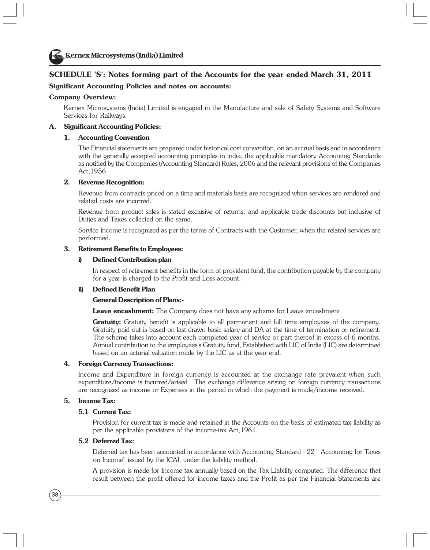#### **SCHEDULE 'S': Notes forming part of the Accounts for the year ended March 31, 2011**

#### **Significant Accounting Policies and notes on accounts:**

#### **Company Overview:**

Kernex Microsystems (India) Limited is engaged in the Manufacture and sale of Safety Systems and Software Services for Railways.

#### **A. Significant Accounting Policies:**

#### **1. Accounting Convention**

The Financial statements are prepared under historical cost convention, on an accrual basis and in accordance with the generally accepted accounting principles in india, the applicable mandatory Accounting Standards as notified by the Companies (Accounting Standard) Rules, 2006 and the relevant provisions of the Companies Act,1956

#### **2. Revenue Recognition:**

Revenue from contracts priced on a time and materials basis are recognized when services are rendered and related costs are incurred.

Revenue from product sales is stated exclusive of returns, and applicable trade discounts but inclusive of Duties and Taxes collected on the same.

Service Income is recognized as per the terms of Contracts with the Customer, when the related services are performed.

#### **3. Retirement Benefits to Employees:**

#### **i) Defined Contribution plan**

In respect of retirement benefits in the form of provident fund, the contribution payable by the company for a year is charged to the Profit and Loss account.

#### **ii) Defined Benefit Plan**

#### **General Description of Plans:-**

**Leave encashment:** The Company does not have any scheme for Leave encashment.

Gratuity: Gratuity benefit is applicable to all permanent and full time employees of the company. Gratuity paid out is based on last drawn basic salary and DA at the time of termination or retirement. The scheme takes into account each completed year of service or part thereof in excess of 6 months. Annual contribution to the employees's Gratuity fund, Established with LIC of India (LIC) are determined based on an acturial valuation made by the LIC as at the year end.

#### **4. Foreign Currency Transactions:**

Income and Expenditure in foreign currency is accounted at the exchange rate prevalent when such expenditure/income is incurred/arised . The exchange difference arising on foreign currency transactions are recognized as income or Expenses in the period in which the payment is made/income received.

#### **5. Income Tax:**

#### **5.1 Current Tax:**

Provision for current tax is made and retained in the Accounts on the basis of estimated tax liability as per the applicable provisions of the income-tax Act,1961.

#### **5.2 Deferred Tax:**

Deferred tax has been accounted in accordance with Accounting Standard - 22 " Accounting for Taxes on Income" issued by the ICAI, under the liability method.

A provision is made for Income tax annually based on the Tax Liability computed. The difference that result between the profit offered for income taxes and the Profit as per the Financial Statements are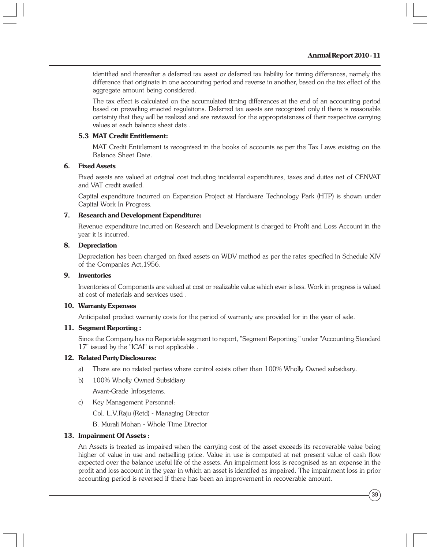identified and thereafter a deferred tax asset or deferred tax liability for timing differences, namely the difference that originate in one accounting period and reverse in another, based on the tax effect of the aggregate amount being considered.

The tax effect is calculated on the accumulated timing differences at the end of an accounting period based on prevailing enacted regulations. Deferred tax assets are recognized only if there is reasonable certainty that they will be realized and are reviewed for the appropriateness of their respective carrying values at each balance sheet date .

#### **5.3 MAT Credit Entitlement:**

MAT Credit Entitlement is recognised in the books of accounts as per the Tax Laws existing on the Balance Sheet Date.

#### **6. Fixed Assets**

Fixed assets are valued at original cost including incidental expenditures, taxes and duties net of CENVAT and VAT credit availed.

Capital expenditure incurred on Expansion Project at Hardware Technology Park (HTP) is shown under Capital Work In Progress.

#### **7. Research and Development Expenditure:**

Revenue expenditure incurred on Research and Development is charged to Profit and Loss Account in the year it is incurred.

#### **8. Depreciation**

Depreciation has been charged on fixed assets on WDV method as per the rates specified in Schedule XIV of the Companies Act,1956.

#### **9. Inventories**

Inventories of Components are valued at cost or realizable value which ever is less. Work in progress is valued at cost of materials and services used .

#### **10. Warranty Expenses**

Anticipated product warranty costs for the period of warranty are provided for in the year of sale.

#### **11. Segment Reporting :**

Since the Company has no Reportable segment to report, "Segment Reporting " under "Accounting Standard 17" issued by the "ICAI" is not applicable .

#### **12. Related Party Disclosures:**

- a) There are no related parties where control exists other than 100% Wholly Owned subsidiary.
- b) 100% Wholly Owned Subsidiary

Avant-Grade Infosystems.

c) Key Management Personnel:

Col. L.V.Raju (Retd) - Managing Director

B. Murali Mohan - Whole Time Director

#### **13. Impairment Of Assets :**

An Assets is treated as impaired when the carrying cost of the asset exceeds its recoverable value being higher of value in use and netselling price. Value in use is computed at net present value of cash flow expected over the balance useful life of the assets. An impairment loss is recognised as an expense in the profit and loss account in the year in which an asset is identifed as impaired. The impairment loss in prior accounting period is reversed if there has been an improvement in recoverable amount.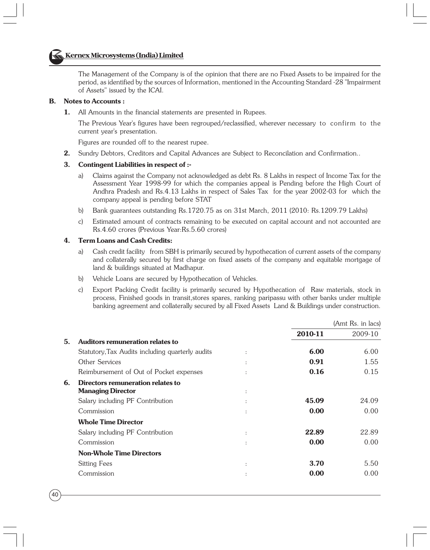### **Kernex Microsystems (India) Limited**

The Management of the Company is of the opinion that there are no Fixed Assets to be impaired for the period, as identified by the sources of Information, mentioned in the Accounting Standard -28 "Impairment of Assets" issued by the ICAI.

#### **B. Notes to Accounts :**

**1.** All Amounts in the financial statements are presented in Rupees.

The Previous Year's figures have been regrouped/reclassified, wherever necessary to confirm to the current year's presentation.

Figures are rounded off to the nearest rupee.

**2.** Sundry Debtors, Creditors and Capital Advances are Subject to Reconcilation and Confirmation..

#### **3. Contingent Liabilities in respect of :-**

- a) Claims against the Company not acknowledged as debt Rs. 8 Lakhs in respect of Income Tax for the Assessment Year 1998-99 for which the companies appeal is Pending before the High Court of Andhra Pradesh and Rs.4.13 Lakhs in respect of Sales Tax for the year 2002-03 for which the company appeal is pending before STAT
- b) Bank guarantees outstanding Rs.1720.75 as on 31st March, 2011 (2010: Rs.1209.79 Lakhs)
- c) Estimated amount of contracts remaining to be executed on capital account and not accounted are Rs.4.60 crores (Previous Year:Rs.5.60 crores)

#### **4. Term Loans and Cash Credits:**

- a) Cash credit facility from SBH is primarily secured by hypothecation of current assets of the company and collaterally secured by first charge on fixed assets of the company and equitable mortgage of land & buildings situated at Madhapur.
- b) Vehicle Loans are secured by Hypothecation of Vehicles.
- c) Export Packing Credit facility is primarily secured by Hypothecation of Raw materials, stock in process, Finished goods in transit,stores spares, ranking paripassu with other banks under multiple banking agreement and collaterally secured by all Fixed Assets Land & Buildings under construction.

|    |                                                  |                      |         | (Amt Rs. in lacs) |
|----|--------------------------------------------------|----------------------|---------|-------------------|
|    |                                                  |                      | 2010-11 | 2009-10           |
| 5. | Auditors remuneration relates to                 |                      |         |                   |
|    | Statutory, Tax Audits including quarterly audits |                      | 6.00    | 6.00              |
|    | Other Services                                   |                      | 0.91    | 1.55              |
|    | Reimbursement of Out of Pocket expenses          |                      | 0.16    | 0.15              |
| 6. | Directors remuneration relates to                |                      |         |                   |
|    | <b>Managing Director</b>                         | $\ddot{\phantom{a}}$ |         |                   |
|    | Salary including PF Contribution                 |                      | 45.09   | 24.09             |
|    | Commission                                       | $\ddot{\cdot}$       | 0.00    | 0.00              |
|    | <b>Whole Time Director</b>                       |                      |         |                   |
|    | Salary including PF Contribution                 | $\ddot{\phantom{a}}$ | 22.89   | 22.89             |
|    | Commission                                       |                      | 0.00    | 0.00              |
|    | <b>Non-Whole Time Directors</b>                  |                      |         |                   |
|    | <b>Sitting Fees</b>                              | $\ddot{\phantom{a}}$ | 3.70    | 5.50              |
|    | Commission                                       |                      | 0.00    | 0.00              |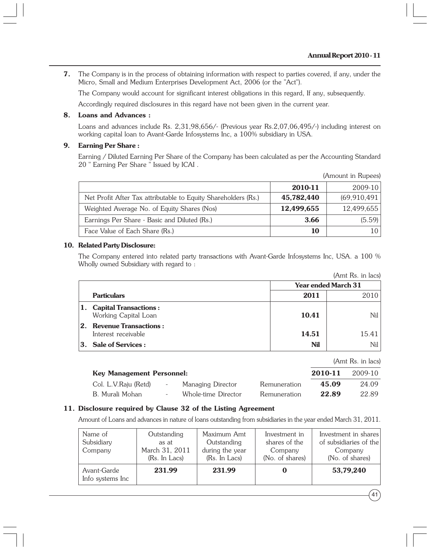**7.** The Company is in the process of obtaining information with respect to parties covered, if any, under the Micro, Small and Medium Enterprises Development Act, 2006 (or the "Act").

The Company would account for significant interest obligations in this regard, If any, subsequently.

Accordingly required disclosures in this regard have not been given in the current year.

#### **8. Loans and Advances :**

Loans and advances include Rs. 2,31,98,656/- (Previous year Rs.2,07,06,495/-) including interest on working capital loan to Avant-Garde Infosystems Inc, a 100% subsidiary in USA.

#### **9. Earning Per Share :**

Earning / Diluted Earning Per Share of the Company has been calculated as per the Accounting Standard 20 " Earning Per Share " Issued by ICAI .

|                                                                |            | (Amount in Rupees) |
|----------------------------------------------------------------|------------|--------------------|
|                                                                | 2010-11    | 2009-10            |
| Net Profit After Tax attributable to Equity Shareholders (Rs.) | 45,782,440 | (69, 910, 491)     |
| Weighted Average No. of Equity Shares (Nos)                    | 12,499,655 | 12,499,655         |
| Earnings Per Share - Basic and Diluted (Rs.)                   | 3.66       | (5.59)             |
| Face Value of Each Share (Rs.)                                 | 10         | 10 I               |

#### **10. Related Party Disclosure:**

The Company entered into related party transactions with Avant-Garde Infosystems Inc, USA. a 100 % Wholly owned Subsidiary with regard to :

|                |                                                     |       | (Amt Rs. in lacs)          |
|----------------|-----------------------------------------------------|-------|----------------------------|
|                |                                                     |       | <b>Year ended March 31</b> |
|                | <b>Particulars</b>                                  | 2011  | 2010                       |
|                | 1. Capital Transactions:<br>Working Capital Loan    | 10.41 | Nil l                      |
| $\mathbf{2}$ . | <b>Revenue Transactions:</b><br>Interest receivable | 14.51 | 15.41                      |
|                | 3. Sale of Services :                               | Nil   | Nil                        |

|                                  |                     |              |         | (Amt Rs. in lacs) |
|----------------------------------|---------------------|--------------|---------|-------------------|
| <b>Key Management Personnel:</b> |                     |              | 2010-11 | 2009-10           |
| Col. L.V.Raju (Retd)             | Managing Director   | Remuneration | 45.09   | 24.09             |
| B. Murali Mohan                  | Whole-time Director | Remuneration | 22.89   | 22.89             |

#### **11. Disclosure required by Clause 32 of the Listing Agreement**

Amount of Loans and advances in nature of loans outstanding from subsidiaries in the year ended March 31, 2011.

| Name of<br>Subsidiary<br>Company | Outstanding<br>as at<br>March 31, 2011<br>(Rs. In Lacs) | Maximum Amt<br>Outstanding<br>during the year<br>(Rs. In Lacs) | Investment in<br>shares of the<br>Company<br>(No. of shares) | Investment in shares<br>of subsidiaries of the<br>Company<br>(No. of shares) |
|----------------------------------|---------------------------------------------------------|----------------------------------------------------------------|--------------------------------------------------------------|------------------------------------------------------------------------------|
| Avant-Garde<br>Info systems Inc  | 231.99                                                  | 231.99                                                         |                                                              | 53,79,240                                                                    |

 $41$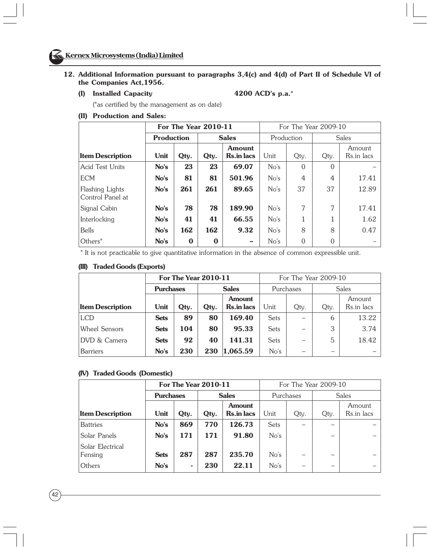#### **12. Additional Information pursuant to paragraphs 3,4(c) and 4(d) of Part II of Schedule VI of the Companies Act,1956.**

**(I) Installed Capacity 4200 ACD's p.a.\***

(\*as certified by the management as on date)

#### **(II) Production and Sales:**

|                                     | For The Year 2010-11 |          |              |                             |            | For The Year 2009-10 |              |                      |  |
|-------------------------------------|----------------------|----------|--------------|-----------------------------|------------|----------------------|--------------|----------------------|--|
|                                     | <b>Production</b>    |          | <b>Sales</b> |                             | Production |                      | <b>Sales</b> |                      |  |
| <b>Item Description</b>             | Unit                 | Qty.     | Qtv.         | Amount<br><b>Rs.in lacs</b> | Unit       | Qty.                 | Qty.         | Amount<br>Rs.in lacs |  |
| <b>Acid Test Units</b>              | No's                 | 23       | 23           | 69.07                       | No's       | $\Omega$             | $\Omega$     |                      |  |
| <b>ECM</b>                          | No's                 | 81       | 81           | 501.96                      | No's       | 4                    | 4            | 17.41                |  |
| Flashing Lights<br>Control Panel at | No's                 | 261      | 261          | 89.65                       | No's       | 37                   | 37           | 12.89                |  |
| Signal Cabin                        | No's                 | 78       | 78           | 189.90                      | No's       | 7                    | 7            | 17.41                |  |
| Interlocking                        | No's                 | 41       | 41           | 66.55                       | No's       |                      |              | 1.62                 |  |
| <b>Bells</b>                        | No's                 | 162      | 162          | 9.32                        | No's       | 8                    | 8            | 0.47                 |  |
| Others*                             | No's                 | $\bf{0}$ | $\bf{0}$     |                             | No's       | $\theta$             | $\Omega$     |                      |  |

\* It is not practicable to give quantitative information in the absence of common expressible unit.

#### **(III) Traded Goods (Exports)**

|                         |                  | <b>For The Year 2010-11</b> |              | For The Year 2009-10               |             |                          |              |                      |
|-------------------------|------------------|-----------------------------|--------------|------------------------------------|-------------|--------------------------|--------------|----------------------|
|                         | <b>Purchases</b> |                             | <b>Sales</b> |                                    | Purchases   |                          | <b>Sales</b> |                      |
| <b>Item Description</b> | Unit             | Qtv.                        | Qtv.         | <b>Amount</b><br><b>Rs.in lacs</b> | Unit        | Qty.                     | Qty.         | Amount<br>Rs.in lacs |
| <b>LCD</b>              | <b>Sets</b>      | 89                          | 80           | 169.40                             | <b>Sets</b> | $\overline{\phantom{0}}$ | 6            | 13.22                |
| <b>Wheel Sensors</b>    | <b>Sets</b>      | 104                         | 80           | 95.33                              | <b>Sets</b> |                          | 3            | 3.74                 |
| <b>DVD &amp; Camera</b> | <b>Sets</b>      | 92                          | 40           | 141.31                             | <b>Sets</b> |                          | 5            | 18.42                |
| <b>Barriers</b>         | No's             | 230                         | 230          | 1,065.59                           | No's        | -                        |              |                      |

#### **(IV) Traded Goods (Domestic)**

| <b>For The Year 2010-11</b> |             |                                  |      |                                    |             | For The Year 2009-10 |      |                      |  |
|-----------------------------|-------------|----------------------------------|------|------------------------------------|-------------|----------------------|------|----------------------|--|
|                             |             | <b>Sales</b><br><b>Purchases</b> |      |                                    |             | Purchases            |      | <b>Sales</b>         |  |
| <b>Item Description</b>     | Unit        | Qtv.                             | Qtv. | <b>Amount</b><br><b>Rs.in lacs</b> | Unit        | Qty.                 | Qty. | Amount<br>Rs.in lacs |  |
| <b>Battries</b>             | No's        | 869                              | 770  | 126.73                             | <b>Sets</b> |                      |      |                      |  |
| Solar Panels                | No's        | 171                              | 171  | 91.80                              | No's        |                      |      |                      |  |
| Solar Electrical<br>Fensing | <b>Sets</b> | 287                              | 287  | 235.70                             | No's        |                      |      |                      |  |
| Others                      | No's        | $\overline{\phantom{a}}$         | 230  | 22.11                              | No's        | -                    | -    |                      |  |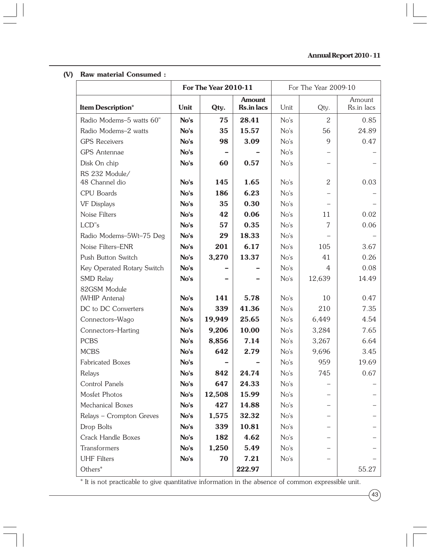#### **(V) Raw material Consumed :**

|                            |      | <b>For The Year 2010-11</b> |                                    |      | For The Year 2009-10     |                      |
|----------------------------|------|-----------------------------|------------------------------------|------|--------------------------|----------------------|
| <b>Item Description*</b>   | Unit | Qty.                        | <b>Amount</b><br><b>Rs.in lacs</b> | Unit | Qty.                     | Amount<br>Rs.in lacs |
| Radio Modems-5 watts 60"   | No's | 75                          | 28.41                              | No's | 2                        | 0.85                 |
| Radio Modems-2 watts       | No's | 35                          | 15.57                              | No's | 56                       | 24.89                |
| <b>GPS</b> Receivers       | No's | 98                          | 3.09                               | No's | 9                        | 0.47                 |
| <b>GPS</b> Antennae        | No's |                             |                                    | No's |                          |                      |
| Disk On chip               | No's | 60                          | 0.57                               | No's |                          |                      |
| RS 232 Module/             |      |                             |                                    |      |                          |                      |
| 48 Channel dio             | No's | 145                         | 1.65                               | No's | 2                        | 0.03                 |
| CPU Boards                 | No's | 186                         | 6.23                               | No's |                          |                      |
| <b>VF Displays</b>         | No's | 35                          | 0.30                               | No's |                          |                      |
| Noise Filters              | No's | 42                          | 0.06                               | No's | 11                       | 0.02                 |
| LCD"s                      | No's | 57                          | 0.35                               | No's | 7                        | 0.06                 |
| Radio Modems-5Wt-75 Deg    | No's | 29                          | 18.33                              | No's |                          |                      |
| Noise Filters-ENR          | No's | 201                         | 6.17                               | No's | 105                      | 3.67                 |
| Push Button Switch         | No's | 3,270                       | 13.37                              | No's | 41                       | 0.26                 |
| Key Operated Rotary Switch | No's |                             |                                    | No's | 4                        | 0.08                 |
| SMD Relay                  | No's |                             |                                    | No's | 12,639                   | 14.49                |
| 82GSM Module               |      |                             |                                    |      |                          |                      |
| (WHIP Antena)              | No's | 141                         | 5.78                               | No's | 10                       | 0.47                 |
| DC to DC Converters        | No's | 339                         | 41.36                              | No's | 210                      | 7.35                 |
| Connectors-Wago            | No's | 19,949                      | 25.65                              | No's | 6,449                    | 4.54                 |
| Connectors-Harting         | No's | 9,206                       | 10.00                              | No's | 3,284                    | 7.65                 |
| <b>PCBS</b>                | No's | 8,856                       | 7.14                               | No's | 3,267                    | 6.64                 |
| <b>MCBS</b>                | No's | 642                         | 2.79                               | No's | 9,696                    | 3.45                 |
| <b>Fabricated Boxes</b>    | No's |                             |                                    | No's | 959                      | 19.69                |
| Relays                     | No's | 842                         | 24.74                              | No's | 745                      | 0.67                 |
| Control Panels             | No's | 647                         | 24.33                              | No's |                          |                      |
| Mosfet Photos              | No's | 12,508                      | 15.99                              | No's |                          |                      |
| Mechanical Boxes           | No's | 427                         | 14.88                              | No's | $\overline{\phantom{0}}$ |                      |
| Relays - Crompton Greves   | No's | 1,575                       | 32.32                              | No's |                          |                      |
| Drop Bolts                 | No's | 339                         | 10.81                              | No's |                          |                      |
| Crack Handle Boxes         | No's | 182                         | 4.62                               | No's |                          |                      |
| Transformers               | No's | 1,250                       | 5.49                               | No's |                          |                      |
| <b>UHF</b> Filters         | No's | 70                          | 7.21                               | No's |                          |                      |
| Others*                    |      |                             | 222.97                             |      |                          | 55.27                |

\* It is not practicable to give quantitative information in the absence of common expressible unit.

 $(43)$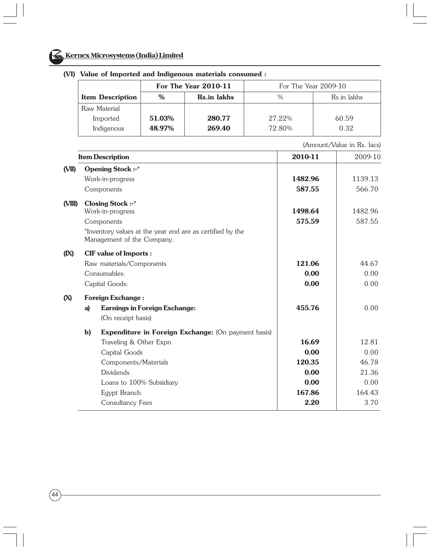

|                         |        | For The Year 2010-11 | For The Year 2009-10 |             |  |  |
|-------------------------|--------|----------------------|----------------------|-------------|--|--|
| <b>Item Description</b> | $\%$   | <b>Rs.in lakhs</b>   | $\frac{0}{0}$        | Rs.in lakhs |  |  |
| Raw Material            |        |                      |                      |             |  |  |
| Imported                | 51.03% | 280.77               | 27.22%               | 60.59       |  |  |
| Indigenous              | 48.97% | 269.40               | 72.80%               | 0.32        |  |  |

#### **(VI) Value of Imported and Indigenous materials consumed :**

(Amount/Value in Rs. lacs)

|        |              | <b>Item Description</b>                                                                 | 2010-11 | 2009-10 |
|--------|--------------|-----------------------------------------------------------------------------------------|---------|---------|
| (VII)  |              | <b>Opening Stock:-*</b>                                                                 |         |         |
|        |              | Work-in-progress                                                                        | 1482.96 | 1139.13 |
|        |              | Components                                                                              | 587.55  | 566.70  |
| (VIII) |              | <b>Closing Stock:-*</b>                                                                 |         |         |
|        |              | Work-in-progress                                                                        | 1498.64 | 1482.96 |
|        |              | Components                                                                              | 575.59  | 587.55  |
|        |              | *Inventory values at the year end are as certified by the<br>Management of the Company. |         |         |
| (IX)   |              | <b>CIF</b> value of Imports :                                                           |         |         |
|        |              | Raw materials/Components                                                                | 121.06  | 44.67   |
|        |              | Consumables:                                                                            | 0.00    | 0.00    |
|        |              | Capital Goods:                                                                          | 0.00    | 0.00    |
| (X)    |              | <b>Foreign Exchange:</b>                                                                |         |         |
|        | a)           | <b>Earnings in Foreign Exchange:</b>                                                    | 455.76  | 0.00    |
|        |              | (On receipt basis)                                                                      |         |         |
|        | $\mathbf{b}$ | Expenditure in Foreign Exchange: (On payment basis)                                     |         |         |
|        |              | Traveling & Other Expn                                                                  | 16.69   | 12.81   |
|        |              | Capital Goods                                                                           | 0.00    | 0.00    |
|        |              | Components/Materials                                                                    | 120.35  | 46.78   |
|        |              | <b>Dividends</b>                                                                        | 0.00    | 21.36   |
|        |              | Loans to 100% Subsidiary                                                                | 0.00    | 0.00    |
|        |              | Egypt Branch                                                                            | 167.86  | 164.43  |
|        |              | Consultancy Fees                                                                        | 2.20    | 3.70    |
|        |              |                                                                                         |         |         |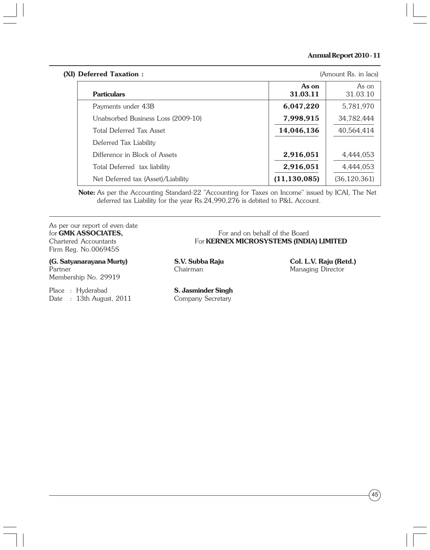#### **Annual Report 2010 - 11**

# **(XI) Deferred Taxation :** (Amount Rs. in lacs) **As on** As on **Particulars 31.03.11 31.03.10 31.03.10** Payments under 43B **6,047,220** 5,781,970 Unabsorbed Business Loss (2009-10) **7.998.915** 34.782.444 Total Deferred Tax Asset **14,046,136** 40,564,414 Deferred Tax Liability Difference in Block of Assets **2,916,051** 4,444,053 Total Deferred tax liability **2,916,051** 4,444,053 Net Deferred tax (Asset)/Liability **(11,130,085)** (36,120,361)

**Note:** As per the Accounting Standard-22 "Accounting for Taxes on Income" issued by ICAI, The Net deferred tax Liability for the year Rs.24,990,276 is debited to P&L Account.

As per our report of even date **for GMK ASSOCIATES,** For and on behalf of the Board<br>Chartered Accountants For **KERNEX MICROSYSTEMS** (INDI Firm Reg. No.006945S

**(G. Satyanarayana Murty) S.V. Subba Raju Col. L.V. Raju (Retd.)**

Membership No. 29919

Place : Hyderabad **S. Jasminder Singh** Date : 13th August, 2011 Company Secretary

For **KERNEX MICROSYSTEMS (INDIA) LIMITED** 

Partner **Chairman** Chairman Managing Director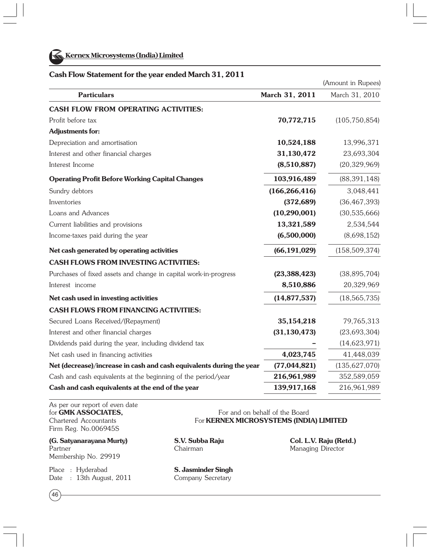

**Kernex Microsystems (India) Limited**

#### **Cash Flow Statement for the year ended March 31, 2011**

|                                                                      |                 | (Amount in Rupees) |
|----------------------------------------------------------------------|-----------------|--------------------|
| <b>Particulars</b>                                                   | March 31, 2011  | March 31, 2010     |
| <b>CASH FLOW FROM OPERATING ACTIVITIES:</b>                          |                 |                    |
| Profit before tax                                                    | 70,772,715      | (105, 750, 854)    |
| <b>Adjustments for:</b>                                              |                 |                    |
| Depreciation and amortisation                                        | 10,524,188      | 13,996,371         |
| Interest and other financial charges                                 | 31,130,472      | 23,693,304         |
| Interest Income                                                      | (8,510,887)     | (20, 329, 969)     |
| <b>Operating Profit Before Working Capital Changes</b>               | 103,916,489     | (88, 391, 148)     |
| Sundry debtors                                                       | (166, 266, 416) | 3,048,441          |
| Inventories                                                          | (372, 689)      | (36, 467, 393)     |
| Loans and Advances                                                   | (10, 290, 001)  | (30,535,666)       |
| Current liabilities and provisions                                   | 13,321,589      | 2,534,544          |
| Income-taxes paid during the year                                    | (6,500,000)     | (8,698,152)        |
| Net cash generated by operating activities                           | (66, 191, 029)  | (158, 509, 374)    |
| <b>CASH FLOWS FROM INVESTING ACTIVITIES:</b>                         |                 |                    |
| Purchases of fixed assets and change in capital work-in-progress     | (23, 388, 423)  | (38, 895, 704)     |
| Interest income                                                      | 8,510,886       | 20,329,969         |
| Net cash used in investing activities                                | (14, 877, 537)  | (18, 565, 735)     |
| <b>CASH FLOWS FROM FINANCING ACTIVITIES:</b>                         |                 |                    |
| Secured Loans Received/(Repayment)                                   | 35, 154, 218    | 79,765,313         |
| Interest and other financial charges                                 | (31, 130, 473)  | (23, 693, 304)     |
| Dividends paid during the year, including dividend tax               |                 | (14, 623, 971)     |
| Net cash used in financing activities                                | 4,023,745       | 41,448,039         |
| Net (decrease)/increase in cash and cash equivalents during the year | (77, 044, 821)  | (135, 627, 070)    |
| Cash and cash equivalents at the beginning of the period/year        | 216,961,989     | 352,589,059        |
| Cash and cash equivalents at the end of the year                     | 139,917,168     | 216,961,989        |

As per our report of even date Firm Reg. No.006945S

**(G. Satyanarayana Murty) S.V. Subba Raju Col. L.V. Raju (Retd.)** Partner **Managing Director** Chairman Chairman Managing Director Membership No. 29919

Place : Hyderabad **S. Jasminder Singh** Date : 13th August, 2011 Company Secretary

 $(46)$ 

for **GMK ASSOCIATES.** For and on behalf of the Board Chartered Accountants For **KERNEX MICROSYSTEMS (INDIA) LIMITED**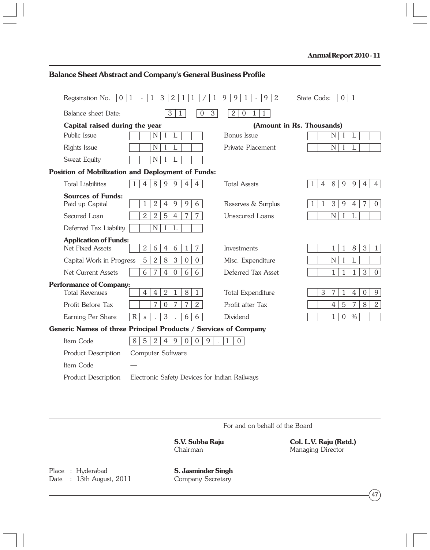| Registration No.<br>$\overline{0}$               | 3<br>$\mathbf{2}$<br>1<br>1<br>1                                                         | 9<br>9<br>9<br>2<br>1<br>1               | State Code:<br>$\Omega$<br>1                                                      |
|--------------------------------------------------|------------------------------------------------------------------------------------------|------------------------------------------|-----------------------------------------------------------------------------------|
| Balance sheet Date:                              | $\overline{3}$<br>3<br>$\Omega$<br>$\mathbf{1}$                                          | 2<br>$\overline{0}$<br>1<br>$\mathbf{1}$ |                                                                                   |
| Capital raised during the year                   |                                                                                          |                                          | (Amount in Rs. Thousands)                                                         |
| Public Issue                                     | L<br>N                                                                                   | Bonus Issue                              | L<br>N                                                                            |
| Rights Issue                                     | $\mathbf N$<br>L                                                                         | Private Placement                        | N                                                                                 |
| Sweat Equity                                     | N                                                                                        |                                          |                                                                                   |
|                                                  | <b>Position of Mobilization and Deployment of Funds:</b>                                 |                                          |                                                                                   |
| <b>Total Liabilities</b>                         | 9<br>$\overline{4}$<br>8<br>9<br>$\overline{4}$<br>$\overline{4}$                        | <b>Total Assets</b>                      | 9<br>8<br>9<br>$\overline{4}$<br>$\mathbf{1}$<br>$\overline{4}$<br>$\overline{4}$ |
| <b>Sources of Funds:</b><br>Paid up Capital      | $\mathbf{2}$<br>9<br>9<br>6<br>$\overline{4}$<br>1                                       | Reserves & Surplus                       | 3<br>7<br>9<br>$\overline{4}$<br>$\overline{0}$<br>1                              |
| Secured Loan                                     | 7<br>$\overline{2}$<br>$\overline{2}$<br>$\mathbf 5$<br>$\overline{7}$<br>$\overline{4}$ | Unsecured Loans                          | N<br>L<br>I                                                                       |
| Deferred Tax Liability                           | N<br>L<br>$\mathbf I$                                                                    |                                          |                                                                                   |
| <b>Application of Funds:</b><br>Net Fixed Assets | $\overline{2}$<br>6<br>7<br>6<br>$\overline{4}$<br>$\mathbf{1}$                          | Investments                              | $\mathbf{3}$<br>$\mathbf{1}$<br>8<br>$\mathbf{1}$<br>$\mathbf{1}$                 |
| Capital Work in Progress                         | $\overline{2}$<br>3<br>5<br>8<br>$\boldsymbol{0}$<br>$\overline{0}$                      | Misc. Expenditure                        | N                                                                                 |
| Net Current Assets                               | 6<br>6<br>6<br>7<br>$\overline{4}$<br>$\overline{0}$                                     | Deferred Tax Asset                       | 3<br>$\mathbf{1}$<br>$\overline{0}$<br>1<br>1                                     |
| <b>Performance of Company:</b>                   |                                                                                          |                                          |                                                                                   |
| <b>Total Revenues</b>                            | 8<br>$\overline{4}$<br>$\overline{4}$<br>$\overline{2}$<br>$\mathbf{1}$<br>$\mathbf{1}$  | <b>Total Expenditure</b>                 | 3<br>7<br>$\mathbf{1}$<br>$\overline{4}$<br>$\overline{0}$<br>9                   |
| Profit Before Tax                                | 7<br>2<br>7<br>7<br>$\overline{0}$                                                       | Profit after Tax                         | 8<br>$\sqrt{2}$<br>$\overline{4}$<br>5<br>7                                       |
| Earning Per Share                                | 3<br>6<br>6<br>$\mathsf R$<br>$\mathsf S$                                                | Dividend                                 | $\%$<br>$\mathbf{1}$<br>$\overline{0}$                                            |
|                                                  | Generic Names of three Principal Products / Services of Company                          |                                          |                                                                                   |
| Item Code                                        | 5<br>2<br>8<br>9<br>$\overline{4}$<br>$\Omega$<br>$\overline{0}$<br>9                    | 1<br>$\Omega$                            |                                                                                   |
| Product Description                              | Computer Software                                                                        |                                          |                                                                                   |
| Item Code                                        |                                                                                          |                                          |                                                                                   |
| <b>Product Description</b>                       | Electronic Safety Devices for Indian Railways                                            |                                          |                                                                                   |

# **Balance Sheet Abstract and Company's General Business Profile**

For and on behalf of the Board

**S.V. Subba Raju Col. L.V. Raju (Retd.)** Managing Director

Place : Hyderabad **S. Jasminder Singh**<br>
Date : 13th August, 2011 Company Secretary Date :  $13th$  August, 2011

 $47$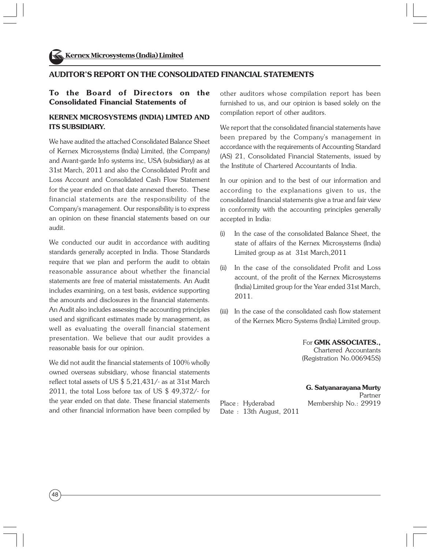#### **AUDITOR'S REPORT ON THE CONSOLIDATED FINANCIAL STATEMENTS**

#### **To the Board of Directors on the Consolidated Financial Statements of**

#### **KERNEX MICROSYSTEMS (INDIA) LIMTED AND ITS SUBSIDIARY.**

We have audited the attached Consolidated Balance Sheet of Kernex Microsystems (India) Limited, (the Company) and Avant-garde Info systems inc, USA (subsidiary) as at 31st March, 2011 and also the Consolidated Profit and Loss Account and Consolidated Cash Flow Statement for the year ended on that date annexed thereto. These financial statements are the responsibility of the Company's management. Our responsibility is to express an opinion on these financial statements based on our audit.

We conducted our audit in accordance with auditing standards generally accepted in India. Those Standards require that we plan and perform the audit to obtain reasonable assurance about whether the financial statements are free of material misstatements. An Audit includes examining, on a test basis, evidence supporting the amounts and disclosures in the financial statements. An Audit also includes assessing the accounting principles used and significant estimates made by management, as well as evaluating the overall financial statement presentation. We believe that our audit provides a reasonable basis for our opinion.

We did not audit the financial statements of 100% wholly owned overseas subsidiary, whose financial statements reflect total assets of US \$ 5,21,431/- as at 31st March 2011, the total Loss before tax of US \$ 49,372/- for the year ended on that date. These financial statements and other financial information have been compiled by other auditors whose compilation report has been furnished to us, and our opinion is based solely on the compilation report of other auditors.

We report that the consolidated financial statements have been prepared by the Company's management in accordance with the requirements of Accounting Standard (AS) 21, Consolidated Financial Statements, issued by the Institute of Chartered Accountants of India.

In our opinion and to the best of our information and according to the explanations given to us, the consolidated financial statements give a true and fair view in conformity with the accounting principles generally accepted in India:

- (i) In the case of the consolidated Balance Sheet, the state of affairs of the Kernex Microsystems (India) Limited group as at 31st March,2011
- (ii) In the case of the consolidated Profit and Loss account, of the profit of the Kernex Microsystems (India) Limited group for the Year ended 31st March, 2011.
- (iii) In the case of the consolidated cash flow statement of the Kernex Micro Systems (India) Limited group.

For **GMK ASSOCIATES.,** Chartered Accountants (Registration No.006945S)

**G. Satyanarayana Murty**

 Partner Place: Hyderabad Membership No.: 29919

Date : 13th August, 2011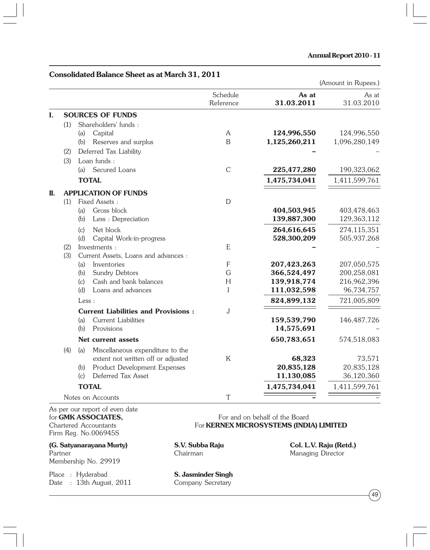#### **Consolidated Balance Sheet as at March 31, 2011**

|    |     |                                                                                 |                       |                            | (Amount in Rupees.)        |
|----|-----|---------------------------------------------------------------------------------|-----------------------|----------------------------|----------------------------|
|    |     |                                                                                 | Schedule<br>Reference | As at<br>31.03.2011        | As at<br>31.03.2010        |
| I. |     | <b>SOURCES OF FUNDS</b>                                                         |                       |                            |                            |
|    | (1) | Shareholders' funds:                                                            |                       |                            |                            |
|    |     | Capital<br>(a)                                                                  | A                     | 124,996,550                | 124,996,550                |
|    |     | (b)<br>Reserves and surplus                                                     | B                     | 1,125,260,211              | 1,096,280,149              |
|    | (2) | Deferred Tax Liability                                                          |                       |                            |                            |
|    | (3) | Loan funds:                                                                     |                       |                            |                            |
|    |     | Secured Loans<br>(a)                                                            | $\mathcal{C}$         | 225,477,280                | 190,323,062                |
|    |     | <b>TOTAL</b>                                                                    |                       | 1,475,734,041              | 1,411,599,761              |
| П. |     | <b>APPLICATION OF FUNDS</b>                                                     |                       |                            |                            |
|    | (1) | Fixed Assets:                                                                   | D                     |                            |                            |
|    |     | Gross block<br>(a)                                                              |                       | 404,503,945                | 403,478,463                |
|    |     | (b)<br>Less : Depreciation                                                      |                       | 139,887,300                | 129,363,112                |
|    |     | Net block<br>(c)                                                                |                       | 264,616,645                | 274,115,351                |
|    |     | (d)<br>Capital Work-in-progress                                                 |                       | 528,300,209                | 505,937,268                |
|    | (2) | Investments :                                                                   | E                     |                            |                            |
|    | (3) | Current Assets, Loans and advances :                                            |                       |                            |                            |
|    |     | Inventories<br>(a)                                                              | $\mathsf{F}$          | 207,423,263                | 207,050,575                |
|    |     | (b)<br>Sundry Debtors<br>Cash and bank balances<br>(c)                          | G<br>H                | 366,524,497<br>139,918,774 | 200,258,081<br>216,962,396 |
|    |     | (d)<br>Loans and advances                                                       | I                     | 111,032,598                | 96,734,757                 |
|    |     | Less:                                                                           |                       | 824,899,132                | 721,005,809                |
|    |     |                                                                                 |                       |                            |                            |
|    |     | <b>Current Liabilities and Provisions:</b><br><b>Current Liabilities</b><br>(a) | J                     | 159,539,790                | 146, 487, 726              |
|    |     | (b)<br>Provisions                                                               |                       | 14,575,691                 |                            |
|    |     | Net current assets                                                              |                       | 650,783,651                | 574,518,083                |
|    |     |                                                                                 |                       |                            |                            |
|    | (4) | Miscellaneous expenditure to the<br>(a)<br>extent not written off or adjusted   | K                     | 68,323                     | 73,571                     |
|    |     | Product Development Expenses<br>(b)                                             |                       | 20,835,128                 | 20,835,128                 |
|    |     | Deferred Tax Asset<br>(c)                                                       |                       | 11,130,085                 | 36,120,360                 |
|    |     | <b>TOTAL</b>                                                                    |                       | 1,475,734,041              | 1,411,599,761              |
|    |     | Notes on Accounts                                                               | T                     |                            |                            |
|    |     |                                                                                 |                       |                            |                            |

As per our report of even date Firm Reg. No.006945S

**(G. Satyanarayana Murty) S.V. Subba Raju Col. L.V. Raju (Retd.)** Membership No. 29919

Place : Hyderabad **S. Jasminder Singh** Date : 13th August, 2011 Company Secretary

for **GMK ASSOCIATES,**<br>
For and on behalf of the Board<br>
For **KERNEX MICROSYSTEMS** (INDI For **KERNEX MICROSYSTEMS (INDIA) LIMITED** 

Managing Director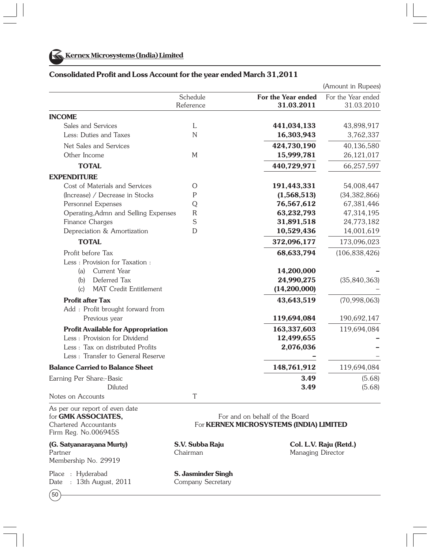|                                           |                       |                                  | (Amount in Rupees)               |
|-------------------------------------------|-----------------------|----------------------------------|----------------------------------|
|                                           | Schedule<br>Reference | For the Year ended<br>31.03.2011 | For the Year ended<br>31.03.2010 |
| <b>INCOME</b>                             |                       |                                  |                                  |
| Sales and Services                        | L                     | 441,034,133                      | 43,898,917                       |
| Less: Duties and Taxes                    | $\mathbb N$           | 16,303,943                       | 3,762,337                        |
| Net Sales and Services                    |                       | 424,730,190                      | 40,136,580                       |
| Other Income                              | M                     | 15,999,781                       | 26,121,017                       |
| <b>TOTAL</b>                              |                       | 440,729,971                      | 66,257,597                       |
| <b>EXPENDITURE</b>                        |                       |                                  |                                  |
| Cost of Materials and Services            | Ω                     | 191,443,331                      | 54,008,447                       |
| (Increase) / Decrease in Stocks           | $\mathsf{P}$          | (1,568,513)                      | (34, 382, 866)                   |
| Personnel Expenses                        | Q                     | 76,567,612                       | 67,381,446                       |
| Operating, Admn and Selling Expenses      | $\mathsf{R}$          | 63,232,793                       | 47,314,195                       |
| Finance Charges                           | S                     | 31,891,518                       | 24,773,182                       |
| Depreciation & Amortization               | D                     | 10,529,436                       | 14,001,619                       |
| <b>TOTAL</b>                              |                       | 372,096,177                      | 173,096,023                      |
| Profit before Tax                         |                       | 68,633,794                       | (106, 838, 426)                  |
| Less: Provision for Taxation:             |                       |                                  |                                  |
| Current Year<br>(a)                       |                       | 14,200,000                       |                                  |
| Deferred Tax<br>(b)                       |                       | 24,990,275                       | (35, 840, 363)                   |
| <b>MAT Credit Entitlement</b><br>(c)      |                       | (14,200,000)                     |                                  |
| <b>Profit after Tax</b>                   |                       | 43,643,519                       | (70, 998, 063)                   |
| Add : Profit brought forward from         |                       |                                  |                                  |
| Previous year                             |                       | 119,694,084                      | 190,692,147                      |
| <b>Profit Available for Appropriation</b> |                       | 163,337,603                      | 119,694,084                      |
| Less: Provision for Dividend              |                       | 12,499,655                       |                                  |
| Less : Tax on distributed Profits         |                       | 2,076,036                        |                                  |
| Less: Transfer to General Reserve         |                       |                                  |                                  |
| <b>Balance Carried to Balance Sheet</b>   |                       | 148,761,912                      | 119,694,084                      |
| Earning Per Share:-Basic                  |                       | 3.49                             | (5.68)                           |
| Diluted                                   |                       | 3.49                             | (5.68)                           |
| Notes on Accounts                         | T                     |                                  |                                  |
| $-1.1$                                    |                       |                                  |                                  |

#### **Consolidated Profit and Loss Account for the year ended March 31,2011**

As per our report of even date<br>for **GMK ASSOCIATES.** Firm Reg. No.006945S

**(G. Satyanarayana Murty) S.V. Subba Raju Col. L.V. Raju (Retd.)** Partner **Chairman** Chairman Managing Director Membership No. 29919

Place : Hyderabad **S. Jasminder Singh**<br>
Date : 13th August, 2011 Company Secretary Date :  $13$ th August,  $2011$ 

 $(50)$ 

For and on behalf of the Board Chartered Accountants For **KERNEX MICROSYSTEMS (INDIA) LIMITED**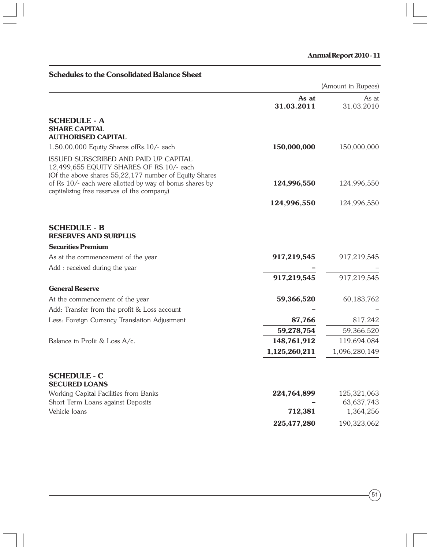# **Schedules to the Consolidated Balance Sheet**

| (Amount in Rupees) |  |  |
|--------------------|--|--|
|--------------------|--|--|

|                                                                                                                                                                                                                                                      | As at<br>31.03.2011 | As at<br>31.03.2010 |
|------------------------------------------------------------------------------------------------------------------------------------------------------------------------------------------------------------------------------------------------------|---------------------|---------------------|
| <b>SCHEDULE - A</b><br><b>SHARE CAPITAL</b><br><b>AUTHORISED CAPITAL</b>                                                                                                                                                                             |                     |                     |
| 1,50,00,000 Equity Shares of Rs. 10/- each                                                                                                                                                                                                           | 150,000,000         | 150,000,000         |
| ISSUED SUBSCRIBED AND PAID UP CAPITAL<br>12,499,655 EQUITY SHARES OF RS.10/- each<br>(Of the above shares 55,22,177 number of Equity Shares<br>of Rs 10/- each were allotted by way of bonus shares by<br>capitalizing free reserves of the company) | 124,996,550         | 124,996,550         |
|                                                                                                                                                                                                                                                      | 124,996,550         | 124,996,550         |
| <b>SCHEDULE - B</b><br><b>RESERVES AND SURPLUS</b><br><b>Securities Premium</b><br>As at the commencement of the year                                                                                                                                | 917,219,545         | 917,219,545         |
| Add : received during the year                                                                                                                                                                                                                       |                     |                     |
|                                                                                                                                                                                                                                                      | 917,219,545         | 917,219,545         |
| <b>General Reserve</b>                                                                                                                                                                                                                               |                     |                     |
| At the commencement of the year                                                                                                                                                                                                                      | 59,366,520          | 60,183,762          |
| Add: Transfer from the profit & Loss account                                                                                                                                                                                                         |                     |                     |
| Less: Foreign Currency Translation Adjustment                                                                                                                                                                                                        | 87,766              | 817,242             |
|                                                                                                                                                                                                                                                      | 59,278,754          | 59,366,520          |
| Balance in Profit & Loss A/c.                                                                                                                                                                                                                        | 148,761,912         | 119,694,084         |
|                                                                                                                                                                                                                                                      | 1,125,260,211       | 1,096,280,149       |
| <b>SCHEDULE - C</b><br><b>SECURED LOANS</b>                                                                                                                                                                                                          |                     |                     |
| Working Capital Facilities from Banks                                                                                                                                                                                                                | 224,764,899         | 125,321,063         |
| Short Term Loans against Deposits                                                                                                                                                                                                                    |                     | 63, 637, 743        |
| Vehicle loans                                                                                                                                                                                                                                        | 712,381             | 1,364,256           |
|                                                                                                                                                                                                                                                      | 225,477,280         | 190,323,062         |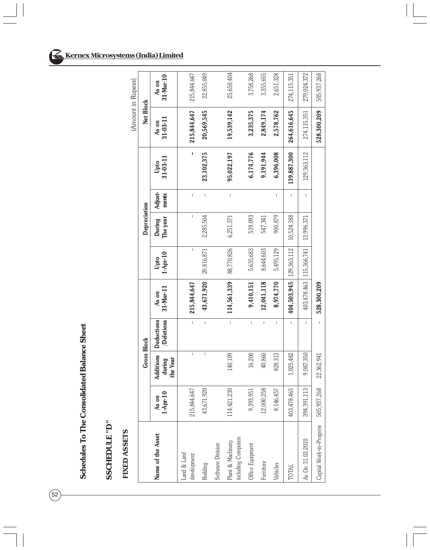Schedules To The Consolidated Balance Sheet **Schedules To The Consolidated Balance Sheet**

# SSCHEDULE "D" **SSCHEDULE "D"**

# FIXED ASSETS  **FIXED ASSETS**

| 505,937,268              | 528,300,209       |                  |                  |                    |                    | 528,300,209                   |                                | 22,362,941                      | 268<br>505,937,     | Capital Work-in-Progress                 |
|--------------------------|-------------------|------------------|------------------|--------------------|--------------------|-------------------------------|--------------------------------|---------------------------------|---------------------|------------------------------------------|
| 279,024,372              | 274,115,351       | 129,363,112      | $\mathbf{I}$     | 13,996,371         |                    | 403, 478, 463   115, 366, 741 | ı                              | 9,087,350                       | 394,391,113         | As On 31.03.2010                         |
| 274,115,351              | 264,616,645       | 139,887,300      | L                | 10,524,188         |                    | $404,503,945$   129,363,112   | L                              | 1,025,482                       | ,463<br>403,478,    | <b>TOTAL</b>                             |
| 2,651,328                | 2,578,762         | 6,396,008        | Ï                | 900,879            | 5,495,129          | 8,974,770                     | I                              | 828,313                         | 8,146,457           | Vehicles                                 |
| 3,355,655                | 2,849,174         | 9,191,944        |                  | 547,341            | 8,644,603          | 12,041,118                    | I                              | 40,860                          | ,258<br>12,000,     | Furniture                                |
| 3,758,268                | 3,235,375         | 6,174,776        |                  | 539,093            | 5,635,683          | 9,410,151                     | I                              | 16,200                          | ,951<br>9,393,      | Office Equipment                         |
| 25,650,404               | 19,539,142        | 95,022,197       | L                | 6,251,371          | 88,770,826         | 114,561,339                   | $\mathsf I$                    | 140,109                         | 230<br>114,421,     | including Computers<br>Plant & Machinery |
|                          |                   |                  |                  |                    |                    |                               |                                |                                 |                     | Software Division                        |
| 22,855,049               | 20,569,545        | 23,102,375       | Ï                | 2,285,504          | 20,816,871         | 43,671,920                    | L                              | I                               | 920<br>43,671       | <b>Building</b>                          |
| 215,844,647              | 215,844,647       | ı                | $\overline{1}$   | I                  | $\mathbf{I}$       | 215,844,647                   | $\mathbf{I}$                   | $\mathbf{I}$                    | ,647<br>215,844,    | and & Land<br>development                |
| $31 - Mar - 10$<br>As on | 31-03-11<br>As on | 31-03-11<br>Upto | Adjust-<br>ments | The year<br>During | $1-Apr-10$<br>Upto | 31-Mar-17<br>As on            | <b>Deductions</b><br>Deletions | Additions<br>the Year<br>during | $1-Apr-10$<br>As on | Name of the Asset                        |
|                          | Net Block         |                  |                  | Depreciation       |                    |                               |                                | Gross Block                     |                     |                                          |
| (Amount in Rupees)       |                   |                  |                  |                    |                    |                               |                                |                                 |                     |                                          |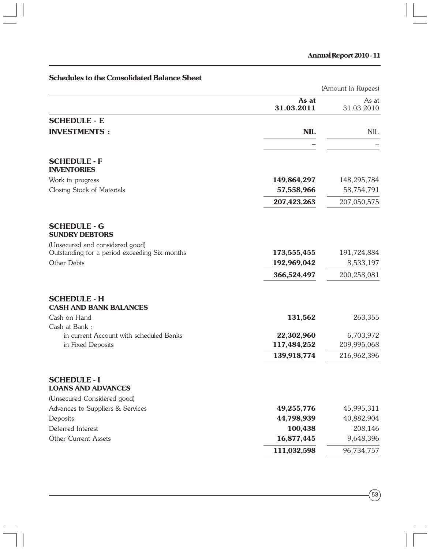|                                                      |                     | (Amount in Rupees)  |
|------------------------------------------------------|---------------------|---------------------|
|                                                      | As at<br>31.03.2011 | As at<br>31.03.2010 |
| <b>SCHEDULE - E</b>                                  |                     |                     |
| <b>INVESTMENTS:</b>                                  | <b>NIL</b>          | <b>NIL</b>          |
| <b>SCHEDULE - F</b>                                  |                     |                     |
| <b>INVENTORIES</b>                                   |                     |                     |
| Work in progress                                     | 149,864,297         | 148,295,784         |
| Closing Stock of Materials                           | 57,558,966          | 58,754,791          |
|                                                      | 207,423,263         | 207,050,575         |
| <b>SCHEDULE - G</b><br><b>SUNDRY DEBTORS</b>         |                     |                     |
| (Unsecured and considered good)                      |                     |                     |
| Outstanding for a period exceeding Six months        | 173,555,455         | 191,724,884         |
| Other Debts                                          | 192,969,042         | 8,533,197           |
|                                                      | 366,524,497         | 200,258,081         |
| <b>SCHEDULE - H</b><br><b>CASH AND BANK BALANCES</b> |                     |                     |
| Cash on Hand                                         | 131,562             | 263,355             |
| Cash at Bank:                                        |                     |                     |
| in current Account with scheduled Banks              | 22,302,960          | 6,703,972           |
| in Fixed Deposits                                    | 117,484,252         | 209,995,068         |
|                                                      | 139,918,774         | 216,962,396         |
| <b>SCHEDULE - I</b><br><b>LOANS AND ADVANCES</b>     |                     |                     |
| (Unsecured Considered good)                          |                     |                     |
| Advances to Suppliers & Services                     | 49,255,776          | 45,995,311          |
| Deposits                                             | 44,798,939          | 40,882,904          |
| Deferred Interest                                    | 100,438             | 208,146             |
| <b>Other Current Assets</b>                          | 16,877,445          | 9,648,396           |
|                                                      | 111,032,598         | 96,734,757          |

# **Schedules to the Consolidated Balance Sheet**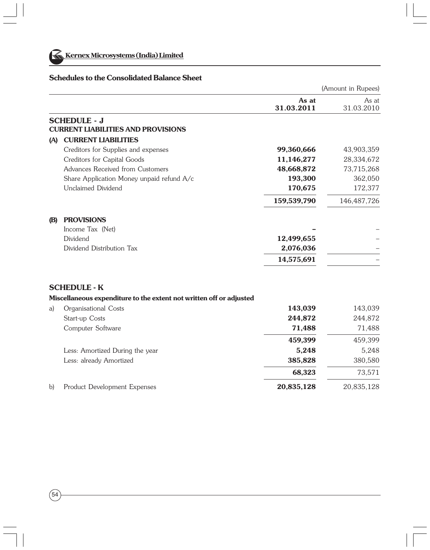

#### **Schedules to the Consolidated Balance Sheet**

|            |                                                                     |                     | (Amount in Rupees)  |
|------------|---------------------------------------------------------------------|---------------------|---------------------|
|            |                                                                     | As at<br>31.03.2011 | As at<br>31.03.2010 |
|            | <b>SCHEDULE - J</b><br><b>CURRENT LIABILITIES AND PROVISIONS</b>    |                     |                     |
| (A)        | <b>CURRENT LIABILITIES</b>                                          |                     |                     |
|            | Creditors for Supplies and expenses                                 | 99,360,666          | 43,903,359          |
|            | Creditors for Capital Goods                                         | 11,146,277          | 28,334,672          |
|            | Advances Received from Customers                                    | 48,668,872          | 73,715,268          |
|            | Share Application Money unpaid refund A/c                           | 193,300             | 362,050             |
|            | Unclaimed Dividend                                                  | 170,675             | 172,377             |
|            |                                                                     | 159,539,790         | 146, 487, 726       |
| <b>(B)</b> | <b>PROVISIONS</b>                                                   |                     |                     |
|            | Income Tax (Net)                                                    |                     |                     |
|            | Dividend                                                            | 12,499,655          |                     |
|            | Dividend Distribution Tax                                           | 2,076,036           |                     |
|            |                                                                     | 14,575,691          |                     |
|            | <b>SCHEDULE - K</b>                                                 |                     |                     |
|            | Miscellaneous expenditure to the extent not written off or adjusted |                     |                     |
| a)         | Organisational Costs                                                | 143,039             | 143,039             |
|            | Start-up Costs                                                      | 244,872             | 244,872             |
|            | Computer Software                                                   | 71,488              | 71,488              |
|            |                                                                     | 459,399             | 459,399             |

**68,323** 73,571

Less: Amortized During the year 5,248 5,248 Less: already Amortized **385,828** 380,580

#### b) Product Development Expenses **20,835,128** 20,835,128

|   | ۰<br>٦<br><br>۰.<br>×<br>M.<br>۰. |  |
|---|-----------------------------------|--|
| r |                                   |  |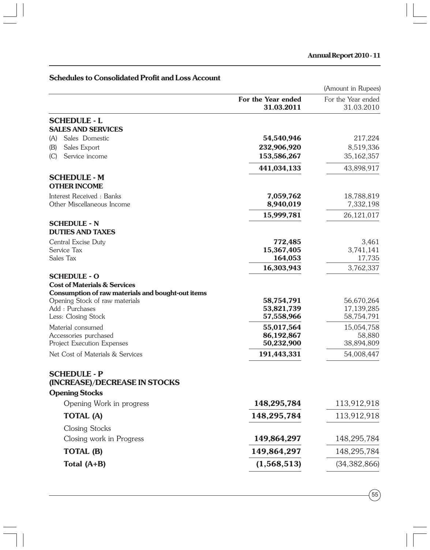# (Amount in Rupees) **For the Year ended** For the Year ended<br>**31 03 2011** 31 03 2010 **31.03.2011** 31.03.2010 **SCHEDULE - L SALES AND SERVICES** (A) Sales Domestic **54,540,946** 217,224 (B) Sales Export **232,906,920** 8,519,336 (C) Service income **153,586,267** 35,162,357  **441,034,133** 43,898,917 **SCHEDULE - M OTHER INCOME** Interest Received : Banks **7,059,762** 18,788,819 Other Miscellaneous Income **8,940,019** 7,332,198  **15,999,781** 26,121,017 **SCHEDULE - N DUTIES AND TAXES** Central Excise Duty **772,485** 3,461 Service Tax **15,367,405** 3,741,141 Sales Tax **164,053** 17,735  **16,303,943** 3,762,337 **SCHEDULE - O Cost of Materials & Services Consumption of raw materials and bought-out items** Opening Stock of raw materials **58,754,791** 56,670,264 Add : Purchases **53,821,739** 17,139,285 Less: Closing Stock **57,558,966** 58,754,791 Material consumed **55,017,564** 15,054,758 Accessories purchased **86,192,867** 58,880 Project Execution Expenses **50,232,900** 38,894,809 Net Cost of Materials & Services **191,443,331** 54,008,447 **SCHEDULE - P (INCREASE)/DECREASE IN STOCKS Opening Stocks** Opening Work in progress **148,295,784** 113,912,918 **TOTAL (A) 148,295,784** 113,912,918 Closing Stocks Closing work in Progress **149,864,297** 148,295,784 **TOTAL (B)** 149,864,297 148,295,784 **Total (A+B)** (34,382,866)

#### **Schedules to Consolidated Profit and Loss Account**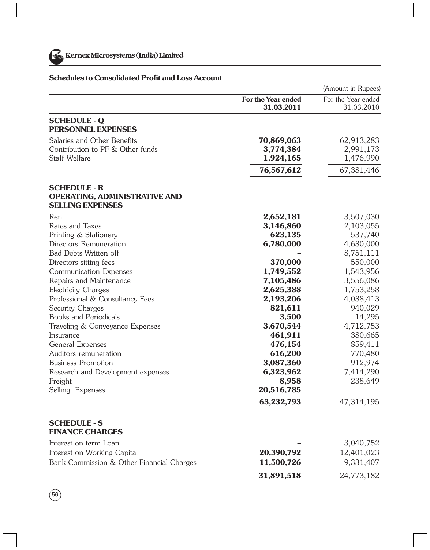

### **Schedules to Consolidated Profit and Loss Account**

|                                                                                        |                                  | (Amount in Rupees)               |
|----------------------------------------------------------------------------------------|----------------------------------|----------------------------------|
|                                                                                        | For the Year ended<br>31.03.2011 | For the Year ended<br>31.03.2010 |
| <b>SCHEDULE - Q</b><br>PERSONNEL EXPENSES                                              |                                  |                                  |
| Salaries and Other Benefits                                                            | 70,869,063                       | 62,913,283                       |
| Contribution to PF & Other funds                                                       | 3,774,384                        | 2,991,173                        |
| Staff Welfare                                                                          | 1,924,165                        | 1,476,990                        |
|                                                                                        | 76,567,612                       | 67,381,446                       |
| <b>SCHEDULE - R</b><br><b>OPERATING, ADMINISTRATIVE AND</b><br><b>SELLING EXPENSES</b> |                                  |                                  |
| Rent                                                                                   | 2,652,181                        | 3,507,030                        |
| Rates and Taxes                                                                        | 3,146,860                        | 2,103,055                        |
| Printing & Stationery                                                                  | 623,135                          | 537,740                          |
| Directors Remuneration                                                                 | 6,780,000                        | 4,680,000                        |
| <b>Bad Debts Written off</b>                                                           |                                  | 8,751,111                        |
| Directors sitting fees                                                                 | 370,000                          | 550,000                          |
| Communication Expenses                                                                 | 1,749,552                        | 1,543,956                        |
| Repairs and Maintenance                                                                | 7,105,486                        | 3,556,086                        |
| <b>Electricity Charges</b>                                                             | 2,625,388                        | 1,753,258                        |
| Professional & Consultancy Fees                                                        | 2,193,206                        | 4,088,413                        |
| Security Charges                                                                       | 821,611                          | 940,029                          |
| <b>Books and Periodicals</b>                                                           | 3,500                            | 14,295                           |
| Traveling & Conveyance Expenses                                                        | 3,670,544                        | 4,712,753                        |
| Insurance                                                                              | 461,911                          | 380,665                          |
| General Expenses                                                                       | 476,154                          | 859,411                          |
| Auditors remuneration                                                                  | 616,200                          | 770,480                          |
| <b>Business Promotion</b>                                                              | 3,087,360                        | 912,974                          |
| Research and Development expenses                                                      | 6,323,962                        | 7,414,290                        |
| Freight                                                                                | 8,958                            | 238,649                          |
| Selling Expenses                                                                       | 20,516,785                       |                                  |
|                                                                                        | 63,232,793                       | 47,314,195                       |
| <b>SCHEDULE - S</b><br><b>FINANCE CHARGES</b>                                          |                                  |                                  |
| Interest on term Loan                                                                  |                                  | 3,040,752                        |
| Interest on Working Capital                                                            | 20,390,792                       | 12,401,023                       |
| Bank Commission & Other Financial Charges                                              | 11,500,726                       | 9,331,407                        |
|                                                                                        | 31,891,518                       | 24,773,182                       |

 $(56)$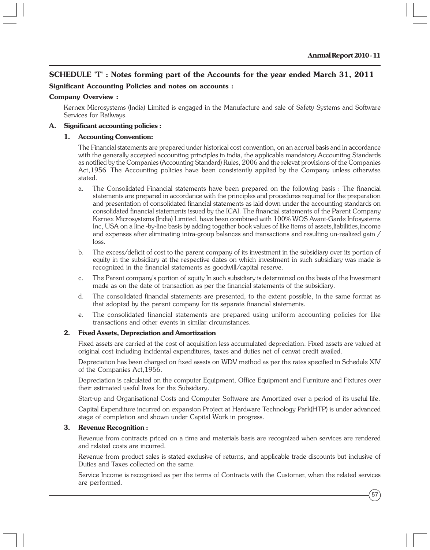#### **SCHEDULE 'T' : Notes forming part of the Accounts for the year ended March 31, 2011**

#### **Significant Accounting Policies and notes on accounts :**

#### **Company Overview :**

Kernex Microsystems (India) Limited is engaged in the Manufacture and sale of Safety Systems and Software Services for Railways.

#### **A. Significant accounting policies :**

#### **1. Accounting Convention:**

The Financial statements are prepared under historical cost convention, on an accrual basis and in accordance with the generally accepted accounting principles in india, the applicable mandatory Accounting Standards as notified by the Companies (Accounting Standard) Rules, 2006 and the relevat provisions of the Companies Act,1956 The Accounting policies have been consistently applied by the Company unless otherwise stated.

- a. The Consolidated Financial statements have been prepared on the following basis : The financial statements are prepared in accordance with the principles and procedures required for the preparation and presentation of consolidated financial statements as laid down under the accounting standards on consolidated financial statements issued by the ICAI. The financial statements of the Parent Company Kernex Microsystems (India) Limited, have been combined with 100% WOS Avant-Garde Infosystems Inc, USA on a line -by-line basis by adding together book values of like items of assets,liabilities,income and expenses after eliminating intra-group balances and transactions and resulting un-realized gain / loss.
- b. The excess/deficit of cost to the parent company of its investment in the subsidiary over its portion of equity in the subsidiary at the respective dates on which investment in such subsidiary was made is recognized in the financial statements as goodwill/capital reserve.
- c. The Parent company's portion of equity In such subsidiary is determined on the basis of the Investment made as on the date of transaction as per the financial statements of the subsidiary.
- d. The consolidated financial statements are presented, to the extent possible, in the same format as that adopted by the parent company for its separate financial statements.
- e. The consolidated financial statements are prepared using uniform accounting policies for like transactions and other events in similar circumstances.

#### **2. Fixed Assets, Depreciation and Amortization**

Fixed assets are carried at the cost of acquisition less accumulated depreciation. Fixed assets are valued at original cost including incidental expenditures, taxes and duties net of cenvat credit availed.

Depreciation has been charged on fixed assets on WDV method as per the rates specified in Schedule XIV of the Companies Act,1956.

Depreciation is calculated on the computer Equipment, Office Equipment and Furniture and Fixtures over their estimated useful lives for the Subsidiary.

Start-up and Organisational Costs and Computer Software are Amortized over a period of its useful life.

Capital Expenditure incurred on expansion Project at Hardware Technology Park(HTP) is under advanced stage of completion and shown under Capital Work in progress.

#### **3. Revenue Recognition :**

Revenue from contracts priced on a time and materials basis are recognized when services are rendered and related costs are incurred.

Revenue from product sales is stated exclusive of returns, and applicable trade discounts but inclusive of Duties and Taxes collected on the same.

Service Income is recognized as per the terms of Contracts with the Customer, when the related services are performed.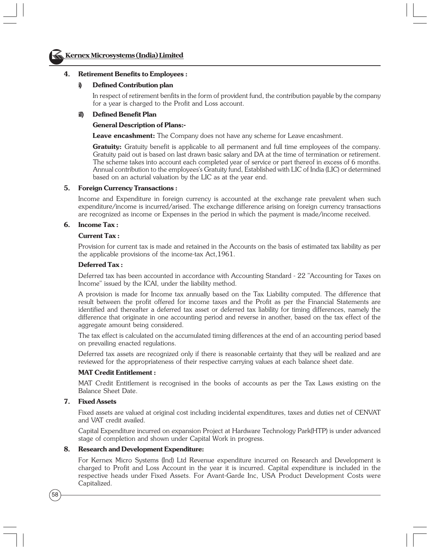

#### **4. Retirement Benefits to Employees :**

#### **i) Defined Contribution plan**

In respect of retirement benfits in the form of provident fund, the contribution payable by the company for a year is charged to the Profit and Loss account.

#### **iI) Defined Benefit Plan**

#### **General Description of Plans:-**

**Leave encashment:** The Company does not have any scheme for Leave encashment.

**Gratuity:** Gratuity benefit is applicable to all permanent and full time employees of the company. Gratuity paid out is based on last drawn basic salary and DA at the time of termination or retirement. The scheme takes into account each completed year of service or part thereof in excess of 6 months. Annual contribution to the employees's Gratuity fund, Established with LIC of India (LIC) or determined based on an acturial valuation by the LIC as at the year end.

#### **5. Foreign Currency Transactions :**

Income and Expenditure in foreign currency is accounted at the exchange rate prevalent when such expenditure/income is incurred/arised. The exchange difference arising on foreign currency transactions are recognized as income or Expenses in the period in which the payment is made/income received.

#### **6. Income Tax :**

#### **Current Tax :**

Provision for current tax is made and retained in the Accounts on the basis of estimated tax liability as per the applicable provisions of the income-tax Act,1961.

#### **Deferred Tax :**

Deferred tax has been accounted in accordance with Accounting Standard - 22 "Accounting for Taxes on Income" issued by the ICAI, under the liability method.

A provision is made for Income tax annually based on the Tax Liability computed. The difference that result between the profit offered for income taxes and the Profit as per the Financial Statements are identified and thereafter a deferred tax asset or deferred tax liability for timing differences, namely the difference that originate in one accounting period and reverse in another, based on the tax effect of the aggregate amount being considered.

The tax effect is calculated on the accumulated timing differences at the end of an accounting period based on prevailing enacted regulations.

Deferred tax assets are recognized only if there is reasonable certainty that they will be realized and are reviewed for the appropriateness of their respective carrying values at each balance sheet date.

#### **MAT Credit Entitlement :**

MAT Credit Entitlement is recognised in the books of accounts as per the Tax Laws existing on the Balance Sheet Date.

#### **7. Fixed Assets**

Fixed assets are valued at original cost including incidental expenditures, taxes and duties net of CENVAT and VAT credit availed.

Capital Expenditure incurred on expansion Project at Hardware Technology Park(HTP) is under advanced stage of completion and shown under Capital Work in progress.

#### **8. Research and Development Expenditure:**

For Kernex Micro Systems (Ind) Ltd Revenue expenditure incurred on Research and Development is charged to Profit and Loss Account in the year it is incurred. Capital expenditure is included in the respective heads under Fixed Assets. For Avant-Garde Inc, USA Product Development Costs were Capitalized.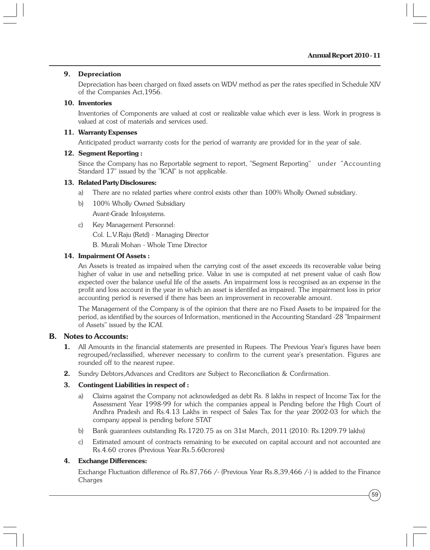#### **9. Depreciation**

Depreciation has been charged on fixed assets on WDV method as per the rates specified in Schedule XIV of the Companies Act,1956.

#### **10. Inventories**

Inventories of Components are valued at cost or realizable value which ever is less. Work in progress is valued at cost of materials and services used.

#### **11. Warranty Expenses**

Anticipated product warranty costs for the period of warranty are provided for in the year of sale.

#### **12. Segment Reporting :**

Since the Company has no Reportable segment to report, "Segment Reporting" under "Accounting Standard 17" issued by the "ICAI" is not applicable.

#### **13. Related Party Disclosures:**

- a) There are no related parties where control exists other than 100% Wholly Owned subsidiary.
- b) 100% Wholly Owned Subsidiary Avant-Grade Infosystems.
- c) Key Management Personnel:

Col. L.V.Raju (Retd) - Managing Director

B. Murali Mohan - Whole Time Director

#### **14. Impairment Of Assets :**

An Assets is treated as impaired when the carrying cost of the asset exceeds its recoverable value being higher of value in use and netselling price. Value in use is computed at net present value of cash flow expected over the balance useful life of the assets. An impairment loss is recognised as an expense in the profit and loss account in the year in which an asset is identifed as impaired. The impairment loss in prior accounting period is reversed if there has been an improvement in recoverable amount.

The Management of the Company is of the opinion that there are no Fixed Assets to be impaired for the period, as identified by the sources of Information, mentioned in the Accounting Standard -28 "Impairment of Assets" issued by the ICAI.

#### **B. Notes to Accounts:**

- **1.** All Amounts in the financial statements are presented in Rupees. The Previous Year's figures have been regrouped/reclassified, wherever necessary to confirm to the current year's presentation. Figures are rounded off to the nearest rupee.
- **2.** Sundry Debtors,Advances and Creditors are Subject to Reconciliation & Confirmation.

#### **3. Contingent Liabilities in respect of :**

- a) Claims against the Company not acknowledged as debt Rs. 8 lakhs in respect of Income Tax for the Assessment Year 1998-99 for which the companies appeal is Pending before the High Court of Andhra Pradesh and Rs.4.13 Lakhs in respect of Sales Tax for the year 2002-03 for which the company appeal is pending before STAT
- b) Bank guarantees outstanding Rs.1720.75 as on 31st March, 2011 (2010: Rs.1209.79 lakhs)
- c) Estimated amount of contracts remaining to be executed on capital account and not accounted are Rs.4.60 crores (Previous Year:Rs.5.60crores)

#### **4. Exchange Differences:**

Exchange Fluctuation difference of Rs.87,766 /- (Previous Year Rs.8,39,466 /-) is added to the Finance Charges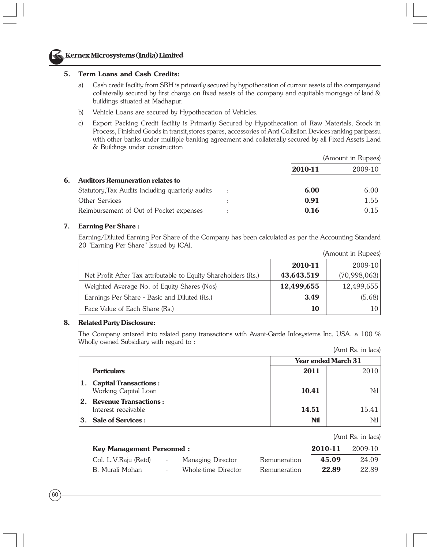

#### **Kernex Microsystems (India) Limited**

#### **5. Term Loans and Cash Credits:**

- a) Cash credit facility from SBH is primarily secured by hypothecation of current assets of the companyand collaterally secured by first charge on fixed assets of the company and equitable mortgage of land & buildings situated at Madhapur.
- b) Vehicle Loans are secured by Hypothecation of Vehicles.
- c) Export Packing Credit facility is Primarily Secured by Hypothecation of Raw Materials, Stock in Process, Finished Goods in transit,stores spares, accessories of Anti Collisiion Devices ranking paripassu with other banks under multiple banking agreement and collaterally secured by all Fixed Assets Land & Buildings under construction

|    |                                                  |                      |         | (Amount in Rupees) |
|----|--------------------------------------------------|----------------------|---------|--------------------|
|    |                                                  |                      | 2010-11 | 2009-10            |
| 6. | <b>Auditors Remuneration relates to</b>          |                      |         |                    |
|    | Statutory, Tax Audits including quarterly audits | $\cdot$ :            | 6.00    | 6.00               |
|    | Other Services                                   |                      | 0.91    | 1.55               |
|    | Reimbursement of Out of Pocket expenses          | $\ddot{\phantom{a}}$ | 0.16    | 0.15               |

#### **7. Earning Per Share :**

Earning/Diluted Earning Per Share of the Company has been calculated as per the Accounting Standard 20 "Earning Per Share" Issued by ICAI.

|                                                                |            | $\mu$ muodin murrapees, |
|----------------------------------------------------------------|------------|-------------------------|
|                                                                | 2010-11    | $2009-10$               |
| Net Profit After Tax attributable to Equity Shareholders (Rs.) | 43,643,519 | (70,998,063)            |
| Weighted Average No. of Equity Shares (Nos)                    | 12,499,655 | 12,499,655              |
| Earnings Per Share - Basic and Diluted (Rs.)                   | 3.49       | (5.68)                  |
| Face Value of Each Share (Rs.)                                 | 10         |                         |

#### **8. Related Party Disclosure:**

The Company entered into related party transactions with Avant-Garde Infosystems Inc, USA. a 100 % Wholly owned Subsidiary with regard to :

| (Amt Rs. in lacs) |  |  |  |
|-------------------|--|--|--|
|-------------------|--|--|--|

| <b>Year ended March 31</b>                          |            |       |
|-----------------------------------------------------|------------|-------|
| <b>Particulars</b>                                  | 2011       |       |
| 1. Capital Transactions:<br>Working Capital Loan    | 10.41      | Nil l |
| $ 2.$ Revenue Transactions :<br>Interest receivable | 14.51      | 15.41 |
| $ 3.$ Sale of Services :                            | <b>Nil</b> | Nil l |

|                                  |        |                     |              |         | (Amt Rs. in lacs) |
|----------------------------------|--------|---------------------|--------------|---------|-------------------|
| <b>Key Management Personnel:</b> |        |                     |              | 2010-11 | 2009-10           |
| Col. L.V.Raju (Retd)             | $\sim$ | Managing Director   | Remuneration | 45.09   | 24.09             |
| B. Murali Mohan                  | $\sim$ | Whole-time Director | Remuneration | 22.89   | 22.89             |
|                                  |        |                     |              |         |                   |

(Amount in Rupees)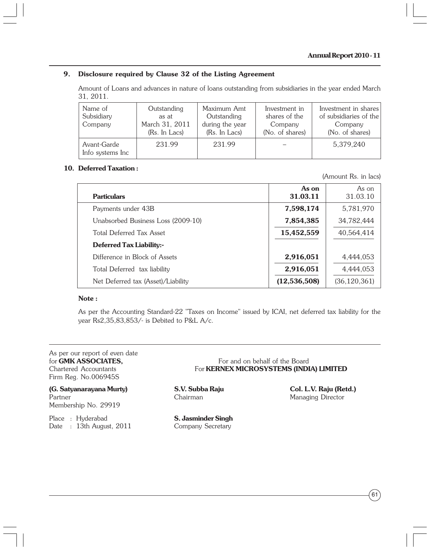#### **9. Disclosure required by Clause 32 of the Listing Agreement**

Amount of Loans and advances in nature of loans outstanding from subsidiaries in the year ended March 31, 2011.

| Name of<br>Subsidiary<br>Company | Outstanding<br>as at<br>March 31, 2011<br>(Rs. In Lacs) | Maximum Amt<br>Outstanding<br>during the year<br>(Rs. In Lacs) | Investment in<br>shares of the<br>Company<br>(No. of shares) | Investment in shares<br>of subsidiaries of the<br>Company<br>(No. of shares) |
|----------------------------------|---------------------------------------------------------|----------------------------------------------------------------|--------------------------------------------------------------|------------------------------------------------------------------------------|
| Avant-Garde<br>Info systems Inc  | 231.99                                                  | 231.99                                                         |                                                              | 5,379,240                                                                    |

#### **10. Deferred Taxation :**

(Amount Rs. in lacs)

| <b>Particulars</b>                 | As on<br>31.03.11 | As on<br>31.03.10 |
|------------------------------------|-------------------|-------------------|
| Payments under 43B                 | 7,598,174         | 5,781,970         |
| Unabsorbed Business Loss (2009-10) | 7,854,385         | 34,782,444        |
| Total Deferred Tax Asset           | 15,452,559        | 40,564,414        |
| <b>Deferred Tax Liability:-</b>    |                   |                   |
| Difference in Block of Assets      | 2,916,051         | 4,444,053         |
| Total Deferred tax liability       | 2,916,051         | 4,444,053         |
| Net Deferred tax (Asset)/Liability | (12, 536, 508)    | (36, 120, 361)    |

#### **Note :**

As per the Accounting Standard-22 "Taxes on Income" issued by ICAI, net deferred tax liability for the year Rs2,35,83,853/- is Debited to P&L A/c.

# As per our report of even date Firm Reg. No.006945S

**(G. Satyanarayana Murty) S.V. Subba Raju Col. L.V. Raju (Retd.)** Partner **Chairman** Chairman Managing Director Membership No. 29919

Place : Hyderabad **S. Jasminder Singh** Date : 13th August, 2011 Company Secretary

for **GMK ASSOCIATES.** For and on behalf of the Board Chartered Accountants For **KERNEX MICROSYSTEMS (INDIA) LIMITED**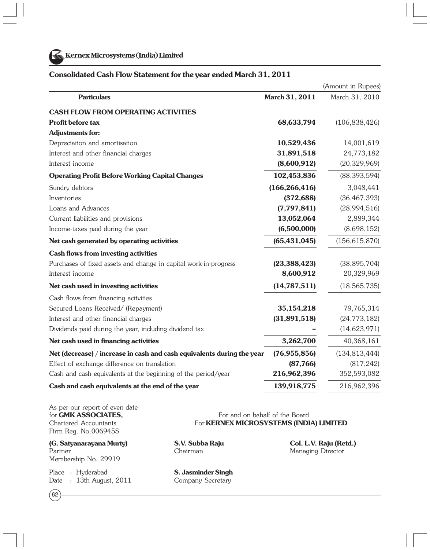

**Kernex Microsystems (India) Limited**

#### **Consolidated Cash Flow Statement for the year ended March 31, 2011**

|                                                                        |                 | (Amount in Rupees) |
|------------------------------------------------------------------------|-----------------|--------------------|
| <b>Particulars</b>                                                     | March 31, 2011  | March 31, 2010     |
| <b>CASH FLOW FROM OPERATING ACTIVITIES</b>                             |                 |                    |
| Profit before tax                                                      | 68,633,794      | (106, 838, 426)    |
| <b>Adjustments for:</b>                                                |                 |                    |
| Depreciation and amortisation                                          | 10,529,436      | 14,001,619         |
| Interest and other financial charges                                   | 31,891,518      | 24,773,182         |
| Interest income                                                        | (8,600,912)     | (20, 329, 969)     |
| <b>Operating Profit Before Working Capital Changes</b>                 | 102,453,836     | (88, 393, 594)     |
| Sundry debtors                                                         | (166, 266, 416) | 3,048,441          |
| Inventories                                                            | (372, 688)      | (36, 467, 393)     |
| Loans and Advances                                                     | (7,797,841)     | (28,994,516)       |
| Current liabilities and provisions                                     | 13,052,064      | 2,889,344          |
| Income-taxes paid during the year                                      | (6,500,000)     | (8,698,152)        |
| Net cash generated by operating activities                             | (65, 431, 045)  | (156, 615, 870)    |
| Cash flows from investing activities                                   |                 |                    |
| Purchases of fixed assets and change in capital work-in-progress       | (23, 388, 423)  | (38, 895, 704)     |
| Interest income                                                        | 8,600,912       | 20,329,969         |
| Net cash used in investing activities                                  | (14, 787, 511)  | (18, 565, 735)     |
| Cash flows from financing activities                                   |                 |                    |
| Secured Loans Received/ (Repayment)                                    | 35, 154, 218    | 79,765,314         |
| Interest and other financial charges                                   | (31,891,518)    | (24, 773, 182)     |
| Dividends paid during the year, including dividend tax                 |                 | (14, 623, 971)     |
| Net cash used in financing activities                                  | 3,262,700       | 40,368,161         |
| Net (decrease) / increase in cash and cash equivalents during the year | (76, 955, 856)  | (134, 813, 444)    |
| Effect of exchange difference on translation                           | (87, 766)       | (817, 242)         |
| Cash and cash equivalents at the beginning of the period/year          | 216,962,396     | 352,593,082        |
| Cash and cash equivalents at the end of the year                       | 139,918,775     | 216,962,396        |

As per our report of even date<br>for **GMK ASSOCIATES**, Firm Reg. No.006945S

**(G. Satyanarayana Murty) S.V. Subba Raju Col. L.V. Raju (Retd.)** Partner **Chairman** Chairman Managing Director Membership No. 29919

Place : Hyderabad **S. Jasminder Singh** Date : 13th August, 2011 Company Secretary

 $(62)$ 

For and on behalf of the Board Chartered Accountants For **KERNEX MICROSYSTEMS (INDIA) LIMITED**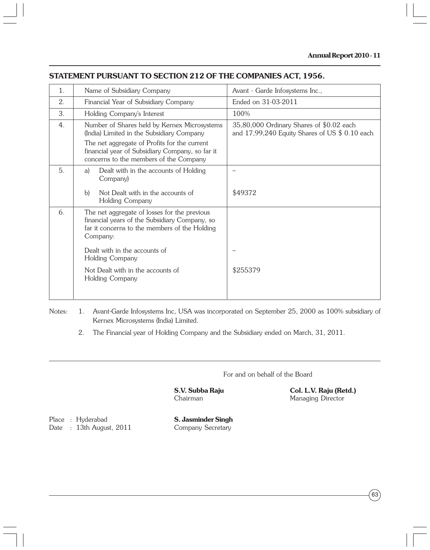### **STATEMENT PURSUANT TO SECTION 212 OF THE COMPANIES ACT, 1956.**

| 1. | Name of Subsidiary Company                                                                                                                                 | Avant - Garde Infosystems Inc.,                                                              |
|----|------------------------------------------------------------------------------------------------------------------------------------------------------------|----------------------------------------------------------------------------------------------|
| 2. | Financial Year of Subsidiary Company                                                                                                                       | Ended on 31-03-2011                                                                          |
| 3. | Holding Company's Interest                                                                                                                                 | 100%                                                                                         |
| 4. | Number of Shares held by Kernex Microsystems<br>(India) Limited in the Subsidiary Company                                                                  | 35,80,000 Ordinary Shares of \$0.02 each<br>and $17,99,240$ Equity Shares of US $$0.10$ each |
|    | The net aggregate of Profits for the current<br>financial year of Subsidiary Company, so far it<br>concerns to the members of the Company                  |                                                                                              |
| 5. | Dealt with in the accounts of Holding<br>a)<br>Company)                                                                                                    |                                                                                              |
|    | Not Dealt with in the accounts of<br>b)<br>Holding Company                                                                                                 | \$49372                                                                                      |
| 6. | The net aggregate of losses for the previous<br>financial years of the Subsidiary Company, so<br>far it concerns to the members of the Holding<br>Company: |                                                                                              |
|    | Dealt with in the accounts of<br>Holding Company                                                                                                           |                                                                                              |
|    | Not Dealt with in the accounts of<br>Holding Company                                                                                                       | \$255379                                                                                     |

Notes: 1. Avant-Garde Infosystems Inc, USA was incorporated on September 25, 2000 as 100% subsidiary of Kernex Microsystems (India) Limited.

2. The Financial year of Holding Company and the Subsidiary ended on March, 31, 2011.

For and on behalf of the Board

**S.V. Subba Raju Col. L.V. Raju (Retd.)**<br>Chairman **Managing Director** Managing Director

Place : Hyderabad **S. Jasminder Singh** Date : 13th August, 2011 Company Secretary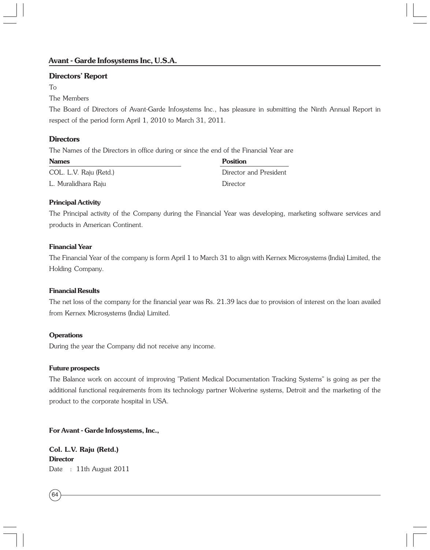#### **Directors' Report**

#### To

#### The Members

The Board of Directors of Avant-Garde Infosystems Inc., has pleasure in submitting the Ninth Annual Report in respect of the period form April 1, 2010 to March 31, 2011.

#### **Directors**

The Names of the Directors in office during or since the end of the Financial Year are

| <b>Names</b>           | <b>Position</b>        |
|------------------------|------------------------|
| COL. L.V. Raju (Retd.) | Director and President |
| L. Muralidhara Raju    | Director               |

#### **Principal Activity**

The Principal activity of the Company during the Financial Year was developing, marketing software services and products in American Continent.

#### **Financial Year**

The Financial Year of the company is form April 1 to March 31 to align with Kernex Microsystems (India) Limited, the Holding Company.

#### **Financial Results**

The net loss of the company for the financial year was Rs. 21.39 lacs due to provision of interest on the loan availed from Kernex Microsystems (India) Limited.

#### **Operations**

During the year the Company did not receive any income.

#### **Future prospects**

The Balance work on account of improving "Patient Medical Documentation Tracking Systems" is going as per the additional functional requirements from its technology partner Wolverine systems, Detroit and the marketing of the product to the corporate hospital in USA.

#### **For Avant - Garde Infosystems, Inc.,**

**Col. L.V. Raju (Retd.) Director** Date: 11th August 2011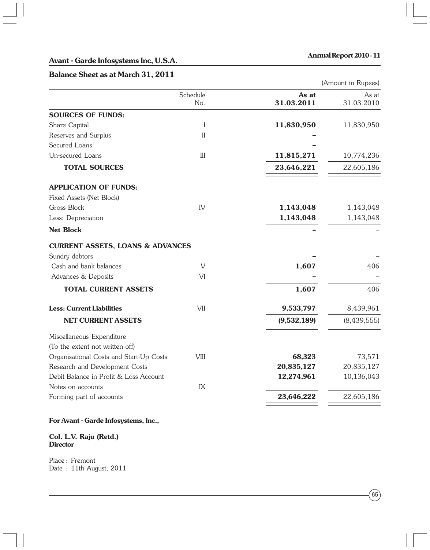#### **Avant - Garde Infosystems Inc, U.S.A.**

#### **Annual Report 2010 - 11**

#### **Balance Sheet as at March 31, 2011**

(Amount in Rupees)

| Schedule<br>No.<br>I<br>$\mathbf{I}$<br>$\rm III$                               | <b>SOURCES OF FUNDS:</b><br>Share Capital<br>Reserves and Surplus<br>Secured Loans<br>Un-secured Loans<br><b>TOTAL SOURCES</b> |
|---------------------------------------------------------------------------------|--------------------------------------------------------------------------------------------------------------------------------|
|                                                                                 |                                                                                                                                |
|                                                                                 |                                                                                                                                |
|                                                                                 |                                                                                                                                |
|                                                                                 |                                                                                                                                |
|                                                                                 |                                                                                                                                |
|                                                                                 |                                                                                                                                |
|                                                                                 |                                                                                                                                |
|                                                                                 | <b>APPLICATION OF FUNDS:</b>                                                                                                   |
|                                                                                 | Fixed Assets (Net Block)                                                                                                       |
| IV                                                                              | Gross Block                                                                                                                    |
|                                                                                 | Less: Depreciation                                                                                                             |
|                                                                                 | <b>Net Block</b>                                                                                                               |
|                                                                                 | <b>CURRENT ASSETS, LOANS &amp; ADVANCES</b>                                                                                    |
|                                                                                 | Sundry debtors                                                                                                                 |
| $\mathbf{V}$                                                                    | Cash and bank balances                                                                                                         |
| VI                                                                              | Advances & Deposits                                                                                                            |
|                                                                                 | <b>TOTAL CURRENT ASSETS</b>                                                                                                    |
| VII                                                                             | <b>Less: Current Liabilities</b>                                                                                               |
|                                                                                 | <b>NET CURRENT ASSETS</b>                                                                                                      |
|                                                                                 | Miscellaneous Expenditure<br>(To the extent not written off)                                                                   |
| <b>VIII</b>                                                                     | Organisational Costs and Start-Up Costs                                                                                        |
|                                                                                 | Research and Development Costs                                                                                                 |
|                                                                                 | Debit Balance in Profit & Loss Account<br>Notes on accounts                                                                    |
|                                                                                 | Forming part of accounts                                                                                                       |
| 1,143,048<br>1,143,048<br>(9,532,189)<br>20,835,127<br>12,274,961<br>23,646,222 | IX                                                                                                                             |

#### **For Avant - Garde Infosystems, Inc.,**

#### **Col. L.V. Raju (Retd.) Director**

Place : Fremont Date: 11th August, 2011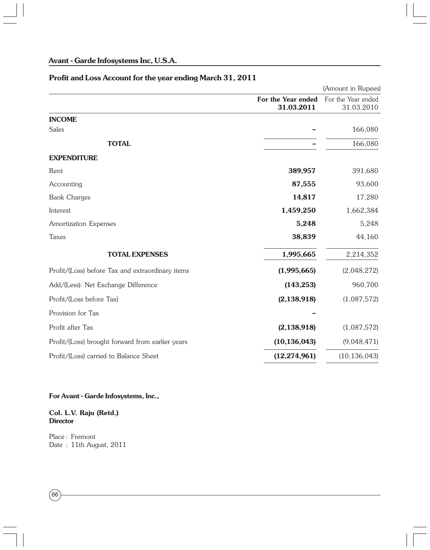# **Profit and Loss Account for the year ending March 31, 2011**

|                                                  |                                  | (Amount in Rupees)               |
|--------------------------------------------------|----------------------------------|----------------------------------|
|                                                  | For the Year ended<br>31.03.2011 | For the Year ended<br>31.03.2010 |
| <b>INCOME</b>                                    |                                  |                                  |
| <b>Sales</b>                                     |                                  | 166,080                          |
| <b>TOTAL</b>                                     |                                  | 166,080                          |
| <b>EXPENDITURE</b>                               |                                  |                                  |
| Rent                                             | 389,957                          | 391,680                          |
| Accounting                                       | 87,555                           | 93,600                           |
| <b>Bank Charges</b>                              | 14,817                           | 17,280                           |
| Interest                                         | 1,459,250                        | 1,662,384                        |
| Amortization Expenses                            | 5,248                            | 5,248                            |
| Taxes                                            | 38,839                           | 44,160                           |
| <b>TOTAL EXPENSES</b>                            | 1,995,665                        | 2,214,352                        |
| Profit/(Loss) before Tax and extraordinary items | (1,995,665)                      | (2,048,272)                      |
| Add/(Less): Net Exchange Difference              | (143, 253)                       | 960,700                          |
| Profit/(Loss before Tax)                         | (2, 138, 918)                    | (1,087,572)                      |
| Provision for Tax                                |                                  |                                  |
| Profit after Tax                                 | (2, 138, 918)                    | (1,087,572)                      |
| Profit/(Loss) brought forward from earlier years | (10, 136, 043)                   | (9,048,471)                      |
| Profit/(Loss) carried to Balance Sheet           | (12, 274, 961)                   | (10, 136, 043)                   |

#### **For Avant - Garde Infosystems, Inc.,**

#### **Col. L.V. Raju (Retd.) Director**

Place : Fremont Date : 11th August, 2011

 $(66)$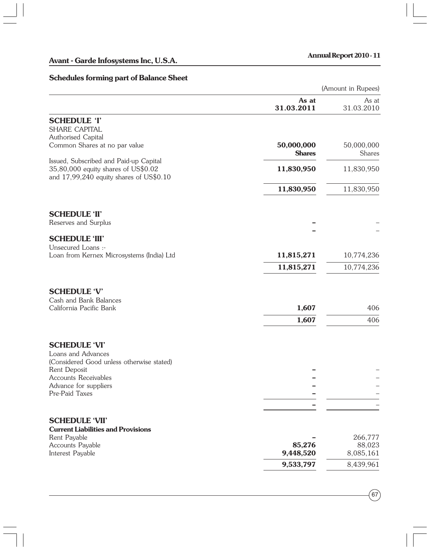#### **Schedules forming part of Balance Sheet**

| chedules forming pure of Buldinee                                             |                     | (Amount in Rupees)  |
|-------------------------------------------------------------------------------|---------------------|---------------------|
|                                                                               |                     |                     |
|                                                                               | As at<br>31.03.2011 | As at<br>31.03.2010 |
| <b>SCHEDULE 'I'</b>                                                           |                     |                     |
| SHARE CAPITAL                                                                 |                     |                     |
| Authorised Capital                                                            |                     |                     |
| Common Shares at no par value                                                 | 50,000,000          | 50,000,000          |
|                                                                               | <b>Shares</b>       | <b>Shares</b>       |
| Issued, Subscribed and Paid-up Capital<br>35,80,000 equity shares of US\$0.02 | 11,830,950          | 11,830,950          |
| and 17,99,240 equity shares of US\$0.10                                       |                     |                     |
|                                                                               |                     |                     |
|                                                                               | 11,830,950          | 11,830,950          |
|                                                                               |                     |                     |
| <b>SCHEDULE 'II'</b>                                                          |                     |                     |
| Reserves and Surplus                                                          |                     |                     |
|                                                                               |                     |                     |
| <b>SCHEDULE 'III'</b><br>Unsecured Loans :-                                   |                     |                     |
| Loan from Kernex Microsystems (India) Ltd                                     | 11,815,271          | 10,774,236          |
|                                                                               | 11,815,271          | 10,774,236          |
|                                                                               |                     |                     |
| <b>SCHEDULE 'V'</b>                                                           |                     |                     |
| Cash and Bank Balances                                                        |                     |                     |
| California Pacific Bank                                                       | 1,607               | 406                 |
|                                                                               | 1,607               | 406                 |
|                                                                               |                     |                     |
| <b>SCHEDULE 'VI'</b>                                                          |                     |                     |
| Loans and Advances                                                            |                     |                     |
| (Considered Good unless otherwise stated)                                     |                     |                     |
| Rent Deposit                                                                  |                     |                     |
| <b>Accounts Receivables</b>                                                   |                     |                     |
| Advance for suppliers                                                         |                     |                     |
| Pre-Paid Taxes                                                                |                     |                     |

#### **SCHEDULE 'VII'**

| <b>Current Liabilities and Provisions</b> |                          |           |
|-------------------------------------------|--------------------------|-----------|
| Rent Payable                              | $\overline{\phantom{0}}$ | 266,777   |
| <b>Accounts Payable</b>                   | 85.276                   | 88,023    |
| Interest Payable                          | 9.448.520                | 8.085.161 |
|                                           | 9,533,797                | 8.439.961 |

**–** –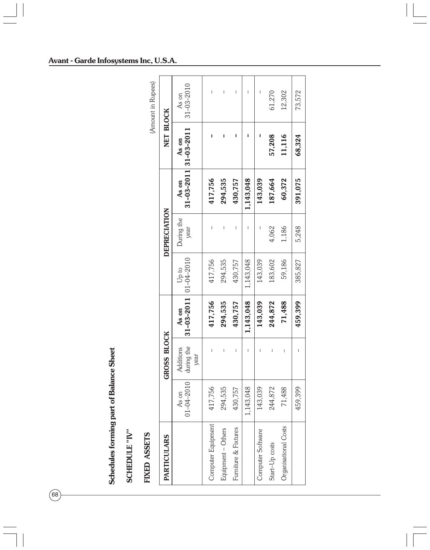Schedules forming part of Balance Sheet **Schedules forming part of Balance Sheet**

 $(68)$ 

SCHEDULE "IV" **SCHEDULE "IV"**

# FIXED ASSETS **FIXED ASSETS**

(Amount in Rupees) (Amount in Rupees)

| <b>PARTICULARS</b>   |                           | GROSS BLOCK                     |                                  |           | DEPRECIATION       |           | NET BLOCK                                |                           |
|----------------------|---------------------------|---------------------------------|----------------------------------|-----------|--------------------|-----------|------------------------------------------|---------------------------|
|                      | $01 - 04 - 2010$<br>As on | during the<br>Additions<br>year | $31-03-2011$ 01-04-2010<br>As on | Up to     | During the<br>year | As on     | $31 - 03 - 2011$ 31 - 03 - 2011<br>As on | $31 - 03 - 2010$<br>As on |
| Computer Equipment   | .7,756                    |                                 | 417,756                          | 417,756   |                    | 417,756   |                                          |                           |
| Equipment - Others   | 294,535                   |                                 | 294,535                          | 294,535   |                    | 294,535   |                                          |                           |
| Furniture & Fixtures | 430,757                   |                                 | 430,757                          | 430,757   |                    | 430,757   |                                          |                           |
|                      | 1,143,048                 |                                 | 1,143,048                        | 1,143,048 |                    | 1,143,048 |                                          |                           |
| Computer Software    | 143,039                   |                                 | 143,039                          | 143,039   |                    | 143,039   |                                          |                           |
| Start-Up costs       | 244,872                   | Ī                               | 244,872                          | 183,602   | 4,062              | 187,664   | 57,208                                   | 61,270                    |
| Organisational Costs | 71,488                    | I                               | 71,488                           | 59,186    | 1,186              | 60,372    | 11,116                                   | 12,302                    |
|                      | 459,399                   | I                               | 459,399                          | 385,827   | 5,248              | 391,075   | 68,324                                   | 73,572                    |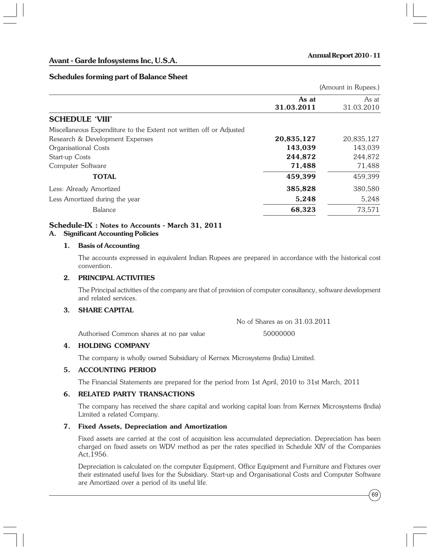#### **Schedules forming part of Balance Sheet**

(Amount in Rupees.)

|                                                                     | As at      | As at      |
|---------------------------------------------------------------------|------------|------------|
|                                                                     | 31.03.2011 | 31.03.2010 |
| <b>SCHEDULE 'VIII'</b>                                              |            |            |
| Miscellaneous Expenditure to the Extent not written off or Adjusted |            |            |
| Research & Development Expenses                                     | 20,835,127 | 20,835,127 |
| Organisational Costs                                                | 143,039    | 143,039    |
| Start-up Costs                                                      | 244,872    | 244,872    |
| Computer Software                                                   | 71,488     | 71,488     |
| <b>TOTAL</b>                                                        | 459,399    | 459,399    |
| Less: Already Amortized                                             | 385,828    | 380,580    |
| Less Amortized during the year                                      | 5,248      | 5,248      |
| Balance                                                             | 68,323     | 73,571     |

# **Schedule-IX : Notes to Accounts - March 31, 2011**

#### **A. Significant Accounting Policies**

#### **1. Basis of Accounting**

The accounts expressed in equivalent Indian Rupees are prepared in accordance with the historical cost convention.

#### **2. PRINCIPAL ACTIVITIES**

The Principal activities of the company are that of provision of computer consultancy, software development and related services.

#### **3. SHARE CAPITAL**

No of Shares as on 31.03.2011

Authorised Common shares at no par value 50000000

#### **4. HOLDING COMPANY**

The company is wholly owned Subsidiary of Kernex Microsystems (India) Limited.

#### **5. ACCOUNTING PERIOD**

The Financial Statements are prepared for the period from 1st April, 2010 to 31st March, 2011

#### **6. RELATED PARTY TRANSACTIONS**

The company has received the share capital and working capital loan from Kernex Microsystems (India) Limited a related Company.

#### **7. Fixed Assets, Depreciation and Amortization**

Fixed assets are carried at the cost of acquisition less accumulated depreciation. Depreciation has been charged on fixed assets on WDV method as per the rates specified in Schedule XIV of the Companies Act,1956.

Depreciation is calculated on the computer Equipment, Office Equipment and Furniture and Fixtures over their estimated useful lives for the Subsidiary. Start-up and Organisational Costs and Computer Software are Amortized over a period of its useful life.

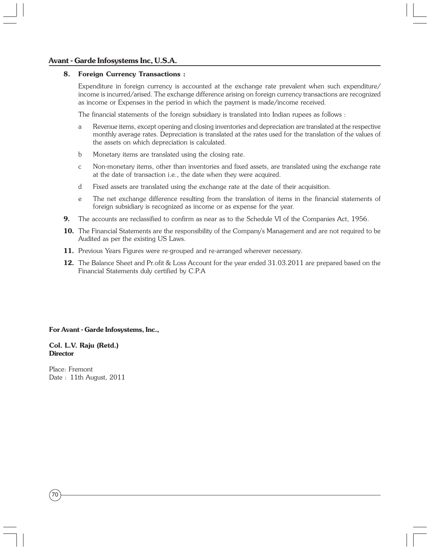# **Kernex Microsystems (India) Limited Avant - Garde Infosystems Inc, U.S.A.**

#### **8. Foreign Currency Transactions :**

Expenditure in foreign currency is accounted at the exchange rate prevalent when such expenditure/ income is incurred/arised. The exchange difference arising on foreign currency transactions are recognized as income or Expenses in the period in which the payment is made/income received.

The financial statements of the foreign subsidiary is translated into Indian rupees as follows :

- a Revenue items, except opening and closing inventories and depreciation are translated at the respective monthly average rates. Depreciation is translated at the rates used for the translation of the values of the assets on which depreciation is calculated.
- b Monetary items are translated using the closing rate.
- c Non-monetary items, other than inventories and fixed assets, are translated using the exchange rate at the date of transaction i.e., the date when they were acquired.
- d Fixed assets are translated using the exchange rate at the date of their acquisition.
- e The net exchange difference resulting from the translation of items in the financial statements of foreign subsidiary is recognized as income or as expense for the year.
- **9.** The accounts are reclassified to confirm as near as to the Schedule VI of the Companies Act, 1956.
- **10.** The Financial Statements are the responsibility of the Company's Management and are not required to be Audited as per the existing US Laws.
- **11.** Previous Years Figures were re-grouped and re-arranged wherever necessary.
- **12.** The Balance Sheet and Pr.ofit & Loss Account for the year ended 31.03.2011 are prepared based on the Financial Statements duly certified by C.P.A

#### **For Avant - Garde Infosystems, Inc.,**

#### **Col. L.V. Raju (Retd.) Director**

Place: Fremont Date : 11th August, 2011

70